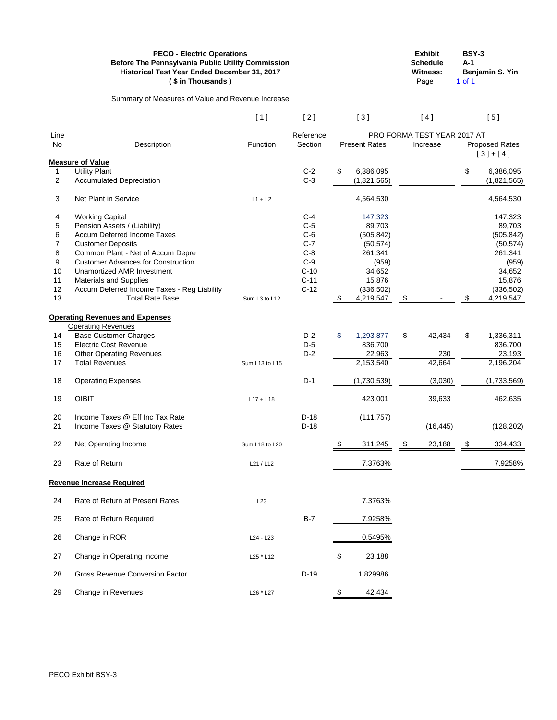| <b>PECO - Electric Operations</b>                        | <b>Exhibit</b>  | BSY-3                  |
|----------------------------------------------------------|-----------------|------------------------|
| <b>Before The Pennsylvania Public Utility Commission</b> | <b>Schedule</b> | A-1                    |
| <b>Historical Test Year Ended December 31, 2017</b>      | Witness:        | <b>Beniamin S. Yin</b> |
| (\$ in Thousands)                                        | Page            | 1 of 1                 |

Summary of Measures of Value and Revenue Increase

 $[1]$   $[2]$   $[3]$   $[4]$   $[5]$ 

| Line           |                                                                     |                | Reference | PRO FORMA TEST YEAR 2017 AT |                        |                            |           |                   |                        |
|----------------|---------------------------------------------------------------------|----------------|-----------|-----------------------------|------------------------|----------------------------|-----------|-------------------|------------------------|
| No             | Description                                                         | Function       | Section   | <b>Present Rates</b>        |                        |                            | Increase  |                   | Proposed Rates         |
|                | <b>Measure of Value</b>                                             |                |           |                             |                        |                            |           |                   | $[3]+[4]$              |
| $\mathbf{1}$   | <b>Utility Plant</b>                                                |                | $C-2$     | \$                          | 6,386,095              |                            |           | \$                | 6,386,095              |
| 2              | <b>Accumulated Depreciation</b>                                     |                | $C-3$     |                             | (1,821,565)            |                            |           |                   | (1,821,565)            |
| 3              | Net Plant in Service                                                | $L1 + L2$      |           |                             | 4,564,530              |                            |           |                   | 4,564,530              |
| 4              | <b>Working Capital</b>                                              |                | $C-4$     |                             | 147,323                |                            |           |                   | 147,323                |
| 5              | Pension Assets / (Liability)                                        |                | $C-5$     |                             | 89,703                 |                            |           |                   | 89,703                 |
| 6              | Accum Deferred Income Taxes                                         |                | $C-6$     |                             | (505, 842)             |                            |           |                   | (505, 842)             |
| $\overline{7}$ | <b>Customer Deposits</b>                                            |                | $C-7$     |                             | (50, 574)              |                            |           |                   | (50, 574)              |
| 8              | Common Plant - Net of Accum Depre                                   |                | $C-8$     |                             | 261,341                |                            |           |                   | 261,341                |
| 9              | <b>Customer Advances for Construction</b>                           |                | $C-9$     |                             | (959)                  |                            |           |                   | (959)                  |
| 10             | <b>Unamortized AMR Investment</b>                                   |                | $C-10$    |                             | 34,652                 |                            |           |                   | 34,652                 |
| 11             | <b>Materials and Supplies</b>                                       |                | $C-11$    |                             | 15,876                 |                            |           |                   | 15,876                 |
| 12             | Accum Deferred Income Taxes - Reg Liability                         |                | $C-12$    |                             | (336, 502)             |                            |           |                   | (336, 502)             |
| 13             | <b>Total Rate Base</b>                                              | Sum L3 to L12  |           | \$                          | 4,219,547              | $\boldsymbol{\mathsf{\$}}$ |           | $\boldsymbol{\$}$ | 4,219,547              |
|                | <b>Operating Revenues and Expenses</b><br><b>Operating Revenues</b> |                |           |                             |                        |                            |           |                   |                        |
| 14             | <b>Base Customer Charges</b>                                        |                | $D-2$     | \$                          | 1,293,877              | \$                         | 42,434    | \$                | 1,336,311              |
| 15             | <b>Electric Cost Revenue</b>                                        |                | $D-5$     |                             | 836,700                |                            |           |                   | 836,700                |
| 16             | <b>Other Operating Revenues</b>                                     |                | $D-2$     |                             | 22,963                 |                            | 230       |                   | 23,193                 |
| 17             | <b>Total Revenues</b>                                               | Sum L13 to L15 |           |                             | $\overline{2,}153,540$ |                            | 42,664    |                   | $\overline{2,}196,204$ |
| 18             | <b>Operating Expenses</b>                                           |                | $D-1$     |                             | (1,730,539)            |                            | (3,030)   |                   | (1,733,569)            |
| 19             | <b>OIBIT</b>                                                        | $L17 + L18$    |           |                             | 423,001                |                            | 39,633    |                   | 462,635                |
| 20             | Income Taxes @ Eff Inc Tax Rate                                     |                | $D-18$    |                             | (111, 757)             |                            |           |                   |                        |
| 21             | Income Taxes @ Statutory Rates                                      |                | $D-18$    |                             |                        |                            | (16, 445) |                   | (128, 202)             |
| 22             | Net Operating Income                                                | Sum L18 to L20 |           | \$                          | 311,245                | \$                         | 23,188    | \$                | 334,433                |
| 23             | Rate of Return                                                      | L21 / L12      |           |                             | 7.3763%                |                            |           |                   | 7.9258%                |
|                | <b>Revenue Increase Required</b>                                    |                |           |                             |                        |                            |           |                   |                        |
| 24             | Rate of Return at Present Rates                                     | L23            |           |                             | 7.3763%                |                            |           |                   |                        |
| 25             | Rate of Return Required                                             |                | $B-7$     |                             | 7.9258%                |                            |           |                   |                        |
| 26             | Change in ROR                                                       | L24 - L23      |           |                             | 0.5495%                |                            |           |                   |                        |
| 27             | Change in Operating Income                                          | L25 * L12      |           | \$                          | 23,188                 |                            |           |                   |                        |
| 28             | <b>Gross Revenue Conversion Factor</b>                              |                | $D-19$    |                             | 1.829986               |                            |           |                   |                        |
| 29             | Change in Revenues                                                  | L26 * L27      |           | - \$                        | 42,434                 |                            |           |                   |                        |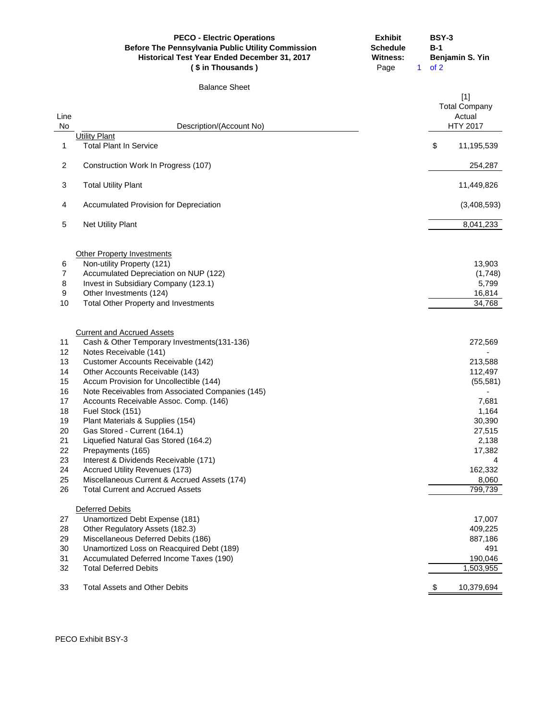|                   | <b>PECO - Electric Operations</b><br><b>Before The Pennsylvania Public Utility Commission</b><br>Historical Test Year Ended December 31, 2017<br>(\$ in Thousands) | <b>Exhibit</b><br><b>Schedule</b><br><b>Witness:</b><br>Page | $B-1$<br>of 2<br>$\mathbf{1}$ | <b>BSY-3</b><br>Benjamin S. Yin                            |
|-------------------|--------------------------------------------------------------------------------------------------------------------------------------------------------------------|--------------------------------------------------------------|-------------------------------|------------------------------------------------------------|
|                   | <b>Balance Sheet</b>                                                                                                                                               |                                                              |                               |                                                            |
| Line<br><b>No</b> | Description/(Account No)                                                                                                                                           |                                                              |                               | $[1]$<br><b>Total Company</b><br>Actual<br><b>HTY 2017</b> |
|                   | <b>Utility Plant</b>                                                                                                                                               |                                                              |                               |                                                            |
| 1                 | <b>Total Plant In Service</b>                                                                                                                                      |                                                              | \$                            | 11,195,539                                                 |
| $\overline{c}$    | Construction Work In Progress (107)                                                                                                                                |                                                              |                               | 254,287                                                    |
| 3                 | <b>Total Utility Plant</b>                                                                                                                                         |                                                              |                               | 11,449,826                                                 |
| 4                 | <b>Accumulated Provision for Depreciation</b>                                                                                                                      |                                                              |                               | (3,408,593)                                                |
| 5                 | <b>Net Utility Plant</b>                                                                                                                                           |                                                              |                               | 8,041,233                                                  |
|                   |                                                                                                                                                                    |                                                              |                               |                                                            |
|                   | <b>Other Property Investments</b>                                                                                                                                  |                                                              |                               |                                                            |
| 6                 | Non-utility Property (121)                                                                                                                                         |                                                              |                               | 13,903                                                     |
| $\boldsymbol{7}$  | Accumulated Depreciation on NUP (122)                                                                                                                              |                                                              |                               | (1,748)                                                    |
| 8                 | Invest in Subsidiary Company (123.1)                                                                                                                               |                                                              |                               | 5,799                                                      |
| 9                 | Other Investments (124)                                                                                                                                            |                                                              |                               | 16,814                                                     |
| 10                | <b>Total Other Property and Investments</b>                                                                                                                        |                                                              |                               | 34,768                                                     |
|                   | <b>Current and Accrued Assets</b>                                                                                                                                  |                                                              |                               |                                                            |
| 11                | Cash & Other Temporary Investments(131-136)                                                                                                                        |                                                              |                               | 272,569                                                    |
| 12                | Notes Receivable (141)                                                                                                                                             |                                                              |                               |                                                            |
| 13                | Customer Accounts Receivable (142)                                                                                                                                 |                                                              |                               | 213,588                                                    |
| 14                | Other Accounts Receivable (143)                                                                                                                                    |                                                              |                               | 112,497                                                    |
| 15                | Accum Provision for Uncollectible (144)                                                                                                                            |                                                              |                               | (55, 581)                                                  |
| 16                | Note Receivables from Associated Companies (145)                                                                                                                   |                                                              |                               |                                                            |
| 17                | Accounts Receivable Assoc. Comp. (146)                                                                                                                             |                                                              |                               | 7,681                                                      |
| 18                | Fuel Stock (151)                                                                                                                                                   |                                                              |                               | 1,164                                                      |
| 19                | Plant Materials & Supplies (154)                                                                                                                                   |                                                              |                               | 30,390                                                     |
| 20                | Gas Stored - Current (164.1)                                                                                                                                       |                                                              |                               | 27,515                                                     |
| 21                | Liquefied Natural Gas Stored (164.2)                                                                                                                               |                                                              |                               | 2,138                                                      |
| 22                | Prepayments (165)                                                                                                                                                  |                                                              |                               | 17,382                                                     |
| 23                | Interest & Dividends Receivable (171)                                                                                                                              |                                                              |                               |                                                            |
| 24                | <b>Accrued Utility Revenues (173)</b>                                                                                                                              |                                                              |                               | 162,332                                                    |
| 25                | Miscellaneous Current & Accrued Assets (174)                                                                                                                       |                                                              |                               | 8,060                                                      |
| 26                | <b>Total Current and Accrued Assets</b>                                                                                                                            |                                                              |                               | 799,739                                                    |
|                   | <b>Deferred Debits</b>                                                                                                                                             |                                                              |                               |                                                            |
| 27                | Unamortized Debt Expense (181)                                                                                                                                     |                                                              |                               | 17,007                                                     |
| 28                | Other Regulatory Assets (182.3)                                                                                                                                    |                                                              |                               | 409,225                                                    |
| 29                | Miscellaneous Deferred Debits (186)                                                                                                                                |                                                              |                               | 887,186                                                    |
| 30                | Unamortized Loss on Reacquired Debt (189)                                                                                                                          |                                                              |                               | 491                                                        |
| 31                | Accumulated Deferred Income Taxes (190)                                                                                                                            |                                                              |                               | 190,046                                                    |
| 32                | <b>Total Deferred Debits</b>                                                                                                                                       |                                                              |                               | 1,503,955                                                  |
| 33                | <b>Total Assets and Other Debits</b>                                                                                                                               |                                                              | \$                            | 10,379,694                                                 |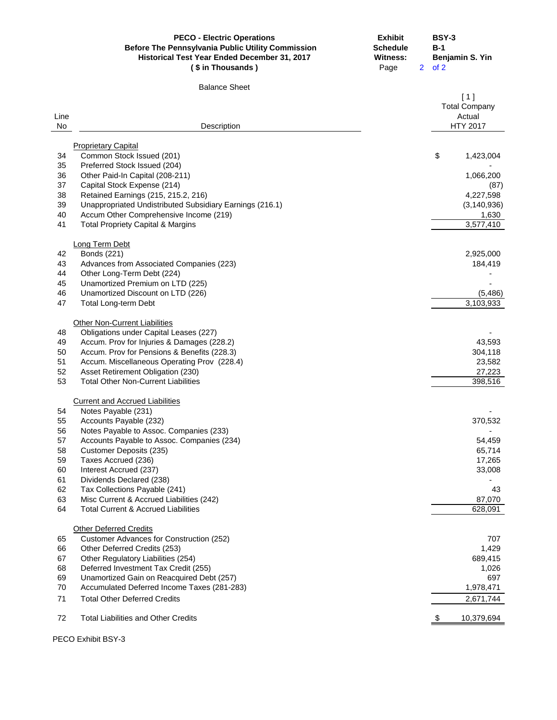|            | <b>PECO - Electric Operations</b><br>Before The Pennsylvania Public Utility Commission<br>Historical Test Year Ended December 31, 2017<br>(\$ in Thousands) | <b>Exhibit</b><br><b>Schedule</b><br><b>Witness:</b><br>Page | <b>BSY-3</b><br>$B-1$<br>Benjamin S. Yin<br>2 <sup>2</sup><br>of 2 |
|------------|-------------------------------------------------------------------------------------------------------------------------------------------------------------|--------------------------------------------------------------|--------------------------------------------------------------------|
|            | <b>Balance Sheet</b>                                                                                                                                        |                                                              |                                                                    |
| Line<br>No | Description                                                                                                                                                 |                                                              | [1]<br><b>Total Company</b><br>Actual<br><b>HTY 2017</b>           |
|            |                                                                                                                                                             |                                                              |                                                                    |
|            | <b>Proprietary Capital</b>                                                                                                                                  |                                                              |                                                                    |
| 34         | Common Stock Issued (201)                                                                                                                                   |                                                              | \$<br>1,423,004                                                    |
| 35<br>36   | Preferred Stock Issued (204)<br>Other Paid-In Capital (208-211)                                                                                             |                                                              | 1,066,200                                                          |
| 37         | Capital Stock Expense (214)                                                                                                                                 |                                                              | (87)                                                               |
| 38         | Retained Earnings (215, 215.2, 216)                                                                                                                         |                                                              | 4,227,598                                                          |
| 39         | Unappropriated Undistributed Subsidiary Earnings (216.1)                                                                                                    |                                                              | (3, 140, 936)                                                      |
| 40         | Accum Other Comprehensive Income (219)                                                                                                                      |                                                              | 1,630                                                              |
| 41         | <b>Total Propriety Capital &amp; Margins</b>                                                                                                                |                                                              | 3,577,410                                                          |
|            |                                                                                                                                                             |                                                              |                                                                    |
| 42         | Long Term Debt<br>Bonds (221)                                                                                                                               |                                                              | 2,925,000                                                          |
| 43         | Advances from Associated Companies (223)                                                                                                                    |                                                              | 184,419                                                            |
| 44         | Other Long-Term Debt (224)                                                                                                                                  |                                                              |                                                                    |
| 45         | Unamortized Premium on LTD (225)                                                                                                                            |                                                              |                                                                    |
| 46         | Unamortized Discount on LTD (226)                                                                                                                           |                                                              | (5,486)                                                            |
| 47         | <b>Total Long-term Debt</b>                                                                                                                                 |                                                              | 3,103,933                                                          |
|            |                                                                                                                                                             |                                                              |                                                                    |
| 48         | <b>Other Non-Current Liabilities</b><br>Obligations under Capital Leases (227)                                                                              |                                                              |                                                                    |
| 49         | Accum. Prov for Injuries & Damages (228.2)                                                                                                                  |                                                              | 43,593                                                             |
| 50         | Accum. Prov for Pensions & Benefits (228.3)                                                                                                                 |                                                              | 304,118                                                            |
| 51         | Accum. Miscellaneous Operating Prov (228.4)                                                                                                                 |                                                              | 23,582                                                             |
| 52         | Asset Retirement Obligation (230)                                                                                                                           |                                                              | 27,223                                                             |
| 53         | <b>Total Other Non-Current Liabilities</b>                                                                                                                  |                                                              | 398,516                                                            |
|            |                                                                                                                                                             |                                                              |                                                                    |
|            | <b>Current and Accrued Liabilities</b>                                                                                                                      |                                                              |                                                                    |
| 54<br>55   | Notes Payable (231)<br>Accounts Payable (232)                                                                                                               |                                                              | 370,532                                                            |
| 56         | Notes Payable to Assoc. Companies (233)                                                                                                                     |                                                              |                                                                    |
| 57         | Accounts Payable to Assoc. Companies (234)                                                                                                                  |                                                              | 54,459                                                             |
| 58         | Customer Deposits (235)                                                                                                                                     |                                                              | 65,714                                                             |
| 59         | Taxes Accrued (236)                                                                                                                                         |                                                              | 17,265                                                             |
| 60         | Interest Accrued (237)                                                                                                                                      |                                                              | 33,008                                                             |
| 61         | Dividends Declared (238)                                                                                                                                    |                                                              |                                                                    |
| 62         | Tax Collections Payable (241)                                                                                                                               |                                                              | 43                                                                 |
| 63         | Misc Current & Accrued Liabilities (242)                                                                                                                    |                                                              | 87,070                                                             |
| 64         | <b>Total Current &amp; Accrued Liabilities</b>                                                                                                              |                                                              | 628,091                                                            |
|            | <b>Other Deferred Credits</b>                                                                                                                               |                                                              |                                                                    |
| 65         | Customer Advances for Construction (252)                                                                                                                    |                                                              | 707                                                                |
| 66         | Other Deferred Credits (253)                                                                                                                                |                                                              | 1,429                                                              |
| 67         | Other Regulatory Liabilities (254)                                                                                                                          |                                                              | 689,415                                                            |
| 68         | Deferred Investment Tax Credit (255)                                                                                                                        |                                                              | 1,026                                                              |
| 69         | Unamortized Gain on Reacquired Debt (257)                                                                                                                   |                                                              | 697                                                                |
| 70         | Accumulated Deferred Income Taxes (281-283)                                                                                                                 |                                                              | 1,978,471                                                          |
| 71         | <b>Total Other Deferred Credits</b>                                                                                                                         |                                                              | 2,671,744                                                          |
| 72         | <b>Total Liabilities and Other Credits</b>                                                                                                                  |                                                              | 10,379,694                                                         |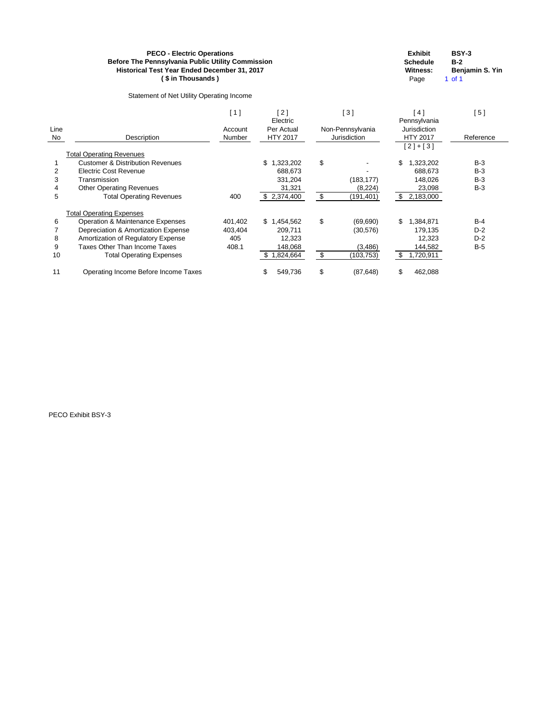Statement of Net Utility Operating Income

| <b>Schedule</b> | B-2          |
|-----------------|--------------|
| <b>Witness:</b> | <b>Benja</b> |
|                 |              |

**Exhibit BSY-3 Witness: Benjamin S. Yin** Page 1 of 1

|      |                                             | [1]     | [2]<br>Electric | [3] |                  | 4]<br>Pennsylvania | [5]       |
|------|---------------------------------------------|---------|-----------------|-----|------------------|--------------------|-----------|
| Line |                                             | Account | Per Actual      |     | Non-Pennsylvania | Jurisdiction       |           |
| No   | Description                                 | Number  | <b>HTY 2017</b> |     | Jurisdiction     | <b>HTY 2017</b>    | Reference |
|      |                                             |         |                 |     |                  | $[2]+[3]$          |           |
|      | <b>Total Operating Revenues</b>             |         |                 |     |                  |                    |           |
|      | <b>Customer &amp; Distribution Revenues</b> |         | 1,323,202<br>\$ | \$  |                  | \$<br>1,323,202    | $B-3$     |
|      | <b>Electric Cost Revenue</b>                |         | 688,673         |     |                  | 688,673            | $B-3$     |
| 3    | Transmission                                |         | 331,204         |     | (183, 177)       | 148,026            | $B-3$     |
|      | <b>Other Operating Revenues</b>             |         | 31,321          |     | (8, 224)         | 23,098             | $B-3$     |
| 5    | <b>Total Operating Revenues</b>             | 400     | \$2,374,400     | \$  | (191,401)        | \$<br>2,183,000    |           |
|      | <b>Total Operating Expenses</b>             |         |                 |     |                  |                    |           |
| 6    | Operation & Maintenance Expenses            | 401,402 | \$1,454,562     | \$  | (69, 690)        | \$.<br>1,384,871   | $B-4$     |
|      | Depreciation & Amortization Expense         | 403,404 | 209,711         |     | (30, 576)        | 179,135            | $D-2$     |
| 8    | Amortization of Regulatory Expense          | 405     | 12,323          |     |                  | 12,323             | $D-2$     |
| 9    | Taxes Other Than Income Taxes               | 408.1   | 148,068         |     | (3, 486)         | 144,582            | $B-5$     |
| 10   | <b>Total Operating Expenses</b>             |         | \$<br>1,824,664 | \$  | (103,753)        | \$<br>1,720,911    |           |
| 11   | Operating Income Before Income Taxes        |         | \$<br>549,736   | \$  | (87, 648)        | \$<br>462,088      |           |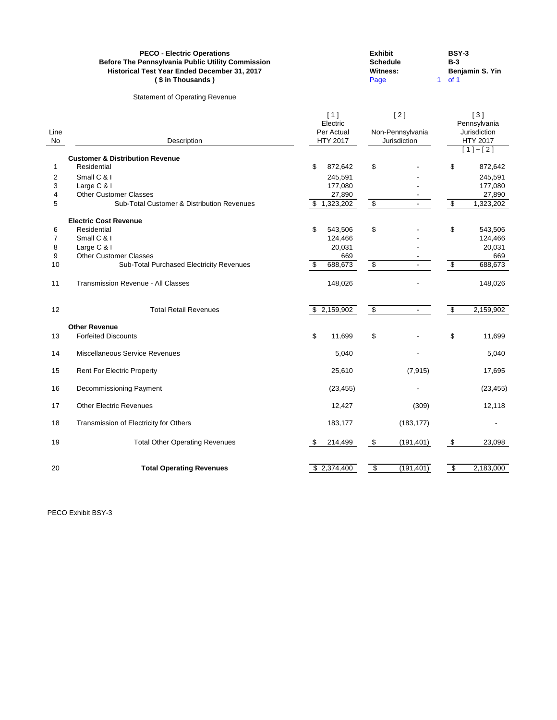|                                     | <b>PECO - Electric Operations</b><br>Before The Pennsylvania Public Utility Commission<br>Historical Test Year Ended December 31, 2017<br>(\$ in Thousands)            |          |                                                        | <b>Exhibit</b><br><b>Schedule</b><br><b>Witness:</b><br>Page | 1                                       | <b>BSY-3</b><br>$B-3$<br>of 1    | Benjamin S. Yin                                                       |
|-------------------------------------|------------------------------------------------------------------------------------------------------------------------------------------------------------------------|----------|--------------------------------------------------------|--------------------------------------------------------------|-----------------------------------------|----------------------------------|-----------------------------------------------------------------------|
|                                     | <b>Statement of Operating Revenue</b>                                                                                                                                  |          |                                                        |                                                              |                                         |                                  |                                                                       |
| Line<br>No                          | Description                                                                                                                                                            |          | $[1]$<br>Electric<br>Per Actual<br><b>HTY 2017</b>     |                                                              | [2]<br>Non-Pennsylvania<br>Jurisdiction |                                  | $[3]$<br>Pennsylvania<br>Jurisdiction<br><b>HTY 2017</b><br>$[1]+[2]$ |
| 1<br>2<br>3<br>4<br>5               | <b>Customer &amp; Distribution Revenue</b><br>Residential<br>Small C & I<br>Large C & I<br><b>Other Customer Classes</b><br>Sub-Total Customer & Distribution Revenues | \$       | 872,642<br>245,591<br>177,080<br>27,890<br>\$1,323,202 | \$<br>$\overline{\mathbf{e}}$                                |                                         | \$<br>$\frac{1}{2}$              | 872,642<br>245,591<br>177,080<br>27,890<br>1,323,202                  |
| 6<br>$\overline{7}$<br>8<br>9<br>10 | <b>Electric Cost Revenue</b><br>Residential<br>Small C & I<br>Large C & I<br><b>Other Customer Classes</b><br>Sub-Total Purchased Electricity Revenues                 | \$<br>\$ | 543,506<br>124,466<br>20,031<br>669<br>688,673         | \$<br>\$                                                     |                                         | \$<br>$\boldsymbol{\mathsf{\$}}$ | 543,506<br>124,466<br>20,031<br>669<br>688,673                        |
| 11                                  | <b>Transmission Revenue - All Classes</b>                                                                                                                              |          | 148,026                                                |                                                              |                                         |                                  | 148,026                                                               |
| 12                                  | <b>Total Retail Revenues</b>                                                                                                                                           |          | \$2,159,902                                            | $\overline{\mathbf{e}}$                                      |                                         | $\boldsymbol{\mathsf{S}}$        | 2,159,902                                                             |
| 13                                  | <b>Other Revenue</b><br><b>Forfeited Discounts</b>                                                                                                                     | \$       | 11,699                                                 | \$                                                           |                                         | \$                               | 11,699                                                                |
| 14                                  | Miscellaneous Service Revenues                                                                                                                                         |          | 5,040                                                  |                                                              |                                         |                                  | 5,040                                                                 |
| 15                                  | <b>Rent For Electric Property</b>                                                                                                                                      |          | 25,610                                                 |                                                              | (7, 915)                                |                                  | 17,695                                                                |
| 16                                  | Decommissioning Payment                                                                                                                                                |          | (23, 455)                                              |                                                              |                                         |                                  | (23, 455)                                                             |
| 17                                  | <b>Other Electric Revenues</b>                                                                                                                                         |          | 12,427                                                 |                                                              | (309)                                   |                                  | 12,118                                                                |
| 18                                  | Transmission of Electricity for Others                                                                                                                                 |          | 183,177                                                |                                                              | (183, 177)                              |                                  |                                                                       |
| 19                                  | <b>Total Other Operating Revenues</b>                                                                                                                                  | \$       | 214,499                                                | $\sqrt[6]{\frac{1}{2}}$                                      | (191, 401)                              | $\sqrt{\frac{2}{2}}$             | 23,098                                                                |
| 20                                  | <b>Total Operating Revenues</b>                                                                                                                                        |          | $\overline{2,374,400}$                                 | $\sqrt{3}$                                                   | (191, 401)                              | \$                               | 2,183,000                                                             |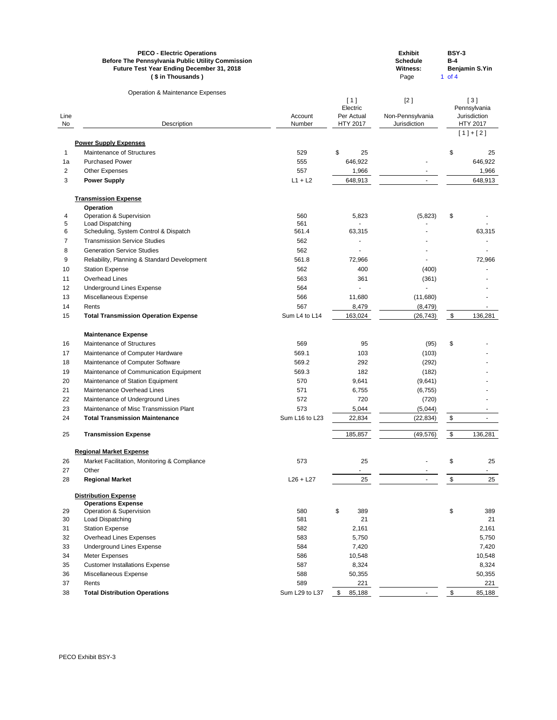|          | <b>PECO - Electric Operations</b><br><b>Before The Pennsylvania Public Utility Commission</b><br>Future Test Year Ending December 31, 2018<br>(\$ in Thousands) |                      |                  | <b>Exhibit</b><br><b>Schedule</b><br><b>Witness:</b><br>Page | <b>BSY-3</b><br>$B-4$<br>1 of $4$ | Benjamin S.Yin               |
|----------|-----------------------------------------------------------------------------------------------------------------------------------------------------------------|----------------------|------------------|--------------------------------------------------------------|-----------------------------------|------------------------------|
|          | <b>Operation &amp; Maintenance Expenses</b>                                                                                                                     |                      |                  |                                                              |                                   |                              |
|          |                                                                                                                                                                 |                      | [1]<br>Electric  | [2]                                                          |                                   | [3]                          |
| Line     |                                                                                                                                                                 | Account              | Per Actual       | Non-Pennsylvania                                             |                                   | Pennsylvania<br>Jurisdiction |
| No       | Description                                                                                                                                                     | Number               | <b>HTY 2017</b>  | Jurisdiction                                                 |                                   | <b>HTY 2017</b>              |
|          |                                                                                                                                                                 |                      |                  |                                                              |                                   | $[1]+[2]$                    |
|          | <b>Power Supply Expenses</b>                                                                                                                                    |                      |                  |                                                              |                                   |                              |
| 1        | Maintenance of Structures                                                                                                                                       | 529                  | $\$\$<br>25      |                                                              | \$                                | 25                           |
| 1a       | <b>Purchased Power</b>                                                                                                                                          | 555                  | 646,922          |                                                              |                                   | 646,922                      |
| 2        | <b>Other Expenses</b>                                                                                                                                           | 557                  | 1,966            |                                                              |                                   | 1,966                        |
| 3        | <b>Power Supply</b>                                                                                                                                             | $L1 + L2$            | 648,913          |                                                              |                                   | 648,913                      |
|          | <b>Transmission Expense</b>                                                                                                                                     |                      |                  |                                                              |                                   |                              |
|          | <b>Operation</b>                                                                                                                                                |                      |                  |                                                              |                                   |                              |
| 4        | <b>Operation &amp; Supervision</b>                                                                                                                              | 560                  | 5,823            | (5,823)                                                      | \$                                |                              |
| 5        | Load Dispatching                                                                                                                                                | 561                  |                  |                                                              |                                   |                              |
| 6        | Scheduling, System Control & Dispatch                                                                                                                           | 561.4                | 63,315           |                                                              |                                   | 63,315                       |
| 7        | <b>Transmission Service Studies</b>                                                                                                                             | 562                  |                  |                                                              |                                   |                              |
| 8        | <b>Generation Service Studies</b>                                                                                                                               | 562                  |                  |                                                              |                                   |                              |
| 9        | Reliability, Planning & Standard Development                                                                                                                    | 561.8                | 72,966           |                                                              |                                   | 72,966                       |
| 10       | <b>Station Expense</b>                                                                                                                                          | 562                  | 400              | (400)                                                        |                                   |                              |
| 11       | <b>Overhead Lines</b>                                                                                                                                           | 563                  | 361              | (361)                                                        |                                   |                              |
| 12       | <b>Underground Lines Expense</b>                                                                                                                                | 564                  |                  |                                                              |                                   |                              |
| 13       | Miscellaneous Expense                                                                                                                                           | 566                  | 11,680           | (11,680)                                                     |                                   |                              |
| 14<br>15 | Rents<br><b>Total Transmission Operation Expense</b>                                                                                                            | 567<br>Sum L4 to L14 | 8,479<br>163,024 | (8, 479)<br>(26, 743)                                        | \$                                | 136,281                      |
|          |                                                                                                                                                                 |                      |                  |                                                              |                                   |                              |
|          | <b>Maintenance Expense</b>                                                                                                                                      |                      |                  |                                                              |                                   |                              |
| 16       | Maintenance of Structures                                                                                                                                       | 569                  | 95               | (95)                                                         | \$                                |                              |
| 17       | Maintenance of Computer Hardware                                                                                                                                | 569.1                | 103              | (103)                                                        |                                   |                              |
| 18<br>19 | Maintenance of Computer Software<br>Maintenance of Communication Equipment                                                                                      | 569.2<br>569.3       | 292<br>182       | (292)                                                        |                                   |                              |
| 20       | Maintenance of Station Equipment                                                                                                                                | 570                  | 9,641            | (182)<br>(9,641)                                             |                                   |                              |
| 21       | Maintenance Overhead Lines                                                                                                                                      | 571                  | 6,755            | (6, 755)                                                     |                                   |                              |
| 22       | Maintenance of Underground Lines                                                                                                                                | 572                  | 720              | (720)                                                        |                                   |                              |
| 23       | Maintenance of Misc Transmission Plant                                                                                                                          | 573                  | 5,044            | (5,044)                                                      |                                   |                              |
| 24       | <b>Total Transmission Maintenance</b>                                                                                                                           | Sum L16 to L23       | 22,834           | (22, 834)                                                    | \$                                |                              |
| 25       | <b>Transmission Expense</b>                                                                                                                                     |                      | 185,857          | (49, 576)                                                    | $\boldsymbol{\mathsf{\$}}$        | 136,281                      |
|          | <b>Regional Market Expense</b>                                                                                                                                  |                      |                  |                                                              |                                   |                              |
| 26       | Market Facilitation, Monitoring & Compliance                                                                                                                    | 573                  | 25               |                                                              | \$                                | 25                           |
| 27       | Other                                                                                                                                                           |                      |                  |                                                              |                                   |                              |
| 28       | <b>Regional Market</b>                                                                                                                                          | $L26 + L27$          | 25               |                                                              | \$                                | 25                           |
|          | <b>Distribution Expense</b>                                                                                                                                     |                      |                  |                                                              |                                   |                              |
|          | <b>Operations Expense</b>                                                                                                                                       |                      |                  |                                                              |                                   |                              |
| 29       | <b>Operation &amp; Supervision</b>                                                                                                                              | 580                  | \$<br>389        |                                                              | \$                                | 389                          |
| 30       | Load Dispatching                                                                                                                                                | 581                  | 21               |                                                              |                                   | 21                           |
| 31<br>32 | <b>Station Expense</b><br><b>Overhead Lines Expenses</b>                                                                                                        | 582<br>583           | 2,161<br>5,750   |                                                              |                                   | 2,161<br>5,750               |
| 33       | <b>Underground Lines Expense</b>                                                                                                                                | 584                  | 7420             |                                                              |                                   | 7420                         |

| ັບບ | <b>Priderground Lines LAPERSE</b>     | ັ∪∪⊤           | ں ے —. |                          | ∪ בדיי |
|-----|---------------------------------------|----------------|--------|--------------------------|--------|
| 34  | Meter Expenses                        | 586            | 10,548 |                          | 10,548 |
| 35  | <b>Customer Installations Expense</b> | 587            | 8,324  |                          | 8,324  |
| 36  | Miscellaneous Expense                 | 588            | 50,355 |                          | 50,355 |
| 37  | Rents                                 | 589            | 221    |                          | 221    |
| 38  | <b>Total Distribution Operations</b>  | Sum L29 to L37 | 85,188 | $\overline{\phantom{0}}$ | 85,188 |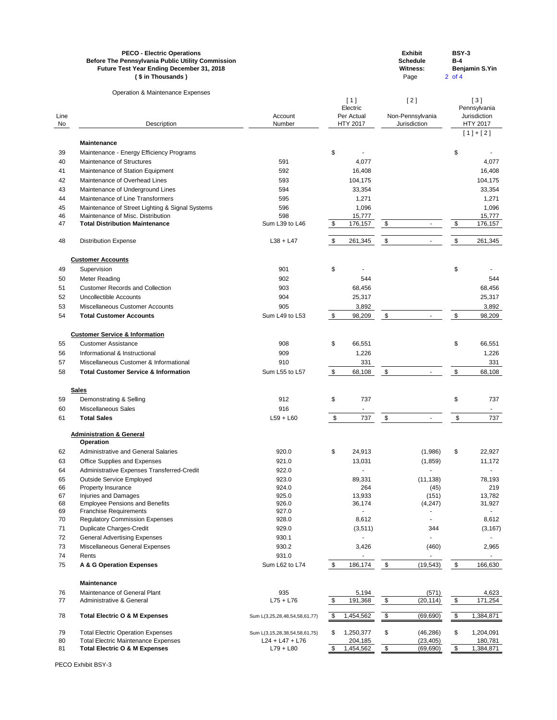| <b>PECO - Electric Operations</b>                        | <b>Exhibit</b>  | BSY-3                 |
|----------------------------------------------------------|-----------------|-----------------------|
| <b>Before The Pennsylvania Public Utility Commission</b> | <b>Schedule</b> | B-4                   |
| <b>Future Test Year Ending December 31, 2018</b>         | Witness:        | <b>Benjamin S.Yin</b> |
| (\$ in Thousands)                                        | Page            | 2 of 4                |

Operation & Maintenance Expenses

| Line     |                                                                        | Account                       | [1]<br>Electric<br>Per Actual |                 | [2]<br>Non-Pennsylvania    |              | [3]<br>Pennsylvania<br>Jurisdiction |                 |
|----------|------------------------------------------------------------------------|-------------------------------|-------------------------------|-----------------|----------------------------|--------------|-------------------------------------|-----------------|
| No       | Description                                                            | Number                        |                               | <b>HTY 2017</b> |                            | Jurisdiction |                                     | <b>HTY 2017</b> |
|          |                                                                        |                               |                               |                 |                            |              |                                     | $[1]+[2]$       |
|          | <b>Maintenance</b>                                                     |                               |                               |                 |                            |              |                                     |                 |
| 39       | Maintenance - Energy Efficiency Programs<br>Maintenance of Structures  | 591                           | $\boldsymbol{\theta}$         |                 |                            |              | \$                                  |                 |
| 40<br>41 | Maintenance of Station Equipment                                       | 592                           |                               | 4,077<br>16,408 |                            |              |                                     | 4,077<br>16,408 |
| 42       | Maintenance of Overhead Lines                                          | 593                           |                               | 104,175         |                            |              |                                     | 104,175         |
| 43       | Maintenance of Underground Lines                                       | 594                           |                               | 33,354          |                            |              |                                     | 33,354          |
| 44       | Maintenance of Line Transformers                                       | 595                           |                               | 1,271           |                            |              |                                     | 1,271           |
| 45       | Maintenance of Street Lighting & Signal Systems                        | 596                           |                               | 1,096           |                            |              |                                     | 1,096           |
| 46       | Maintenance of Misc. Distribution                                      | 598                           |                               | 15,777          |                            |              |                                     | 15,777          |
| 47       | <b>Total Distribution Maintenance</b>                                  | Sum L39 to L46                | $\sqrt[6]{3}$                 | 176,157         | $\boldsymbol{\mathsf{S}}$  |              | \$                                  | 176,157         |
| 48       | <b>Distribution Expense</b>                                            | $L38 + L47$                   | \$                            | 261,345         | \$                         |              | \$                                  | 261,345         |
|          | <b>Customer Accounts</b>                                               |                               |                               |                 |                            |              |                                     |                 |
| 49       | Supervision                                                            | 901                           | \$                            |                 |                            |              | \$                                  |                 |
| 50       | Meter Reading                                                          | 902                           |                               | 544             |                            |              |                                     | 544             |
| 51       | <b>Customer Records and Collection</b>                                 | 903                           |                               | 68,456          |                            |              |                                     | 68,456          |
| 52       | <b>Uncollectible Accounts</b>                                          | 904                           |                               | 25,317          |                            |              |                                     | 25,317          |
| 53       | <b>Miscellaneous Customer Accounts</b>                                 | 905                           |                               | 3,892           |                            |              |                                     | 3,892           |
| 54       | <b>Total Customer Accounts</b>                                         | Sum L49 to L53                | $\boldsymbol{\mathsf{\$}}$    | 98,209          | $\boldsymbol{\mathsf{\$}}$ |              | \$                                  | 98,209          |
|          | <b>Customer Service &amp; Information</b>                              |                               |                               |                 |                            |              |                                     |                 |
| 55       | <b>Customer Assistance</b>                                             | 908                           | \$                            | 66,551          |                            |              | \$                                  | 66,551          |
| 56       | Informational & Instructional                                          | 909                           |                               | 1,226           |                            |              |                                     | 1,226           |
| 57       | Miscellaneous Customer & Informational                                 | 910                           |                               | 331             |                            |              |                                     | 331             |
| 58       | <b>Total Customer Service &amp; Information</b>                        | Sum L55 to L57                | $\frac{1}{2}$                 | 68,108          | \$                         |              | \$                                  | 68,108          |
|          | <b>Sales</b>                                                           |                               |                               |                 |                            |              |                                     |                 |
| 59       | Demonstrating & Selling                                                | 912                           | \$                            | 737             |                            |              | \$                                  | 737             |
| 60       | <b>Miscellaneous Sales</b>                                             | 916                           |                               |                 |                            |              |                                     | $\blacksquare$  |
| 61       | <b>Total Sales</b>                                                     | $L59 + L60$                   | $\boldsymbol{\mathsf{\$}}$    | 737             | $\boldsymbol{\mathsf{S}}$  |              | \$                                  | 737             |
|          | <b>Administration &amp; General</b><br><b>Operation</b>                |                               |                               |                 |                            |              |                                     |                 |
| 62       | <b>Administrative and General Salaries</b>                             | 920.0                         | \$                            | 24,913          |                            | (1,986)      | \$                                  | 22,927          |
| 63       | Office Supplies and Expenses                                           | 921.0                         |                               | 13,031          |                            | (1,859)      |                                     | 11,172          |
| 64       | Administrative Expenses Transferred-Credit                             | 922.0                         |                               |                 |                            |              |                                     |                 |
| 65       | <b>Outside Service Employed</b>                                        | 923.0                         |                               | 89,331          |                            | (11, 138)    |                                     | 78,193          |
| 66       | Property Insurance                                                     | 924.0                         |                               | 264             |                            | (45)         |                                     | 219             |
| 67       | Injuries and Damages                                                   | 925.0                         |                               | 13,933          |                            | (151)        |                                     | 13,782          |
| 68<br>69 | <b>Employee Pensions and Benefits</b><br><b>Franchise Requirements</b> | 926.0<br>927.0                |                               | 36,174          |                            | (4, 247)     |                                     | 31,927          |
| 70       | <b>Regulatory Commission Expenses</b>                                  | 928.0                         |                               | 8,612           |                            |              |                                     | 8,612           |
| 71       | <b>Duplicate Charges-Credit</b>                                        | 929.0                         |                               | (3,511)         |                            | 344          |                                     | (3, 167)        |
| 72       | <b>General Advertising Expenses</b>                                    | 930.1                         |                               |                 |                            |              |                                     |                 |
| 73       | Miscellaneous General Expenses                                         | 930.2                         |                               | 3,426           |                            | (460)        |                                     | 2,965           |
| 74       | Rents                                                                  | 931.0                         |                               |                 |                            |              |                                     |                 |
| 75       | A & G Operation Expenses                                               | Sum L62 to L74                | \$                            | 186,174         | \$                         | (19, 543)    | \$                                  | 166,630         |
|          | <b>Maintenance</b>                                                     |                               |                               |                 |                            |              |                                     |                 |
| 76       | Maintenance of General Plant                                           | 935                           |                               | 5,194           |                            | (571)        |                                     | 4,623           |
| 77       | Administrative & General                                               | $L75 + L76$                   | \$                            | 191,368         | \$                         | (20, 114)    | $\frac{1}{2}$                       | 171,254         |
| 78       | <b>Total Electric O &amp; M Expenses</b>                               | Sum L(3,25,28,48,54,58,61,77) | \$                            | 1,454,562       | $\overline{\mathcal{G}}$   | (69, 690)    | \$                                  | 1,384,871       |
| 79       | <b>Total Electric Operation Expenses</b>                               | Sum L(3,15,28,38,54,58,61,75) | \$                            | 1,250,377       | \$                         | (46, 286)    | \$                                  | 1,204,091       |
| 80       | <b>Total Electric Maintenance Expenses</b>                             | $L24 + L47 + L76$             |                               | 204,185         |                            | (23, 405)    |                                     | 180,781         |
| 81       | <b>Total Electric O &amp; M Expenses</b>                               | $L79 + L80$                   | \$                            | 1,454,562       | \$                         | (69, 690)    | \$                                  | 1,384,871       |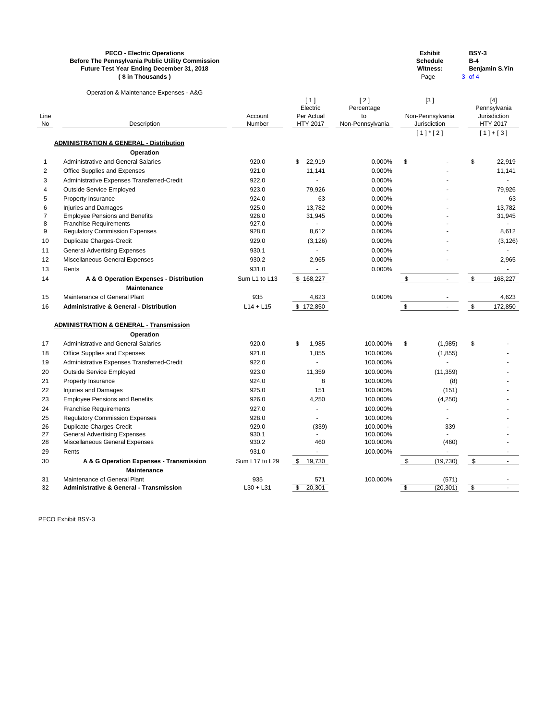|            | <b>PECO - Electric Operations</b><br><b>Before The Pennsylvania Public Utility Commission</b><br>Future Test Year Ending December 31, 2018<br>(\$ in Thousands) |                   |                               |                        |                            | <b>Exhibit</b><br><b>Schedule</b><br><b>Witness:</b><br>Page | <b>BSY-3</b><br>$B-4$<br>3 of 4 | <b>Benjamin S.Yin</b>           |
|------------|-----------------------------------------------------------------------------------------------------------------------------------------------------------------|-------------------|-------------------------------|------------------------|----------------------------|--------------------------------------------------------------|---------------------------------|---------------------------------|
|            | Operation & Maintenance Expenses - A&G                                                                                                                          |                   |                               |                        |                            |                                                              |                                 |                                 |
|            |                                                                                                                                                                 |                   | [1]                           | $[2]$                  |                            | [3]                                                          |                                 | $[4]$                           |
|            |                                                                                                                                                                 |                   | Electric                      | Percentage             |                            |                                                              |                                 | Pennsylvania                    |
| Line<br>No | Description                                                                                                                                                     | Account<br>Number | Per Actual<br><b>HTY 2017</b> | to<br>Non-Pennsylvania |                            | Non-Pennsylvania<br>Jurisdiction                             |                                 | Jurisdiction<br><b>HTY 2017</b> |
|            |                                                                                                                                                                 |                   |                               |                        |                            | $[1]$ <sup>*</sup> $[2]$                                     |                                 | $[1]+[3]$                       |
|            | <b>ADMINISTRATION &amp; GENERAL - Distribution</b>                                                                                                              |                   |                               |                        |                            |                                                              |                                 |                                 |
|            | <b>Operation</b>                                                                                                                                                |                   |                               |                        |                            |                                                              |                                 |                                 |
| 1          | <b>Administrative and General Salaries</b>                                                                                                                      | 920.0             | 22,919<br>\$                  | 0.000%                 | \$                         |                                                              | \$                              | 22,919                          |
| 2          | Office Supplies and Expenses                                                                                                                                    | 921.0             | 11,141                        | 0.000%                 |                            |                                                              |                                 | 11,141                          |
| 3          | Administrative Expenses Transferred-Credit                                                                                                                      | 922.0             |                               | 0.000%                 |                            |                                                              |                                 |                                 |
| 4          | <b>Outside Service Employed</b>                                                                                                                                 | 923.0             | 79,926                        | 0.000%                 |                            |                                                              |                                 | 79,926                          |
| 5          | Property Insurance                                                                                                                                              | 924.0             | 63                            | 0.000%                 |                            |                                                              |                                 | 63                              |
| 6          | <b>Injuries and Damages</b>                                                                                                                                     | 925.0             | 13,782                        | 0.000%                 |                            |                                                              |                                 | 13,782                          |
| 7          | <b>Employee Pensions and Benefits</b>                                                                                                                           | 926.0             | 31,945                        | 0.000%                 |                            |                                                              |                                 | 31,945                          |
| 8          | <b>Franchise Requirements</b>                                                                                                                                   | 927.0             |                               | 0.000%                 |                            |                                                              |                                 |                                 |
| 9          | <b>Regulatory Commission Expenses</b>                                                                                                                           | 928.0             | 8,612                         | 0.000%                 |                            |                                                              |                                 | 8,612                           |
| 10         | <b>Duplicate Charges-Credit</b>                                                                                                                                 | 929.0             | (3, 126)                      | 0.000%                 |                            |                                                              |                                 | (3, 126)                        |
| 11         | <b>General Advertising Expenses</b>                                                                                                                             | 930.1             |                               | 0.000%                 |                            |                                                              |                                 |                                 |
| 12         | Miscellaneous General Expenses                                                                                                                                  | 930.2             | 2,965                         | 0.000%                 |                            |                                                              |                                 | 2,965                           |
| 13         | Rents                                                                                                                                                           | 931.0             |                               | 0.000%                 |                            |                                                              |                                 |                                 |
| 14         | A & G Operation Expenses - Distribution                                                                                                                         | Sum L1 to L13     | \$168,227                     |                        | $\boldsymbol{\mathsf{S}}$  | $\sim$                                                       | \$                              | 168,227                         |
|            | <b>Maintenance</b>                                                                                                                                              |                   |                               |                        |                            |                                                              |                                 |                                 |
| 15         | Maintenance of General Plant                                                                                                                                    | 935               | 4,623                         | 0.000%                 |                            |                                                              |                                 | 4,623                           |
| 16         | <b>Administrative &amp; General - Distribution</b>                                                                                                              | $L14 + L15$       | \$172,850                     |                        | \$                         |                                                              | \$                              | 172,850                         |
|            | <b>ADMINISTRATION &amp; GENERAL - Transmission</b>                                                                                                              |                   |                               |                        |                            |                                                              |                                 |                                 |
|            | Operation                                                                                                                                                       |                   |                               |                        |                            |                                                              |                                 |                                 |
| 17         | <b>Administrative and General Salaries</b>                                                                                                                      | 920.0             | 1,985<br>\$                   | 100.000%               | \$                         | (1,985)                                                      | \$                              |                                 |
| 18         | Office Supplies and Expenses                                                                                                                                    | 921.0             | 1,855                         | 100.000%               |                            | (1, 855)                                                     |                                 |                                 |
| 19         | Administrative Expenses Transferred-Credit                                                                                                                      | 922.0             |                               | 100.000%               |                            |                                                              |                                 |                                 |
| 20         | <b>Outside Service Employed</b>                                                                                                                                 | 923.0             | 11,359                        | 100.000%               |                            | (11, 359)                                                    |                                 |                                 |
| 21         | Property Insurance                                                                                                                                              | 924.0             | 8                             | 100.000%               |                            | (8)                                                          |                                 |                                 |
| 22         | <b>Injuries and Damages</b>                                                                                                                                     | 925.0             | 151                           | 100.000%               |                            | (151)                                                        |                                 |                                 |
| 23         | <b>Employee Pensions and Benefits</b>                                                                                                                           | 926.0             | 4,250                         | 100.000%               |                            | (4,250)                                                      |                                 |                                 |
| 24         | <b>Franchise Requirements</b>                                                                                                                                   | 927.0             |                               | 100.000%               |                            |                                                              |                                 |                                 |
| 25         | <b>Regulatory Commission Expenses</b>                                                                                                                           | 928.0             |                               | 100.000%               |                            |                                                              |                                 |                                 |
| 26         | <b>Duplicate Charges-Credit</b>                                                                                                                                 | 929.0             | (339)                         | 100.000%               |                            | 339                                                          |                                 |                                 |
| 27         | <b>General Advertising Expenses</b>                                                                                                                             | 930.1             |                               | 100.000%               |                            |                                                              |                                 |                                 |
| 28         | Miscellaneous General Expenses                                                                                                                                  | 930.2             | 460                           | 100.000%               |                            | (460)                                                        |                                 |                                 |
| 29         | Rents                                                                                                                                                           | 931.0             |                               | 100.000%               |                            | $\blacksquare$                                               |                                 |                                 |
| 30         | A & G Operation Expenses - Transmission                                                                                                                         | Sum L17 to L29    | 19,730<br>$\mathfrak s$       |                        | $\boldsymbol{\mathsf{\$}}$ | (19, 730)                                                    | $\sqrt[6]{3}$                   |                                 |
|            | <b>Maintenance</b>                                                                                                                                              |                   |                               |                        |                            |                                                              |                                 |                                 |
| 31         | Maintenance of General Plant                                                                                                                                    | 935               | 571                           | 100.000%               |                            | (571)                                                        |                                 |                                 |
| 32         | <b>Administrative &amp; General - Transmission</b>                                                                                                              | $L30 + L31$       | $\mathfrak{S}$<br>20,301      |                        | \$                         | (20, 301)                                                    | \$                              |                                 |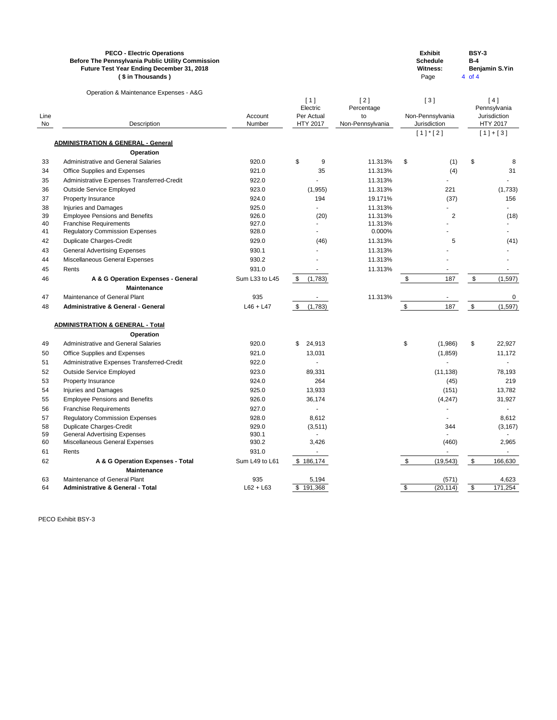|      | <b>PECO - Electric Operations</b><br>Before The Pennsylvania Public Utility Commission<br>Future Test Year Ending December 31, 2018<br>(\$ in Thousands) |                |                                      |                  |               | <b>Exhibit</b><br><b>Schedule</b><br><b>Witness:</b><br>Page | <b>BSY-3</b><br>$B-4$<br>4 of 4 | <b>Benjamin S.Yin</b>        |
|------|----------------------------------------------------------------------------------------------------------------------------------------------------------|----------------|--------------------------------------|------------------|---------------|--------------------------------------------------------------|---------------------------------|------------------------------|
|      | Operation & Maintenance Expenses - A&G                                                                                                                   |                |                                      |                  |               |                                                              |                                 |                              |
|      |                                                                                                                                                          |                | [1]                                  | $[2]$            |               | [3]                                                          |                                 | [4]                          |
| Line |                                                                                                                                                          | Account        | Electric<br>Per Actual               | Percentage<br>to |               | Non-Pennsylvania                                             |                                 | Pennsylvania<br>Jurisdiction |
| No   | Description                                                                                                                                              | Number         | <b>HTY 2017</b>                      | Non-Pennsylvania |               | Jurisdiction                                                 |                                 | HTY 2017                     |
|      |                                                                                                                                                          |                |                                      |                  |               | $[1]$ <sup>*</sup> $[2]$                                     |                                 | $[1]+[3]$                    |
|      | <b>ADMINISTRATION &amp; GENERAL - General</b>                                                                                                            |                |                                      |                  |               |                                                              |                                 |                              |
|      | <b>Operation</b>                                                                                                                                         |                |                                      |                  |               |                                                              |                                 |                              |
| 33   | <b>Administrative and General Salaries</b>                                                                                                               | 920.0          | \$<br>9                              | 11.313%          | \$            | (1)                                                          | \$                              | 8                            |
| 34   | Office Supplies and Expenses                                                                                                                             | 921.0          | 35                                   | 11.313%          |               | (4)                                                          |                                 | 31                           |
| 35   | Administrative Expenses Transferred-Credit                                                                                                               | 922.0          |                                      | 11.313%          |               |                                                              |                                 |                              |
| 36   | <b>Outside Service Employed</b>                                                                                                                          | 923.0          | (1, 955)                             | 11.313%          |               | 221                                                          |                                 | (1,733)                      |
| 37   | Property Insurance                                                                                                                                       | 924.0          | 194                                  | 19.171%          |               | (37)                                                         |                                 | 156                          |
| 38   | <b>Injuries and Damages</b>                                                                                                                              | 925.0          |                                      | 11.313%          |               |                                                              |                                 |                              |
| 39   | <b>Employee Pensions and Benefits</b>                                                                                                                    | 926.0          | (20)                                 | 11.313%          |               | $\overline{2}$                                               |                                 | (18)                         |
| 40   | <b>Franchise Requirements</b>                                                                                                                            | 927.0          |                                      | 11.313%          |               |                                                              |                                 |                              |
| 41   | <b>Regulatory Commission Expenses</b>                                                                                                                    | 928.0          |                                      | 0.000%           |               |                                                              |                                 |                              |
| 42   | <b>Duplicate Charges-Credit</b>                                                                                                                          | 929.0          | (46)                                 | 11.313%          |               | 5                                                            |                                 | (41)                         |
| 43   | <b>General Advertising Expenses</b>                                                                                                                      | 930.1          |                                      | 11.313%          |               |                                                              |                                 |                              |
| 44   | Miscellaneous General Expenses                                                                                                                           | 930.2          |                                      | 11.313%          |               |                                                              |                                 |                              |
| 45   | Rents                                                                                                                                                    | 931.0          |                                      | 11.313%          |               |                                                              |                                 |                              |
| 46   | A & G Operation Expenses - General                                                                                                                       | Sum L33 to L45 | $\boldsymbol{\mathsf{S}}$<br>(1,783) |                  | $\frac{1}{2}$ | 187                                                          | $\sqrt[6]{3}$                   | (1, 597)                     |
|      | <b>Maintenance</b>                                                                                                                                       |                |                                      |                  |               |                                                              |                                 |                              |
| 47   | Maintenance of General Plant                                                                                                                             | 935            |                                      | 11.313%          |               |                                                              |                                 | 0                            |
| 48   | <b>Administrative &amp; General - General</b>                                                                                                            | $L46 + L47$    | S.<br>(1,783)                        |                  | \$            | 187                                                          | $\frac{1}{2}$                   | (1, 597)                     |
|      | <b>ADMINISTRATION &amp; GENERAL - Total</b>                                                                                                              |                |                                      |                  |               |                                                              |                                 |                              |
|      | <b>Operation</b>                                                                                                                                         |                |                                      |                  |               |                                                              |                                 |                              |
| 49   | <b>Administrative and General Salaries</b>                                                                                                               | 920.0          | \$<br>24,913                         |                  | \$            | (1,986)                                                      | \$                              | 22,927                       |
| 50   | Office Supplies and Expenses                                                                                                                             | 921.0          | 13,031                               |                  |               | (1,859)                                                      |                                 | 11,172                       |
| 51   | Administrative Expenses Transferred-Credit                                                                                                               | 922.0          |                                      |                  |               |                                                              |                                 |                              |
| 52   | <b>Outside Service Employed</b>                                                                                                                          | 923.0          | 89,331                               |                  |               | (11, 138)                                                    |                                 | 78,193                       |
| 53   | Property Insurance                                                                                                                                       | 924.0          | 264                                  |                  |               | (45)                                                         |                                 | 219                          |
| 54   | <b>Injuries and Damages</b>                                                                                                                              | 925.0          | 13,933                               |                  |               | (151)                                                        |                                 | 13,782                       |
| 55   | <b>Employee Pensions and Benefits</b>                                                                                                                    | 926.0          | 36,174                               |                  |               | (4,247)                                                      |                                 | 31,927                       |
| 56   | <b>Franchise Requirements</b>                                                                                                                            | 927.0          |                                      |                  |               |                                                              |                                 |                              |
| 57   | <b>Regulatory Commission Expenses</b>                                                                                                                    | 928.0          | 8,612                                |                  |               |                                                              |                                 | 8,612                        |
| 58   | <b>Duplicate Charges-Credit</b>                                                                                                                          | 929.0          | (3, 511)                             |                  |               | 344                                                          |                                 | (3, 167)                     |
| 59   | <b>General Advertising Expenses</b>                                                                                                                      | 930.1          |                                      |                  |               |                                                              |                                 |                              |
| 60   | Miscellaneous General Expenses                                                                                                                           | 930.2          | 3,426                                |                  |               | (460)                                                        |                                 | 2,965                        |
| 61   | Rents                                                                                                                                                    | 931.0          | $\blacksquare$                       |                  |               |                                                              |                                 | $\blacksquare$               |
| 62   | A & G Operation Expenses - Total                                                                                                                         | Sum L49 to L61 | \$186,174                            |                  | \$            | (19, 543)                                                    | $\,$                            | 166,630                      |
|      | <b>Maintenance</b>                                                                                                                                       |                |                                      |                  |               |                                                              |                                 |                              |
| 63   | Maintenance of General Plant                                                                                                                             | 935            | 5,194                                |                  |               | (571)                                                        |                                 | 4,623                        |
| 64   | <b>Administrative &amp; General - Total</b>                                                                                                              | $L62 + L63$    | \$191,368                            |                  | \$            | (20, 114)                                                    | $\sqrt[6]{\frac{1}{2}}$         | 171,254                      |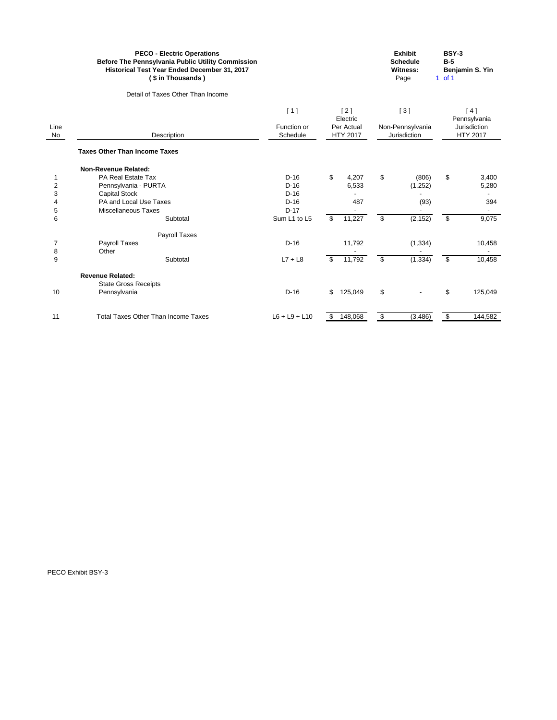|                           | <b>PECO - Electric Operations</b><br>Before The Pennsylvania Public Utility Commission<br>Historical Test Year Ended December 31, 2017<br>(\$ in Thousands) |                         |                               | <b>Exhibit</b><br><b>Schedule</b><br><b>Witness:</b><br>Page | <b>BSY-3</b><br>$B-5$<br>Benjamin S. Yin<br>$1$ of 1 |
|---------------------------|-------------------------------------------------------------------------------------------------------------------------------------------------------------|-------------------------|-------------------------------|--------------------------------------------------------------|------------------------------------------------------|
|                           | Detail of Taxes Other Than Income                                                                                                                           |                         |                               |                                                              |                                                      |
|                           |                                                                                                                                                             | [1]                     | [2]<br>Electric               | $[3]$                                                        | [4]<br>Pennsylvania                                  |
| Line<br>No                | Description                                                                                                                                                 | Function or<br>Schedule | Per Actual<br><b>HTY 2017</b> | Non-Pennsylvania<br>Jurisdiction                             | Jurisdiction<br><b>HTY 2017</b>                      |
|                           | <b>Taxes Other Than Income Taxes</b>                                                                                                                        |                         |                               |                                                              |                                                      |
|                           | <b>Non-Revenue Related:</b>                                                                                                                                 |                         |                               |                                                              |                                                      |
| 1                         | PA Real Estate Tax                                                                                                                                          | $D-16$                  | \$<br>4,207                   | \$<br>(806)                                                  | \$<br>3,400                                          |
| $\overline{2}$            | Pennsylvania - PURTA                                                                                                                                        | $D-16$                  | 6,533                         | (1, 252)                                                     | 5,280                                                |
| $\ensuremath{\mathsf{3}}$ | <b>Capital Stock</b>                                                                                                                                        | $D-16$                  |                               |                                                              |                                                      |
| 4                         | PA and Local Use Taxes                                                                                                                                      | $D-16$                  | 487                           | (93)                                                         | 394                                                  |
| 5                         | <b>Miscellaneous Taxes</b>                                                                                                                                  | $D-17$                  |                               |                                                              |                                                      |
| $\,6$                     | Subtotal                                                                                                                                                    | Sum L1 to L5            | 11,227<br>\$                  | $\overline{\mathbf{S}}$<br>(2, 152)                          | $\overline{\mathbf{S}}$<br>9,075                     |
|                           | Payroll Taxes                                                                                                                                               |                         |                               |                                                              |                                                      |
| $\overline{7}$            | <b>Payroll Taxes</b>                                                                                                                                        | $D-16$                  | 11,792                        | (1, 334)                                                     | 10,458                                               |
| 8                         | Other                                                                                                                                                       |                         |                               |                                                              |                                                      |
| 9                         | Subtotal                                                                                                                                                    | $L7 + L8$               | $\mathfrak{S}$<br>11,792      | \$<br>(1, 334)                                               | $\overline{\mathbf{3}}$<br>10,458                    |
|                           | <b>Revenue Related:</b>                                                                                                                                     |                         |                               |                                                              |                                                      |
|                           | <b>State Gross Receipts</b>                                                                                                                                 |                         |                               |                                                              |                                                      |
| 10                        | Pennsylvania                                                                                                                                                | $D-16$                  | \$<br>125,049                 | \$                                                           | \$<br>125,049                                        |
| 11                        | <b>Total Taxes Other Than Income Taxes</b>                                                                                                                  | $L6 + L9 + L10$         | 148,068<br>\$                 | \$<br>(3, 486)                                               | $\frac{1}{2}$<br>144,582                             |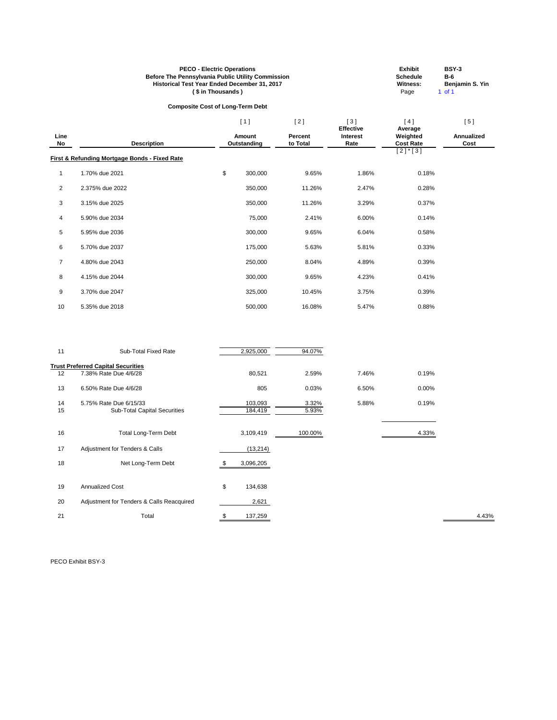| <b>PECO - Electric Operations</b>                        | <b>Exhibit</b>  | <b>BSY-3</b>           |
|----------------------------------------------------------|-----------------|------------------------|
| <b>Before The Pennsylvania Public Utility Commission</b> | <b>Schedule</b> | <b>B-6</b>             |
| <b>Historical Test Year Ended December 31, 2017</b>      | Witness:        | <b>Benjamin S. Yin</b> |
| (\$ in Thousands)                                        | Page            | 1 of 1                 |

# **Composite Cost of Long-Term Debt**

|                |                                                          | [1]                          | [2]                        | [3]<br><b>Effective</b> | [4]                                     | [5]                       |
|----------------|----------------------------------------------------------|------------------------------|----------------------------|-------------------------|-----------------------------------------|---------------------------|
| Line<br>No     | <b>Description</b>                                       | <b>Amount</b><br>Outstanding | <b>Percent</b><br>to Total | <b>Interest</b><br>Rate | Average<br>Weighted<br><b>Cost Rate</b> | <b>Annualized</b><br>Cost |
|                | <b>First &amp; Refunding Mortgage Bonds - Fixed Rate</b> |                              |                            |                         | $[2]$ *[3]                              |                           |
| 1              | 1.70% due 2021                                           | \$<br>300,000                | 9.65%                      | 1.86%                   | 0.18%                                   |                           |
| $\overline{2}$ | 2.375% due 2022                                          | 350,000                      | 11.26%                     | 2.47%                   | 0.28%                                   |                           |
| 3              | 3.15% due 2025                                           | 350,000                      | 11.26%                     | 3.29%                   | 0.37%                                   |                           |
| 4              | 5.90% due 2034                                           | 75,000                       | 2.41%                      | 6.00%                   | 0.14%                                   |                           |
| 5              | 5.95% due 2036                                           | 300,000                      | 9.65%                      | 6.04%                   | 0.58%                                   |                           |
| 6              | 5.70% due 2037                                           | 175,000                      | 5.63%                      | 5.81%                   | 0.33%                                   |                           |
| $\overline{7}$ | 4.80% due 2043                                           | 250,000                      | 8.04%                      | 4.89%                   | 0.39%                                   |                           |
| 8              | 4.15% due 2044                                           | 300,000                      | 9.65%                      | 4.23%                   | 0.41%                                   |                           |
| 9              | 3.70% due 2047                                           | 325,000                      | 10.45%                     | 3.75%                   | 0.39%                                   |                           |
| 10             | 5.35% due 2018                                           | 500,000                      | 16.08%                     | 5.47%                   | 0.88%                                   |                           |

| 11       | Sub-Total Fixed Rate                                          | 2,925,000          | 94.07%         |       |       |       |
|----------|---------------------------------------------------------------|--------------------|----------------|-------|-------|-------|
|          | <b>Trust Preferred Capital Securities</b>                     |                    |                |       |       |       |
| 12       | 7.38% Rate Due 4/6/28                                         | 80,521             | 2.59%          | 7.46% | 0.19% |       |
| 13       | 6.50% Rate Due 4/6/28                                         | 805                | 0.03%          | 6.50% | 0.00% |       |
| 14<br>15 | 5.75% Rate Due 6/15/33<br><b>Sub-Total Capital Securities</b> | 103,093<br>184,419 | 3.32%<br>5.93% | 5.88% | 0.19% |       |
| 16       | <b>Total Long-Term Debt</b>                                   | 3,109,419          | 100.00%        |       | 4.33% |       |
| 17       | Adjustment for Tenders & Calls                                | (13, 214)          |                |       |       |       |
| 18       | Net Long-Term Debt                                            | 3,096,205          |                |       |       |       |
| 19       | <b>Annualized Cost</b>                                        | \$<br>134,638      |                |       |       |       |
| 20       | Adjustment for Tenders & Calls Reacquired                     | 2,621              |                |       |       |       |
| 21       | Total                                                         | \$<br>137,259      |                |       |       | 4.43% |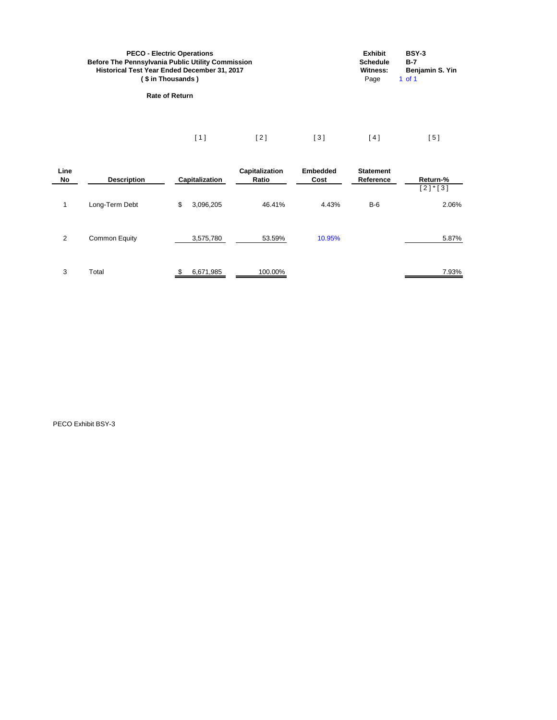| <b>PECO - Electric Operations</b><br><b>Before The Pennsylvania Public Utility Commission</b><br>Historical Test Year Ended December 31, 2017<br>(\$in Thousands) |     |     |                   | <b>Exhibit</b><br><b>Schedule</b><br>Witness:<br>Page | BSY-3<br>$B-7$<br>Benjamin S. Yin<br>1 of 1 |
|-------------------------------------------------------------------------------------------------------------------------------------------------------------------|-----|-----|-------------------|-------------------------------------------------------|---------------------------------------------|
| <b>Rate of Return</b>                                                                                                                                             |     |     |                   |                                                       |                                             |
|                                                                                                                                                                   | [1] | [2] | $\lceil 3 \rceil$ | ີ 4 1                                                 | 51                                          |

| Line<br>No     | <b>Description</b> | Capitalization  | <b>Capitalization</b><br>Ratio | <b>Embedded</b><br>Cost | <b>Statement</b><br>Reference | Return-%<br>$[2]$ * $[3]$ |
|----------------|--------------------|-----------------|--------------------------------|-------------------------|-------------------------------|---------------------------|
| 1              | Long-Term Debt     | \$<br>3,096,205 | 46.41%                         | 4.43%                   | $B-6$                         | 2.06%                     |
| $\overline{2}$ | Common Equity      | 3,575,780       | 53.59%                         | 10.95%                  |                               | 5.87%                     |
| 3              | Total              | 6,671,985       | 100.00%                        |                         |                               | 7.93%                     |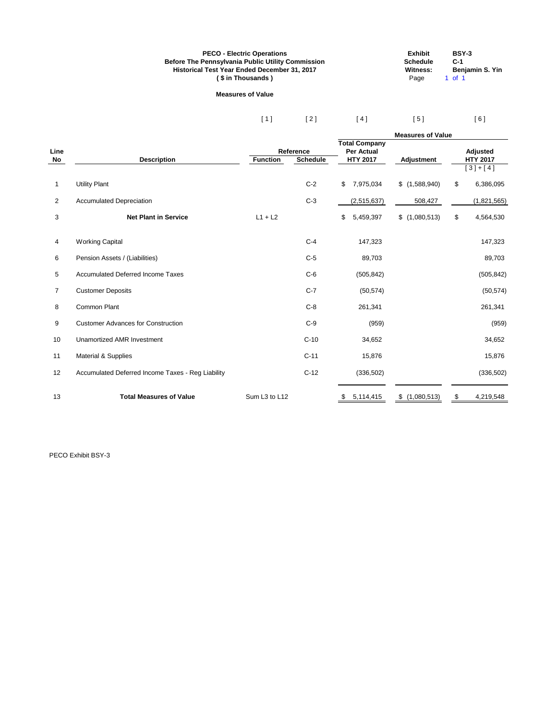#### **PECO - Electric Operations Exhibit BSY-3 Before The Pennsylvania Public Utility Commission Schedule C-1 Historical Test Year Ended December 31, 2017 Witness: Benjamin S. Yin (\$in Thousands)** Page 1 of 1

#### **Measures of Value**

| [1] | [2] | $[4]$ | [5] | [6] |
|-----|-----|-------|-----|-----|
|     |     |       |     |     |

|                |                                                   |                 |                              | <b>Measures of Value</b>                  |                      |    |                                    |  |
|----------------|---------------------------------------------------|-----------------|------------------------------|-------------------------------------------|----------------------|----|------------------------------------|--|
|                |                                                   |                 |                              | <b>Total Company</b><br><b>Per Actual</b> |                      |    |                                    |  |
| Line<br>No     | <b>Description</b>                                | <b>Function</b> | Reference<br><b>Schedule</b> | <b>HTY 2017</b>                           | <b>Adjustment</b>    |    | <b>Adjusted</b><br><b>HTY 2017</b> |  |
|                |                                                   |                 |                              |                                           |                      |    | $[3]+[4]$                          |  |
| 1              | <b>Utility Plant</b>                              |                 | $C-2$                        | \$<br>7,975,034                           | \$(1,588,940)        | \$ | 6,386,095                          |  |
| $\overline{2}$ | <b>Accumulated Depreciation</b>                   |                 | $C-3$                        | (2,515,637)                               | 508,427              |    | (1,821,565)                        |  |
| 3              | <b>Net Plant in Service</b>                       | $L1 + L2$       |                              | 5,459,397<br>\$                           | \$(1,080,513)        | \$ | 4,564,530                          |  |
| 4              | <b>Working Capital</b>                            |                 | $C-4$                        | 147,323                                   |                      |    | 147,323                            |  |
| 6              | Pension Assets / (Liabilities)                    |                 | $C-5$                        | 89,703                                    |                      |    | 89,703                             |  |
| 5              | <b>Accumulated Deferred Income Taxes</b>          |                 | $C-6$                        | (505, 842)                                |                      |    | (505, 842)                         |  |
| $\overline{7}$ | <b>Customer Deposits</b>                          |                 | $C-7$                        | (50, 574)                                 |                      |    | (50, 574)                          |  |
| 8              | Common Plant                                      |                 | $C-8$                        | 261,341                                   |                      |    | 261,341                            |  |
| 9              | <b>Customer Advances for Construction</b>         |                 | $C-9$                        | (959)                                     |                      |    | (959)                              |  |
| 10             | <b>Unamortized AMR Investment</b>                 |                 | $C-10$                       | 34,652                                    |                      |    | 34,652                             |  |
| 11             | Material & Supplies                               |                 | $C-11$                       | 15,876                                    |                      |    | 15,876                             |  |
| 12             | Accumulated Deferred Income Taxes - Reg Liability |                 | $C-12$                       | (336, 502)                                |                      |    | (336, 502)                         |  |
| 13             | <b>Total Measures of Value</b>                    | Sum L3 to L12   |                              | 5,114,415<br>S.                           | $\$\$<br>(1,080,513) | \$ | 4,219,548                          |  |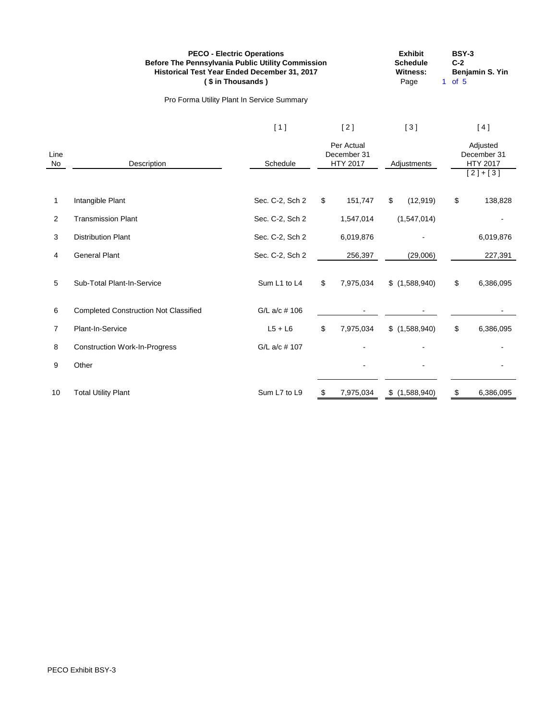|            | <b>PECO - Electric Operations</b><br>Before The Pennsylvania Public Utility Commission<br>Historical Test Year Ended December 31, 2017<br>(\$ in Thousands) |                 |                |                                              |               | <b>Exhibit</b><br><b>Schedule</b><br><b>Witness:</b><br>Page | <b>BSY-3</b><br>$C-2$<br>1 of $5$ | Benjamin S. Yin                                  |
|------------|-------------------------------------------------------------------------------------------------------------------------------------------------------------|-----------------|----------------|----------------------------------------------|---------------|--------------------------------------------------------------|-----------------------------------|--------------------------------------------------|
|            | Pro Forma Utility Plant In Service Summary                                                                                                                  |                 |                |                                              |               |                                                              |                                   |                                                  |
|            |                                                                                                                                                             | $[1]$           |                | $[2]$                                        |               | $[3]$                                                        |                                   | [4]                                              |
| Line<br>No | Description                                                                                                                                                 | Schedule        |                | Per Actual<br>December 31<br><b>HTY 2017</b> |               | Adjustments                                                  |                                   | Adjusted<br>December 31<br>HTY 2017<br>$[2]+[3]$ |
| 1          | Intangible Plant                                                                                                                                            | Sec. C-2, Sch 2 | \$             | 151,747                                      | $\frac{1}{2}$ | (12, 919)                                                    | \$                                | 138,828                                          |
| 2          | <b>Transmission Plant</b>                                                                                                                                   | Sec. C-2, Sch 2 |                | 1,547,014                                    |               | (1,547,014)                                                  |                                   |                                                  |
| 3          | <b>Distribution Plant</b>                                                                                                                                   | Sec. C-2, Sch 2 |                | 6,019,876                                    |               |                                                              |                                   | 6,019,876                                        |
| 4          | <b>General Plant</b>                                                                                                                                        | Sec. C-2, Sch 2 |                | 256,397                                      |               | (29,006)                                                     |                                   | 227,391                                          |
| 5          | Sub-Total Plant-In-Service                                                                                                                                  | Sum L1 to L4    | $\mathfrak{L}$ | 7,975,034                                    |               | \$(1,588,940)                                                | \$                                | 6,386,095                                        |
| 6          | <b>Completed Construction Not Classified</b>                                                                                                                | G/L a/c # 106   |                |                                              |               |                                                              |                                   |                                                  |
| 7          | Plant-In-Service                                                                                                                                            | $L5 + L6$       | \$             | 7,975,034                                    |               | \$(1,588,940)                                                | $\mathfrak{L}$                    | 6,386,095                                        |
| 8          | <b>Construction Work-In-Progress</b>                                                                                                                        | G/L a/c # 107   |                |                                              |               |                                                              |                                   |                                                  |
| 9          | Other                                                                                                                                                       |                 |                |                                              |               |                                                              |                                   |                                                  |
| 10         | <b>Total Utility Plant</b>                                                                                                                                  | Sum L7 to L9    | \$             | 7,975,034                                    | \$            | (1,588,940)                                                  | \$                                | 6,386,095                                        |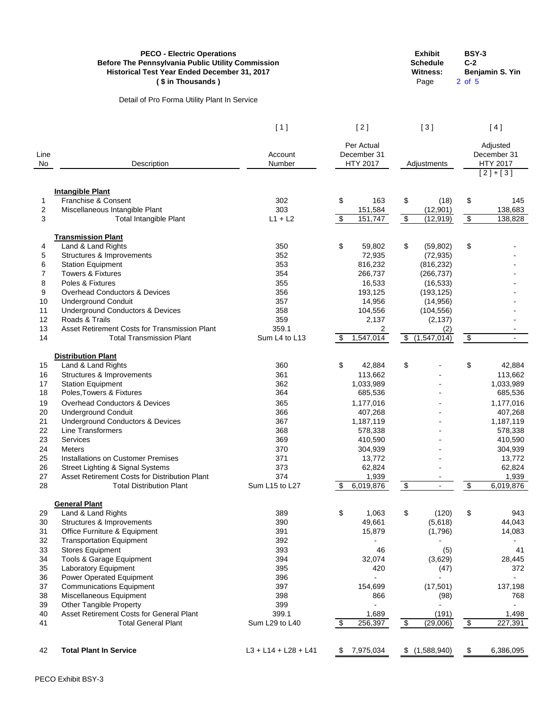| <b>PECO - Electric Operations</b>                        | <b>Exhibit</b> | <b>BSY-3</b>    |
|----------------------------------------------------------|----------------|-----------------|
| <b>Before The Pennsylvania Public Utility Commission</b> | Schedule       | $C-2$           |
| <b>Historical Test Year Ended December 31, 2017</b>      | Witness:       | Benjamin S. Yin |
| (\$ in Thousands)                                        | Page           | 2 of 5          |

Detail of Pro Forma Utility Plant In Service

| raye | <u>∠ ∪⊢ວ</u> |
|------|--------------|
|      |              |
|      |              |
|      |              |

| [1] | [2] | $[3]$ | [4] |
|-----|-----|-------|-----|
|     |     |       |     |

| Line           |                                               | Account                | Per Actual<br>December 31             |                                          |                            | Adjusted<br>December 31                 |
|----------------|-----------------------------------------------|------------------------|---------------------------------------|------------------------------------------|----------------------------|-----------------------------------------|
| No             | Description                                   | Number                 | <b>HTY 2017</b>                       | Adjustments                              |                            | <b>HTY 2017</b><br>$\overline{[2]+[3]}$ |
|                |                                               |                        |                                       |                                          |                            |                                         |
|                | <b>Intangible Plant</b>                       |                        |                                       |                                          |                            |                                         |
| 1              | Franchise & Consent                           | 302                    | \$<br>163                             | \$<br>(18)                               | \$                         | 145                                     |
| $\overline{c}$ | Miscellaneous Intangible Plant                | 303                    | 151,584                               | (12, 901)                                |                            | 138,683                                 |
| 3              | <b>Total Intangible Plant</b>                 | $L1 + L2$              | \$<br>151,747                         | $\overline{\mathcal{L}}$<br>(12, 919)    | $\overline{\theta}$        | 138,828                                 |
|                | <b>Transmission Plant</b>                     |                        |                                       |                                          |                            |                                         |
| 4              | Land & Land Rights                            | 350                    | \$<br>59,802                          | \$<br>(59, 802)                          | \$                         |                                         |
| 5              | Structures & Improvements                     | 352                    | 72,935                                | (72, 935)                                |                            |                                         |
| 6              | <b>Station Equipment</b>                      | 353                    | 816,232                               | (816, 232)                               |                            |                                         |
| 7              | <b>Towers &amp; Fixtures</b>                  | 354                    | 266,737                               | (266, 737)                               |                            |                                         |
| 8              | Poles & Fixtures                              | 355                    | 16,533                                | (16, 533)                                |                            |                                         |
| 9              | <b>Overhead Conductors &amp; Devices</b>      | 356                    | 193,125                               | (193, 125)                               |                            |                                         |
| 10             | <b>Underground Conduit</b>                    | 357                    | 14,956                                | (14, 956)                                |                            |                                         |
| 11             | <b>Underground Conductors &amp; Devices</b>   | 358                    | 104,556                               | (104, 556)                               |                            |                                         |
| 12             | Roads & Trails                                | 359                    | 2,137                                 | (2, 137)                                 |                            |                                         |
| 13             | Asset Retirement Costs for Transmission Plant | 359.1                  | 2                                     | (2)                                      |                            |                                         |
| 14             | <b>Total Transmission Plant</b>               | Sum L4 to L13          | 1,547,014<br>\$                       | $\overline{\mathbf{e}}$<br>(1, 547, 014) | $\overline{\mathbf{3}}$    |                                         |
|                |                                               |                        |                                       |                                          |                            |                                         |
| 15             | <b>Distribution Plant</b>                     | 360                    | \$                                    | \$                                       | \$                         |                                         |
| 16             | Land & Land Rights                            | 361                    | 42,884                                |                                          |                            | 42,884                                  |
| 17             | Structures & Improvements                     |                        | 113,662                               |                                          |                            | 113,662                                 |
| 18             | <b>Station Equipment</b>                      | 362<br>364             | 1,033,989                             |                                          |                            | 1,033,989                               |
|                | Poles, Towers & Fixtures                      |                        | 685,536                               |                                          |                            | 685,536                                 |
| 19             | <b>Overhead Conductors &amp; Devices</b>      | 365                    | 1,177,016                             |                                          |                            | 1,177,016                               |
| 20             | <b>Underground Conduit</b>                    | 366                    | 407,268                               |                                          |                            | 407,268                                 |
| 21             | <b>Underground Conductors &amp; Devices</b>   | 367                    | 1,187,119                             |                                          |                            | 1,187,119                               |
| 22             | Line Transformers                             | 368                    | 578,338                               |                                          |                            | 578,338                                 |
| 23             | Services                                      | 369                    | 410,590                               |                                          |                            | 410,590                                 |
| 24             | <b>Meters</b>                                 | 370                    | 304,939                               |                                          |                            | 304,939                                 |
| 25             | <b>Installations on Customer Premises</b>     | 371                    | 13,772                                |                                          |                            | 13,772                                  |
| 26             | <b>Street Lighting &amp; Signal Systems</b>   | 373                    | 62,824                                |                                          |                            | 62,824                                  |
| 27             | Asset Retirement Costs for Distribution Plant | 374                    | 1,939                                 | $\overline{\phantom{a}}$                 |                            | 1,939                                   |
| 28             | <b>Total Distribution Plant</b>               | Sum L15 to L27         | 6,019,876<br>\$                       | $\overline{\mathbf{e}}$                  | \$                         | 6,019,876                               |
|                | <b>General Plant</b>                          |                        |                                       |                                          |                            |                                         |
| 29             | Land & Land Rights                            | 389                    | \$<br>1,063                           | \$<br>(120)                              | \$                         | 943                                     |
| 30             | Structures & Improvements                     | 390                    | 49,661                                | (5,618)                                  |                            | 44,043                                  |
| 31             | Office Furniture & Equipment                  | 391                    | 15,879                                | (1,796)                                  |                            | 14,083                                  |
| 32             | <b>Transportation Equipment</b>               | 392                    |                                       |                                          |                            |                                         |
| 33             | <b>Stores Equipment</b>                       | 393                    | 46                                    | (5)                                      |                            | 41                                      |
| 34             | Tools & Garage Equipment                      | 394                    | 32,074                                | (3,629)                                  |                            | 28,445                                  |
| 35             | <b>Laboratory Equipment</b>                   | 395                    | 420                                   | (47)                                     |                            | 372                                     |
| 36             | Power Operated Equipment                      | 396                    |                                       |                                          |                            |                                         |
| 37             | <b>Communications Equipment</b>               | 397                    | 154,699                               | (17, 501)                                |                            | 137,198                                 |
| 38             | Miscellaneous Equipment                       | 398                    | 866                                   | (98)                                     |                            | 768                                     |
| 39             | <b>Other Tangible Property</b>                | 399                    |                                       |                                          |                            |                                         |
| 40             | Asset Retirement Costs for General Plant      | 399.1                  | 1,689                                 | (191)                                    |                            | 1,498                                   |
| 41             | <b>Total General Plant</b>                    | Sum L29 to L40         | $\boldsymbol{\mathsf{\$}}$<br>256,397 | $\overline{\theta}$<br>(29,006)          | $\boldsymbol{\mathcal{L}}$ | 227,391                                 |
|                |                                               |                        |                                       |                                          |                            |                                         |
| 42             | <b>Total Plant In Service</b>                 | $L3 + L14 + L28 + L41$ | 7,975,034<br>\$                       | (1,588,940)<br>\$                        | \$                         | 6,386,095                               |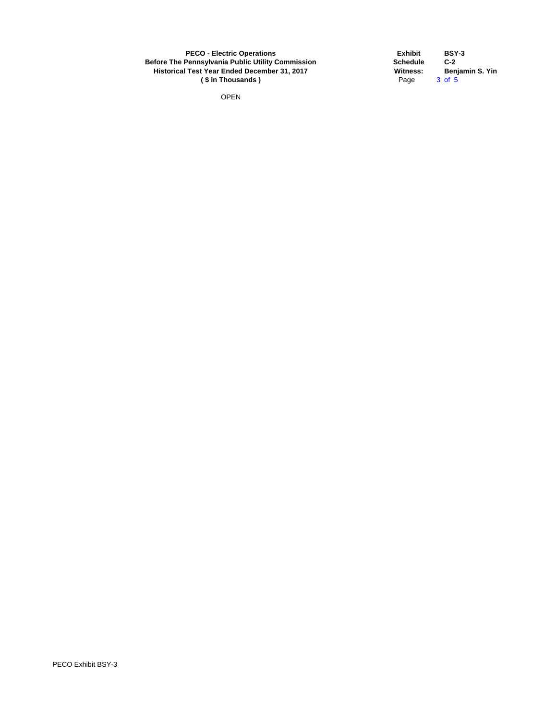OPEN

**Exhibit BSY-3 Schedule**<br>Witness: **Witness: Benjamin S. Yin**  $3$  of  $5$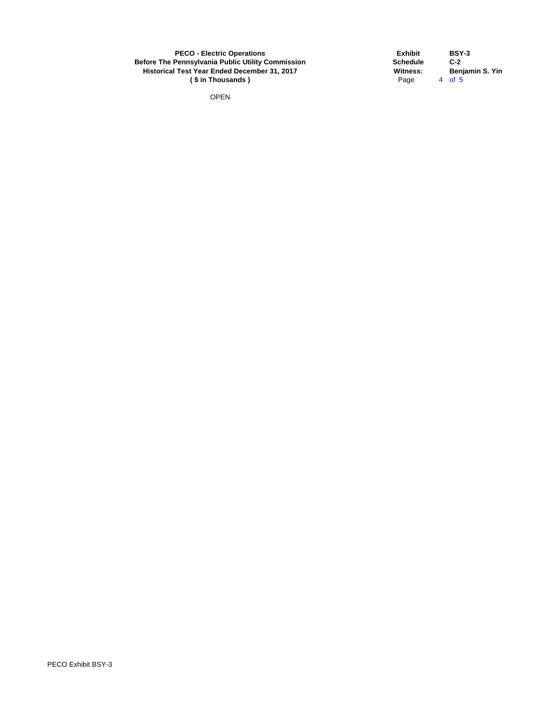OPEN

**Exhibit BSY-3 Schedule**<br>Witness: **Witness: Benjamin S. Yin**<br>Page 4 of 5 4 of  $5$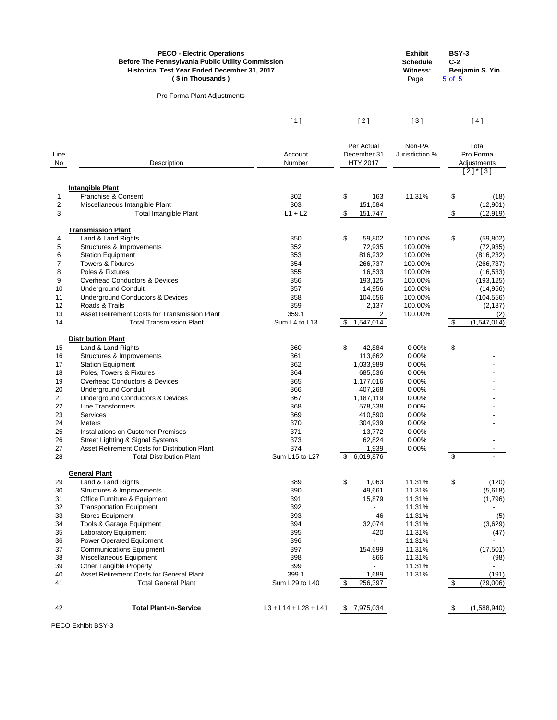Pro Forma Plant Adjustments

**Schedule**<br>Witness: Page 5 of 5

**Exhibit BSY-3 Benjamin S. Yin** 

 $\begin{bmatrix} 1 \end{bmatrix}$   $\begin{bmatrix} 2 \end{bmatrix}$   $\begin{bmatrix} 3 \end{bmatrix}$   $\begin{bmatrix} 4 \end{bmatrix}$ 

| Line<br>No                                                                       | Description                                                                                                                                                                                                                                                                                                                                                                                                                                                        | Account<br>Number                                                                                         | Per Actual<br>December 31<br><b>HTY 2017</b>                                                                                                                          | Non-PA<br>Jurisdiction %                                                                                          |                                  | Total<br>Pro Forma<br>Adjustments                                          |
|----------------------------------------------------------------------------------|--------------------------------------------------------------------------------------------------------------------------------------------------------------------------------------------------------------------------------------------------------------------------------------------------------------------------------------------------------------------------------------------------------------------------------------------------------------------|-----------------------------------------------------------------------------------------------------------|-----------------------------------------------------------------------------------------------------------------------------------------------------------------------|-------------------------------------------------------------------------------------------------------------------|----------------------------------|----------------------------------------------------------------------------|
|                                                                                  |                                                                                                                                                                                                                                                                                                                                                                                                                                                                    |                                                                                                           |                                                                                                                                                                       |                                                                                                                   |                                  | $[2]$ <sup>*</sup> [3]                                                     |
| 1<br>$\overline{\mathbf{c}}$<br>3                                                | <b>Intangible Plant</b><br>Franchise & Consent<br>Miscellaneous Intangible Plant<br><b>Total Intangible Plant</b>                                                                                                                                                                                                                                                                                                                                                  | 302<br>303<br>$L1 + L2$                                                                                   | \$<br>163<br>151,584<br>$\boldsymbol{\mathsf{S}}$<br>151,747                                                                                                          | 11.31%                                                                                                            | \$<br>$\boldsymbol{\mathsf{\$}}$ | (18)<br>(12, 901)<br>(12, 919)                                             |
|                                                                                  |                                                                                                                                                                                                                                                                                                                                                                                                                                                                    |                                                                                                           |                                                                                                                                                                       |                                                                                                                   |                                  |                                                                            |
| 4<br>5<br>6<br>$\overline{7}$<br>8                                               | <b>Transmission Plant</b><br>Land & Land Rights<br>Structures & Improvements<br><b>Station Equipment</b><br><b>Towers &amp; Fixtures</b><br>Poles & Fixtures                                                                                                                                                                                                                                                                                                       | 350<br>352<br>353<br>354<br>355                                                                           | \$<br>59,802<br>72,935<br>816,232<br>266,737<br>16,533                                                                                                                | 100.00%<br>100.00%<br>100.00%<br>100.00%<br>100.00%                                                               | \$                               | (59, 802)<br>(72, 935)<br>(816, 232)<br>(266, 737)<br>(16, 533)            |
| 9<br>10<br>11<br>12                                                              | <b>Overhead Conductors &amp; Devices</b><br><b>Underground Conduit</b><br><b>Underground Conductors &amp; Devices</b><br>Roads & Trails                                                                                                                                                                                                                                                                                                                            | 356<br>357<br>358<br>359                                                                                  | 193,125<br>14,956<br>104,556<br>2,137                                                                                                                                 | 100.00%<br>100.00%<br>100.00%<br>100.00%                                                                          |                                  | (193, 125)<br>(14, 956)<br>(104, 556)<br>(2, 137)                          |
| 13                                                                               | Asset Retirement Costs for Transmission Plant                                                                                                                                                                                                                                                                                                                                                                                                                      | 359.1                                                                                                     | $\overline{2}$                                                                                                                                                        | 100.00%                                                                                                           |                                  | (2)                                                                        |
| 14                                                                               | <b>Total Transmission Plant</b>                                                                                                                                                                                                                                                                                                                                                                                                                                    | Sum L4 to L13                                                                                             | 1,547,014<br>\$                                                                                                                                                       |                                                                                                                   | $\boldsymbol{\mathsf{\$}}$       | (1, 547, 014)                                                              |
|                                                                                  | <b>Distribution Plant</b>                                                                                                                                                                                                                                                                                                                                                                                                                                          |                                                                                                           |                                                                                                                                                                       |                                                                                                                   |                                  |                                                                            |
| 15<br>16<br>17<br>18<br>19<br>20<br>21<br>22<br>23<br>24<br>25<br>26<br>27<br>28 | Land & Land Rights<br>Structures & Improvements<br><b>Station Equipment</b><br>Poles, Towers & Fixtures<br><b>Overhead Conductors &amp; Devices</b><br><b>Underground Conduit</b><br><b>Underground Conductors &amp; Devices</b><br>Line Transformers<br>Services<br><b>Meters</b><br><b>Installations on Customer Premises</b><br><b>Street Lighting &amp; Signal Systems</b><br>Asset Retirement Costs for Distribution Plant<br><b>Total Distribution Plant</b> | 360<br>361<br>362<br>364<br>365<br>366<br>367<br>368<br>369<br>370<br>371<br>373<br>374<br>Sum L15 to L27 | \$<br>42,884<br>113,662<br>1,033,989<br>685,536<br>1,177,016<br>407,268<br>1,187,119<br>578,338<br>410,590<br>304,939<br>13,772<br>62,824<br>1,939<br>6,019,876<br>\$ | 0.00%<br>0.00%<br>0.00%<br>0.00%<br>0.00%<br>0.00%<br>0.00%<br>0.00%<br>0.00%<br>0.00%<br>0.00%<br>0.00%<br>0.00% | \$<br>$\boldsymbol{\mathsf{S}}$  |                                                                            |
| 29<br>30<br>31<br>32<br>33<br>34<br>35<br>36<br>37<br>38                         | <b>General Plant</b><br>Land & Land Rights<br>Structures & Improvements<br>Office Furniture & Equipment<br><b>Transportation Equipment</b><br><b>Stores Equipment</b><br>Tools & Garage Equipment<br>Laboratory Equipment<br>Power Operated Equipment<br><b>Communications Equipment</b><br>Miscellaneous Equipment                                                                                                                                                | 389<br>390<br>391<br>392<br>393<br>394<br>395<br>396<br>397<br>398                                        | \$<br>1,063<br>49,661<br>15,879<br>46<br>32,074<br>420<br>154,699<br>866                                                                                              | 11.31%<br>11.31%<br>11.31%<br>11.31%<br>11.31%<br>11.31%<br>11.31%<br>11.31%<br>11.31%<br>11.31%                  | \$                               | (120)<br>(5,618)<br>(1,796)<br>(5)<br>(3,629)<br>(47)<br>(17, 501)<br>(98) |
| 39                                                                               | <b>Other Tangible Property</b>                                                                                                                                                                                                                                                                                                                                                                                                                                     | 399                                                                                                       |                                                                                                                                                                       | 11.31%                                                                                                            |                                  |                                                                            |
| 40                                                                               | Asset Retirement Costs for General Plant                                                                                                                                                                                                                                                                                                                                                                                                                           | 399.1                                                                                                     | 1,689                                                                                                                                                                 | 11.31%                                                                                                            |                                  | (191)                                                                      |
| 41                                                                               | <b>Total General Plant</b>                                                                                                                                                                                                                                                                                                                                                                                                                                         | Sum L29 to L40                                                                                            | $\boldsymbol{\mathsf{\$}}$<br>256,397                                                                                                                                 |                                                                                                                   | $\boldsymbol{\mathsf{S}}$        | (29,006)                                                                   |
| 42                                                                               | <b>Total Plant-In-Service</b>                                                                                                                                                                                                                                                                                                                                                                                                                                      | $L3 + L14 + L28 + L41$                                                                                    | 7,975,034<br>\$                                                                                                                                                       |                                                                                                                   | æ.                               | (1,588,940)                                                                |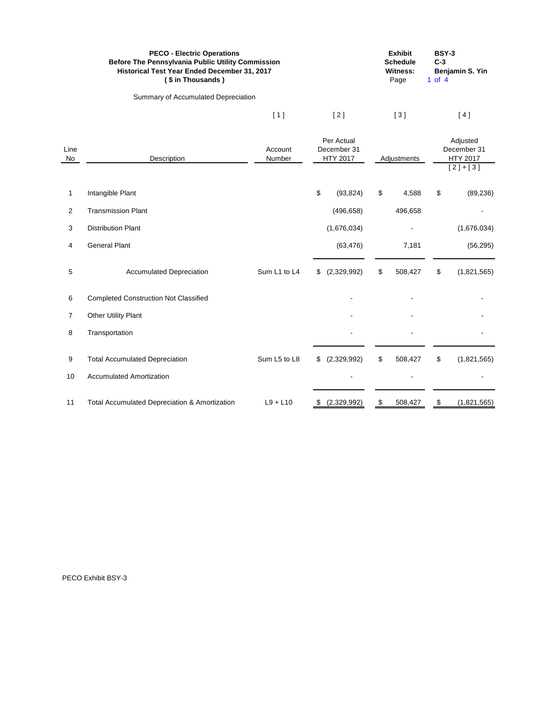| <b>PECO - Electric Operations</b><br><b>Before The Pennsylvania Public Utility Commission</b><br><b>Historical Test Year Ended December 31, 2017</b><br>(\$ in Thousands) |     |     | <b>Exhibit</b><br><b>Schedule</b><br>Witness:<br>Page | <b>BSY-3</b><br>$C-3$<br>Benjamin S. Yin<br>1 of 4 |
|---------------------------------------------------------------------------------------------------------------------------------------------------------------------------|-----|-----|-------------------------------------------------------|----------------------------------------------------|
| Summary of Accumulated Depreciation                                                                                                                                       |     |     |                                                       |                                                    |
|                                                                                                                                                                           | [1] | [2] | [3]                                                   | 4                                                  |

| Line<br>No     | Account<br>Description<br>Number                         |              | Per Actual<br>December 31<br><b>HTY 2017</b> |                           | Adjustments |    | Adjusted<br>December 31<br><b>HTY 2017</b><br>$[2]+[3]$ |
|----------------|----------------------------------------------------------|--------------|----------------------------------------------|---------------------------|-------------|----|---------------------------------------------------------|
| 1              | Intangible Plant                                         |              | \$<br>(93, 824)                              | \$                        | 4,588       | \$ | (89, 236)                                               |
| $\overline{2}$ | <b>Transmission Plant</b>                                |              | (496, 658)                                   |                           | 496,658     |    |                                                         |
| 3              | <b>Distribution Plant</b>                                |              | (1,676,034)                                  |                           |             |    | (1,676,034)                                             |
| 4              | <b>General Plant</b>                                     |              | (63, 476)                                    |                           | 7,181       |    | (56, 295)                                               |
| 5              | <b>Accumulated Depreciation</b>                          | Sum L1 to L4 | (2,329,992)<br>\$                            | \$                        | 508,427     | \$ | (1,821,565)                                             |
| 6              | <b>Completed Construction Not Classified</b>             |              |                                              |                           |             |    |                                                         |
| 7              | <b>Other Utility Plant</b>                               |              |                                              |                           |             |    |                                                         |
| 8              | Transportation                                           |              |                                              |                           |             |    |                                                         |
| 9              | <b>Total Accumulated Depreciation</b>                    | Sum L5 to L8 | (2,329,992)<br>\$                            | $\sqrt[6]{\frac{1}{2}}$   | 508,427     | \$ | (1,821,565)                                             |
| 10             | <b>Accumulated Amortization</b>                          |              |                                              |                           |             |    |                                                         |
| 11             | <b>Total Accumulated Depreciation &amp; Amortization</b> | $L9 + L10$   | (2,329,992)<br>- \$                          | $\boldsymbol{\mathsf{S}}$ | 508,427     | \$ | (1,821,565)                                             |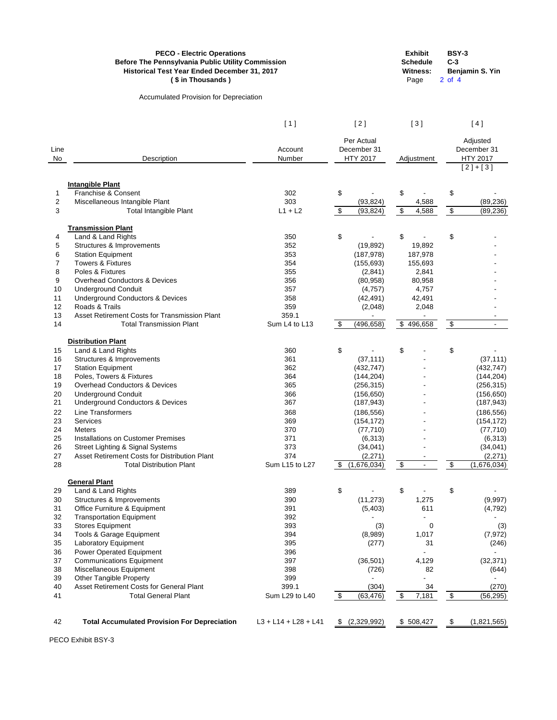Accumulated Provision for Depreciation

| Schedule | $C-3$ |
|----------|-------|
| Witness: | Ber   |
|          |       |

**Exhibit BSY-3**

**Witness: Benjamin S. Yin** Page 2 of 4

|              |                                                     | [1]                    |                           | [2]                                          |                         | [3]        |                            | [ 4 ]                                      |
|--------------|-----------------------------------------------------|------------------------|---------------------------|----------------------------------------------|-------------------------|------------|----------------------------|--------------------------------------------|
| Line<br>No   | Description                                         | Account<br>Number      |                           | Per Actual<br>December 31<br><b>HTY 2017</b> |                         | Adjustment |                            | Adjusted<br>December 31<br><b>HTY 2017</b> |
|              |                                                     |                        |                           |                                              |                         |            |                            | $[2]+[3]$                                  |
|              |                                                     |                        |                           |                                              |                         |            |                            |                                            |
| 1            | <b>Intangible Plant</b><br>Franchise & Consent      | 302                    | \$                        |                                              | \$                      |            | \$                         |                                            |
| $\mathbf{2}$ | Miscellaneous Intangible Plant                      | 303                    |                           | (93, 824)                                    |                         | 4,588      |                            | (89, 236)                                  |
| 3            | <b>Total Intangible Plant</b>                       | $L1 + L2$              | \$                        | (93, 824)                                    | \$                      | 4,588      | $\,$                       | (89, 236)                                  |
|              |                                                     |                        |                           |                                              |                         |            |                            |                                            |
|              | <b>Transmission Plant</b>                           |                        |                           |                                              |                         |            |                            |                                            |
| 4            | Land & Land Rights                                  | 350                    | \$                        |                                              | \$                      |            | \$                         |                                            |
| 5            | Structures & Improvements                           | 352                    |                           | (19, 892)                                    |                         | 19,892     |                            |                                            |
| 6            | <b>Station Equipment</b>                            | 353                    |                           | (187, 978)                                   |                         | 187,978    |                            |                                            |
| 7            | <b>Towers &amp; Fixtures</b>                        | 354                    |                           | (155, 693)                                   |                         | 155,693    |                            |                                            |
| 8            | Poles & Fixtures                                    | 355                    |                           | (2,841)                                      |                         | 2,841      |                            |                                            |
| 9            | <b>Overhead Conductors &amp; Devices</b>            | 356                    |                           | (80, 958)                                    |                         | 80,958     |                            |                                            |
| 10           | <b>Underground Conduit</b>                          | 357                    |                           | (4, 757)                                     |                         | 4,757      |                            |                                            |
| 11           | <b>Underground Conductors &amp; Devices</b>         | 358                    |                           | (42, 491)                                    |                         | 42,491     |                            |                                            |
| 12           | Roads & Trails                                      | 359                    |                           | (2,048)                                      |                         | 2,048      |                            |                                            |
| 13           | Asset Retirement Costs for Transmission Plant       | 359.1                  |                           |                                              |                         |            |                            |                                            |
| 14           | <b>Total Transmission Plant</b>                     | Sum L4 to L13          | $\boldsymbol{\mathsf{S}}$ | (496, 658)                                   |                         | \$496,658  | $\boldsymbol{\mathsf{\$}}$ | $\blacksquare$                             |
|              | <b>Distribution Plant</b>                           |                        |                           |                                              |                         |            |                            |                                            |
| 15           | Land & Land Rights                                  | 360                    | \$                        |                                              | \$                      |            | \$                         |                                            |
| 16           | Structures & Improvements                           | 361                    |                           | (37, 111)                                    |                         |            |                            | (37, 111)                                  |
| 17           | <b>Station Equipment</b>                            | 362                    |                           | (432, 747)                                   |                         |            |                            | (432, 747)                                 |
| 18           | Poles, Towers & Fixtures                            | 364                    |                           | (144, 204)                                   |                         |            |                            | (144, 204)                                 |
| 19           | <b>Overhead Conductors &amp; Devices</b>            | 365                    |                           | (256, 315)                                   |                         |            |                            | (256, 315)                                 |
| 20           | <b>Underground Conduit</b>                          | 366                    |                           | (156, 650)                                   |                         |            |                            | (156, 650)                                 |
| 21           | <b>Underground Conductors &amp; Devices</b>         | 367                    |                           | (187, 943)                                   |                         |            |                            | (187, 943)                                 |
| 22           | <b>Line Transformers</b>                            | 368                    |                           | (186, 556)                                   |                         |            |                            | (186, 556)                                 |
| 23           | Services                                            | 369                    |                           | (154, 172)                                   |                         |            |                            | (154, 172)                                 |
| 24           | <b>Meters</b>                                       | 370                    |                           | (77, 710)                                    |                         |            |                            | (77, 710)                                  |
| 25           | <b>Installations on Customer Premises</b>           | 371                    |                           | (6, 313)                                     |                         |            |                            | (6,313)                                    |
| 26           | <b>Street Lighting &amp; Signal Systems</b>         | 373                    |                           | (34, 041)                                    |                         |            |                            | (34, 041)                                  |
| 27           | Asset Retirement Costs for Distribution Plant       | 374                    |                           | (2, 271)                                     |                         |            |                            | (2, 271)                                   |
| 28           | <b>Total Distribution Plant</b>                     | Sum L15 to L27         | \$                        | (1,676,034)                                  | $\overline{\mathbf{e}}$ |            | $\overline{\mathbf{e}}$    | (1,676,034)                                |
|              |                                                     |                        |                           |                                              |                         |            |                            |                                            |
| 29           | <b>General Plant</b><br>Land & Land Rights          | 389                    | \$                        |                                              | \$                      |            | \$                         |                                            |
| 30           | Structures & Improvements                           | 390                    |                           | (11, 273)                                    |                         | 1,275      |                            | (9,997)                                    |
| 31           | Office Furniture & Equipment                        | 391                    |                           | (5,403)                                      |                         | 611        |                            | (4, 792)                                   |
| 32           | <b>Transportation Equipment</b>                     | 392                    |                           |                                              |                         |            |                            |                                            |
| 33           | <b>Stores Equipment</b>                             | 393                    |                           | (3)                                          |                         | 0          |                            | (3)                                        |
| 34           | Tools & Garage Equipment                            | 394                    |                           | (8,989)                                      |                         | 1,017      |                            | (7, 972)                                   |
| 35           | Laboratory Equipment                                | 395                    |                           | (277)                                        |                         | 31         |                            | (246)                                      |
| 36           | <b>Power Operated Equipment</b>                     | 396                    |                           |                                              |                         |            |                            |                                            |
| 37           | <b>Communications Equipment</b>                     | 397                    |                           | (36, 501)                                    |                         | 4,129      |                            | (32, 371)                                  |
| 38           | Miscellaneous Equipment                             | 398                    |                           | (726)                                        |                         | 82         |                            | (644)                                      |
| 39           | <b>Other Tangible Property</b>                      | 399                    |                           |                                              |                         |            |                            |                                            |
| 40           | Asset Retirement Costs for General Plant            | 399.1                  |                           | (304)                                        |                         | 34         |                            | (270)                                      |
| 41           | <b>Total General Plant</b>                          | Sum L29 to L40         | $\frac{1}{2}$             | (63, 476)                                    | \$                      | 7,181      | $\boldsymbol{\mathsf{\$}}$ | (56, 295)                                  |
|              |                                                     |                        |                           |                                              |                         |            |                            |                                            |
|              |                                                     |                        |                           |                                              |                         |            |                            |                                            |
| 42           | <b>Total Accumulated Provision For Depreciation</b> | $L3 + L14 + L28 + L41$ |                           | \$ (2,329,992)                               |                         | \$508,427  | \$                         | (1,821,565)                                |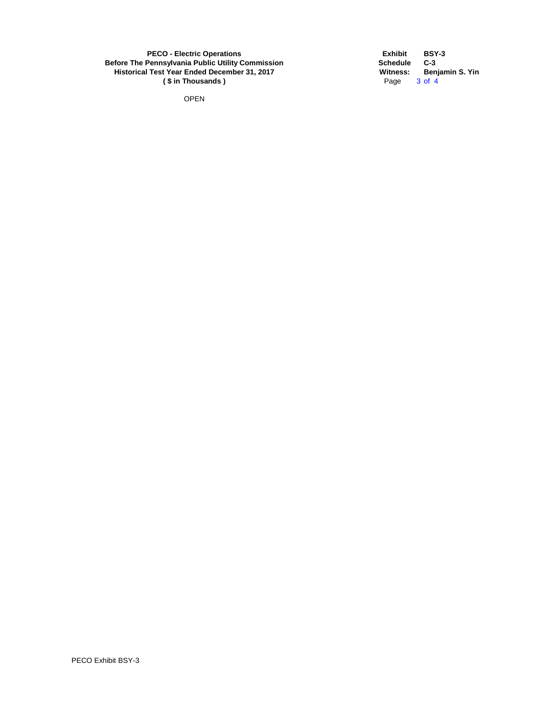**PECO - Electric Operations EXHIBIT <b>EXHIBIT EXHIBIT BSY-3 Before The Pennsylvania Public Utility Commission Schedule** C-3 **Historical Test Year Ended December 31, 2017 Witness: Benjamin S. Yin**<br>
(\$ in Thousands) Page 3 of 4 **(\$in Thousands)** 

OPEN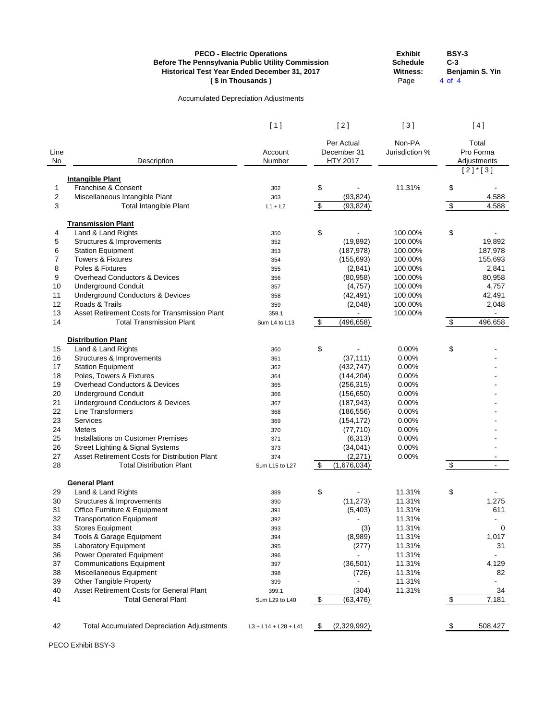|          | <b>Before The Pennsylvania Public Utility Commission</b><br>Historical Test Year Ended December 31, 2017 | <b>PECO - Electric Operations</b><br>(\$ in Thousands) |                            |                       | <b>Exhibit</b><br><b>Schedule</b><br><b>Witness:</b><br>Page | <b>BSY-3</b><br>$C-3$<br>4 of 4 | Benjamin S. Yin                         |
|----------|----------------------------------------------------------------------------------------------------------|--------------------------------------------------------|----------------------------|-----------------------|--------------------------------------------------------------|---------------------------------|-----------------------------------------|
|          |                                                                                                          | <b>Accumulated Depreciation Adjustments</b>            |                            |                       |                                                              |                                 |                                         |
|          |                                                                                                          | [1]                                                    |                            | [2]                   | [3]                                                          |                                 | [4]                                     |
|          |                                                                                                          |                                                        |                            | Per Actual            | Non-PA                                                       |                                 | Total                                   |
| Line     |                                                                                                          | Account                                                |                            | December 31           | Jurisdiction %                                               |                                 | Pro Forma                               |
| No       | Description                                                                                              | Number                                                 |                            | HTY 2017              |                                                              |                                 | Adjustments<br>$[2]$ <sup>*</sup> $[3]$ |
|          | <b>Intangible Plant</b>                                                                                  |                                                        |                            |                       |                                                              |                                 |                                         |
| 1        | Franchise & Consent                                                                                      | 302                                                    | \$                         |                       | 11.31%                                                       | \$                              |                                         |
| 2        | Miscellaneous Intangible Plant                                                                           | 303                                                    |                            | (93, 824)             |                                                              |                                 | 4,588                                   |
| 3        | <b>Total Intangible Plant</b>                                                                            | $L1 + L2$                                              | $\overline{\mathbf{e}}$    | (93, 824)             |                                                              | $\overline{\mathcal{G}}$        | 4,588                                   |
|          | <b>Transmission Plant</b>                                                                                |                                                        |                            |                       |                                                              |                                 |                                         |
| 4        | Land & Land Rights                                                                                       | 350                                                    | \$                         |                       | 100.00%                                                      | \$                              |                                         |
| 5        | Structures & Improvements                                                                                | 352                                                    |                            | (19, 892)             | 100.00%                                                      |                                 | 19,892                                  |
| 6        | <b>Station Equipment</b>                                                                                 | 353                                                    |                            | (187, 978)            | 100.00%                                                      |                                 | 187,978                                 |
| 7        | <b>Towers &amp; Fixtures</b>                                                                             | 354                                                    |                            | (155, 693)            | 100.00%                                                      |                                 | 155,693                                 |
| 8        | Poles & Fixtures                                                                                         | 355                                                    |                            | (2,841)               | 100.00%                                                      |                                 | 2,841                                   |
| 9        | <b>Overhead Conductors &amp; Devices</b>                                                                 | 356                                                    |                            | (80, 958)             | 100.00%                                                      |                                 | 80,958                                  |
| 10       | <b>Underground Conduit</b>                                                                               | 357                                                    |                            | (4, 757)              | 100.00%                                                      |                                 | 4,757                                   |
| 11<br>12 | <b>Underground Conductors &amp; Devices</b><br>Roads & Trails                                            | 358                                                    |                            | (42, 491)             | 100.00%                                                      |                                 | 42,491                                  |
| 13       | Asset Retirement Costs for Transmission Plant                                                            | 359<br>359.1                                           |                            | (2,048)               | 100.00%<br>100.00%                                           |                                 | 2,048                                   |
| 14       | <b>Total Transmission Plant</b>                                                                          | Sum L4 to L13                                          | $\boldsymbol{\mathsf{\$}}$ | (496, 658)            |                                                              | $\frac{1}{2}$                   | 496,658                                 |
|          |                                                                                                          |                                                        |                            |                       |                                                              |                                 |                                         |
|          | <b>Distribution Plant</b>                                                                                |                                                        |                            |                       |                                                              |                                 |                                         |
| 15       | Land & Land Rights                                                                                       | 360                                                    | \$                         |                       | 0.00%                                                        | \$                              |                                         |
| 16       | Structures & Improvements                                                                                | 361                                                    |                            | (37, 111)             | 0.00%                                                        |                                 |                                         |
| 17       | <b>Station Equipment</b>                                                                                 | 362                                                    |                            | (432, 747)            | 0.00%                                                        |                                 |                                         |
| 18       | Poles, Towers & Fixtures                                                                                 | 364                                                    |                            | (144, 204)            | 0.00%                                                        |                                 |                                         |
| 19       | <b>Overhead Conductors &amp; Devices</b>                                                                 | 365                                                    |                            | (256, 315)            | 0.00%                                                        |                                 |                                         |
| 20       | <b>Underground Conduit</b>                                                                               | 366                                                    |                            | (156, 650)            | 0.00%                                                        |                                 |                                         |
| 21       | <b>Underground Conductors &amp; Devices</b>                                                              | 367                                                    |                            | (187, 943)            | 0.00%                                                        |                                 |                                         |
| 22       | <b>Line Transformers</b>                                                                                 | 368                                                    |                            | (186, 556)            | 0.00%                                                        |                                 |                                         |
| 23       | Services                                                                                                 | 369                                                    |                            | (154, 172)            | 0.00%                                                        |                                 |                                         |
| 24       | Meters<br><b>Installations on Customer Premises</b>                                                      | 370                                                    |                            | (77, 710)             | 0.00%                                                        |                                 |                                         |
| 25       |                                                                                                          | 371                                                    |                            | (6, 313)              | 0.00%                                                        |                                 |                                         |
| 26<br>27 | <b>Street Lighting &amp; Signal Systems</b><br>Asset Retirement Costs for Distribution Plant             | 373<br>374                                             |                            | (34, 041)<br>(2, 271) | 0.00%<br>0.00%                                               |                                 |                                         |
| 28       | <b>Total Distribution Plant</b>                                                                          | Sum L15 to L27                                         | \$                         | (1,676,034)           |                                                              | $\boldsymbol{\mathsf{\$}}$      |                                         |
|          |                                                                                                          |                                                        |                            |                       |                                                              |                                 |                                         |
|          | <b>General Plant</b>                                                                                     |                                                        |                            |                       |                                                              |                                 |                                         |
| 29       | Land & Land Rights                                                                                       | 389                                                    | \$                         |                       | 11.31%                                                       | \$                              |                                         |
| 30       | Structures & Improvements                                                                                | 390                                                    |                            | (11, 273)             | 11.31%                                                       |                                 | 1,275                                   |
| 31       | Office Furniture & Equipment                                                                             | 391                                                    |                            | (5,403)               | 11.31%                                                       |                                 | 611                                     |
| 32       | <b>Transportation Equipment</b>                                                                          | 392                                                    |                            |                       | 11.31%                                                       |                                 |                                         |
| 33       | <b>Stores Equipment</b>                                                                                  | 393                                                    |                            | (3)                   | 11.31%                                                       |                                 | 0                                       |
| 34       | Tools & Garage Equipment                                                                                 | 394                                                    |                            | (8,989)               | 11.31%                                                       |                                 | 1,017                                   |
| 35       | <b>Laboratory Equipment</b>                                                                              | 395                                                    |                            | (277)                 | 11.31%                                                       |                                 | 31                                      |
| 36       | Power Operated Equipment                                                                                 | 396                                                    |                            |                       | 11.31%                                                       |                                 |                                         |
| 37       | <b>Communications Equipment</b>                                                                          | 397                                                    |                            | (36, 501)             | 11.31%                                                       |                                 | 4,129                                   |
| 38       | Miscellaneous Equipment                                                                                  | 398                                                    |                            | (726)                 | 11.31%                                                       |                                 | 82                                      |
| 39       | <b>Other Tangible Property</b>                                                                           | 399                                                    |                            |                       | 11.31%                                                       |                                 |                                         |
| 40       | Asset Retirement Costs for General Plant                                                                 | 399.1                                                  |                            | (304)                 | 11.31%                                                       |                                 | 34                                      |
| 41       | <b>Total General Plant</b>                                                                               | Sum L29 to L40                                         | $\boldsymbol{\mathsf{S}}$  | (63, 476)             |                                                              | $\boldsymbol{\mathsf{S}}$       | 7,181                                   |
|          |                                                                                                          |                                                        |                            |                       |                                                              |                                 |                                         |
| 42       | <b>Total Accumulated Depreciation Adjustments</b>                                                        | $L3 + L14 + L28 + L41$                                 | \$                         | (2,329,992)           |                                                              | \$                              | 508,427                                 |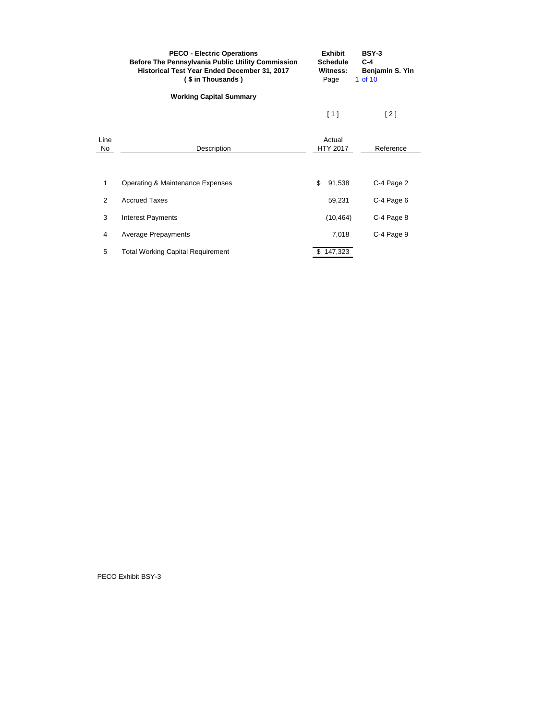|                | <b>PECO - Electric Operations</b><br><b>Before The Pennsylvania Public Utility Commission</b><br>Historical Test Year Ended December 31, 2017<br>(\$ in Thousands) | <b>Exhibit</b><br><b>Schedule</b><br>Witness:<br>Page | <b>BSY-3</b><br>$C-4$<br>Benjamin S. Yin<br>1 of 10 |
|----------------|--------------------------------------------------------------------------------------------------------------------------------------------------------------------|-------------------------------------------------------|-----------------------------------------------------|
|                | <b>Working Capital Summary</b>                                                                                                                                     |                                                       |                                                     |
|                |                                                                                                                                                                    | [1]                                                   | $[2]$                                               |
| Line<br>No     | Description                                                                                                                                                        | Actual<br><b>HTY 2017</b>                             | Reference                                           |
|                |                                                                                                                                                                    |                                                       |                                                     |
| 1              | Operating & Maintenance Expenses                                                                                                                                   | \$<br>91,538                                          | C-4 Page 2                                          |
| $\overline{2}$ | <b>Accrued Taxes</b>                                                                                                                                               | 59,231                                                | C-4 Page 6                                          |
| 3              | <b>Interest Payments</b>                                                                                                                                           | (10, 464)                                             | C-4 Page 8                                          |
| 4              | <b>Average Prepayments</b>                                                                                                                                         | 7,018                                                 | C-4 Page 9                                          |
| 5              | <b>Total Working Capital Requirement</b>                                                                                                                           | 147,323                                               |                                                     |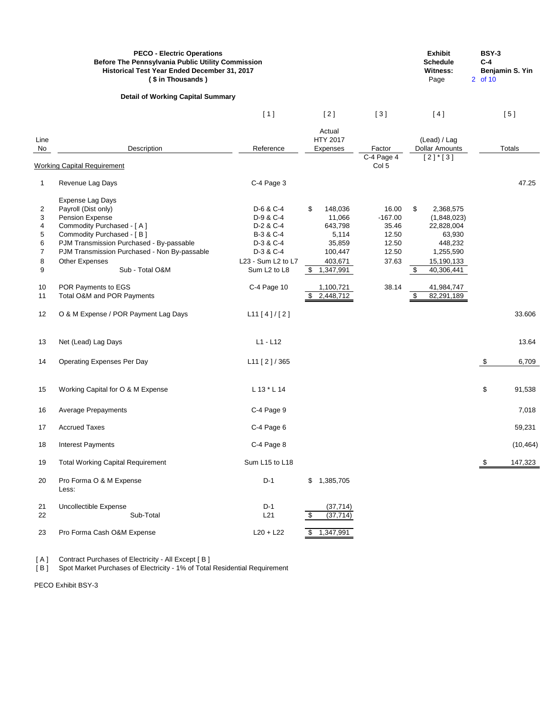|                                                               | <b>PECO - Electric Operations</b><br>Before The Pennsylvania Public Utility Commission<br>Historical Test Year Ended December 31, 2017<br>(\$ in Thousands)                                                                                                                                                       |                                                                                                                                                         |                                                       |                                                                       |                                                                          |                | <b>Exhibit</b><br><b>Schedule</b><br><b>Witness:</b><br>Page                                                                     | <b>BSY-3</b><br>$C-4$<br>2 of 10 | Benjamin S. Yin |
|---------------------------------------------------------------|-------------------------------------------------------------------------------------------------------------------------------------------------------------------------------------------------------------------------------------------------------------------------------------------------------------------|---------------------------------------------------------------------------------------------------------------------------------------------------------|-------------------------------------------------------|-----------------------------------------------------------------------|--------------------------------------------------------------------------|----------------|----------------------------------------------------------------------------------------------------------------------------------|----------------------------------|-----------------|
|                                                               | <b>Detail of Working Capital Summary</b>                                                                                                                                                                                                                                                                          |                                                                                                                                                         |                                                       |                                                                       |                                                                          |                |                                                                                                                                  |                                  |                 |
|                                                               |                                                                                                                                                                                                                                                                                                                   | [1]                                                                                                                                                     | [2]                                                   |                                                                       | [3]                                                                      |                | [4]                                                                                                                              |                                  | [5]             |
| Line<br>No                                                    | Description<br><b>Working Capital Requirement</b>                                                                                                                                                                                                                                                                 | Reference                                                                                                                                               | Actual<br><b>HTY 2017</b><br>Expenses                 |                                                                       | Factor<br>C-4 Page 4<br>Col 5                                            |                | (Lead) / Lag<br><b>Dollar Amounts</b><br>$[2]$ <sup>*</sup> [3]                                                                  |                                  | <b>Totals</b>   |
| $\mathbf 1$                                                   | Revenue Lag Days                                                                                                                                                                                                                                                                                                  | C-4 Page 3                                                                                                                                              |                                                       |                                                                       |                                                                          |                |                                                                                                                                  |                                  | 47.25           |
| 2<br>3<br>4<br>5<br>6<br>$\overline{7}$<br>8<br>9<br>10<br>11 | Expense Lag Days<br>Payroll (Dist only)<br>Pension Expense<br>Commodity Purchased - [A]<br>Commodity Purchased - [B]<br>PJM Transmission Purchased - By-passable<br>PJM Transmission Purchased - Non By-passable<br><b>Other Expenses</b><br>Sub - Total O&M<br>POR Payments to EGS<br>Total O&M and POR Payments | D-6 & C-4<br>D-9 & C-4<br>D-2 & C-4<br>B-3 & C-4<br>D-3 & C-4<br>D-3 & C-4<br>L23 - Sum L2 to L7<br>Sum L <sub>2</sub> to L <sub>8</sub><br>C-4 Page 10 | \$<br>\$<br>1,347,991<br>1,100,721<br>S.<br>2,448,712 | 148,036<br>11,066<br>643,798<br>5,114<br>35,859<br>100,447<br>403,671 | 16.00<br>$-167.00$<br>35.46<br>12.50<br>12.50<br>12.50<br>37.63<br>38.14 | \$<br>\$<br>\$ | 2,368,575<br>(1,848,023)<br>22,828,004<br>63,930<br>448,232<br>1,255,590<br>15,190,133<br>40,306,441<br>41,984,747<br>82,291,189 |                                  |                 |
| 12                                                            | O & M Expense / POR Payment Lag Days                                                                                                                                                                                                                                                                              | L11 [4]/[2]                                                                                                                                             |                                                       |                                                                       |                                                                          |                |                                                                                                                                  |                                  | 33.606          |
| 13                                                            | Net (Lead) Lag Days                                                                                                                                                                                                                                                                                               | $L1 - L12$                                                                                                                                              |                                                       |                                                                       |                                                                          |                |                                                                                                                                  |                                  | 13.64           |
| 14                                                            | <b>Operating Expenses Per Day</b>                                                                                                                                                                                                                                                                                 | L11 [2] / 365                                                                                                                                           |                                                       |                                                                       |                                                                          |                |                                                                                                                                  | \$                               | 6,709           |
| 15                                                            | Working Capital for O & M Expense                                                                                                                                                                                                                                                                                 | L 13 * L 14                                                                                                                                             |                                                       |                                                                       |                                                                          |                |                                                                                                                                  | \$                               | 91,538          |
| 16                                                            | <b>Average Prepayments</b>                                                                                                                                                                                                                                                                                        | C-4 Page 9                                                                                                                                              |                                                       |                                                                       |                                                                          |                |                                                                                                                                  |                                  | 7,018           |
| 17                                                            | <b>Accrued Taxes</b>                                                                                                                                                                                                                                                                                              | C-4 Page 6                                                                                                                                              |                                                       |                                                                       |                                                                          |                |                                                                                                                                  |                                  | 59,231          |
| 18                                                            | Interest Payments                                                                                                                                                                                                                                                                                                 | C-4 Page 8                                                                                                                                              |                                                       |                                                                       |                                                                          |                |                                                                                                                                  |                                  | (10, 464)       |
| 19                                                            | <b>Total Working Capital Requirement</b>                                                                                                                                                                                                                                                                          | Sum L15 to L18                                                                                                                                          |                                                       |                                                                       |                                                                          |                |                                                                                                                                  | - \$                             | 147,323         |
| 20                                                            | Pro Forma O & M Expense<br>Less:                                                                                                                                                                                                                                                                                  | $D-1$                                                                                                                                                   | $\frac{1}{2}$<br>1,385,705                            |                                                                       |                                                                          |                |                                                                                                                                  |                                  |                 |
| 21<br>22                                                      | Uncollectible Expense<br>Sub-Total                                                                                                                                                                                                                                                                                | $D-1$<br>L21                                                                                                                                            | \$                                                    | (37, 714)<br>(37, 714)                                                |                                                                          |                |                                                                                                                                  |                                  |                 |
| 23                                                            | Pro Forma Cash O&M Expense                                                                                                                                                                                                                                                                                        | $L20 + L22$                                                                                                                                             | 1,347,991<br>\$                                       |                                                                       |                                                                          |                |                                                                                                                                  |                                  |                 |

[ A ] Contract Purchases of Electricity - All Except [ B ]

[ B ] Spot Market Purchases of Electricity - 1% of Total Residential Requirement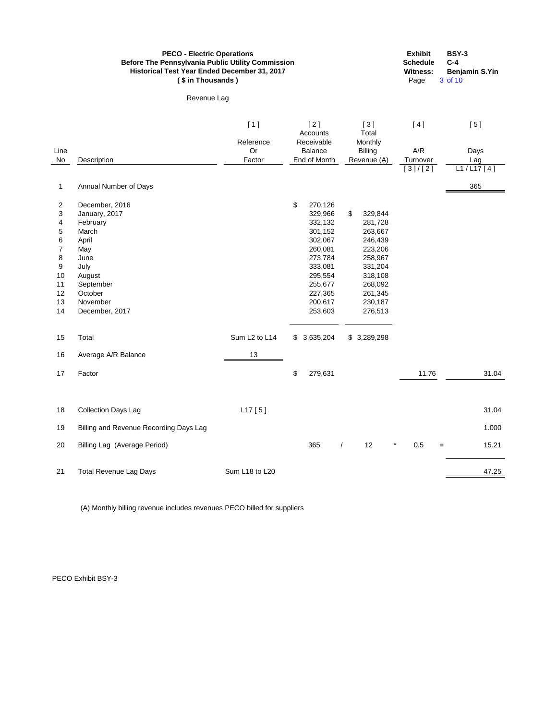|                | <b>PECO - Electric Operations</b><br><b>Before The Pennsylvania Public Utility Commission</b><br>Historical Test Year Ended December 31, 2017<br>(\$ in Thousands) | <b>BSY-3</b><br><b>Exhibit</b><br><b>Schedule</b><br>$C-4$<br><b>Witness:</b><br><b>Benjamin S.Yin</b><br>Page<br>3 of 10 |                                 |                           |            |              |  |  |
|----------------|--------------------------------------------------------------------------------------------------------------------------------------------------------------------|---------------------------------------------------------------------------------------------------------------------------|---------------------------------|---------------------------|------------|--------------|--|--|
|                | Revenue Lag                                                                                                                                                        |                                                                                                                           |                                 |                           |            |              |  |  |
|                |                                                                                                                                                                    | [1]<br>Reference                                                                                                          | $[2]$<br>Accounts<br>Receivable | $[3]$<br>Total<br>Monthly | [4]        | [5]          |  |  |
| Line           |                                                                                                                                                                    | Or                                                                                                                        | <b>Balance</b>                  | <b>Billing</b>            | A/R        | Days         |  |  |
| No             | Description                                                                                                                                                        | Factor                                                                                                                    | End of Month                    | Revenue (A)               | Turnover   | Lag          |  |  |
|                |                                                                                                                                                                    |                                                                                                                           |                                 |                           | [3]/[2]    | L1 / L17 [4] |  |  |
| 1              | Annual Number of Days                                                                                                                                              |                                                                                                                           |                                 |                           |            | 365          |  |  |
| $\overline{2}$ | December, 2016                                                                                                                                                     |                                                                                                                           | \$<br>270,126                   |                           |            |              |  |  |
| 3              | January, 2017                                                                                                                                                      |                                                                                                                           | 329,966                         | \$<br>329,844             |            |              |  |  |
| 4              | February                                                                                                                                                           |                                                                                                                           | 332,132                         | 281,728                   |            |              |  |  |
| 5              | March                                                                                                                                                              |                                                                                                                           | 301,152                         | 263,667                   |            |              |  |  |
| 6              | April                                                                                                                                                              |                                                                                                                           | 302,067                         | 246,439                   |            |              |  |  |
| $\overline{7}$ | May                                                                                                                                                                |                                                                                                                           | 260,081                         | 223,206                   |            |              |  |  |
| 8              | June                                                                                                                                                               |                                                                                                                           | 273,784                         | 258,967                   |            |              |  |  |
| 9              | July                                                                                                                                                               |                                                                                                                           | 333,081                         | 331,204                   |            |              |  |  |
| 10             | August                                                                                                                                                             |                                                                                                                           | 295,554                         | 318,108                   |            |              |  |  |
| 11             | September                                                                                                                                                          |                                                                                                                           | 255,677                         | 268,092                   |            |              |  |  |
| 12<br>13       | October<br>November                                                                                                                                                |                                                                                                                           | 227,365<br>200,617              | 261,345<br>230,187        |            |              |  |  |
| 14             | December, 2017                                                                                                                                                     |                                                                                                                           | 253,603                         | 276,513                   |            |              |  |  |
|                |                                                                                                                                                                    |                                                                                                                           |                                 |                           |            |              |  |  |
| 15             | Total                                                                                                                                                              | Sum L <sub>2</sub> to L <sub>14</sub>                                                                                     | 3,635,204<br>\$                 | \$3,289,298               |            |              |  |  |
| 16             | Average A/R Balance                                                                                                                                                | 13                                                                                                                        |                                 |                           |            |              |  |  |
| 17             | Factor                                                                                                                                                             |                                                                                                                           | \$<br>279,631                   |                           | 11.76      | 31.04        |  |  |
|                |                                                                                                                                                                    |                                                                                                                           |                                 |                           |            |              |  |  |
| 18             | <b>Collection Days Lag</b>                                                                                                                                         | L17[5]                                                                                                                    |                                 |                           |            | 31.04        |  |  |
| 19             | Billing and Revenue Recording Days Lag                                                                                                                             |                                                                                                                           |                                 |                           |            | 1.000        |  |  |
| 20             | Billing Lag (Average Period)                                                                                                                                       |                                                                                                                           | 365                             | 12<br>*<br>$\sqrt{2}$     | 0.5<br>$=$ | 15.21        |  |  |
| 21             | <b>Total Revenue Lag Days</b>                                                                                                                                      | Sum L18 to L20                                                                                                            |                                 |                           |            | 47.25        |  |  |

(A) Monthly billing revenue includes revenues PECO billed for suppliers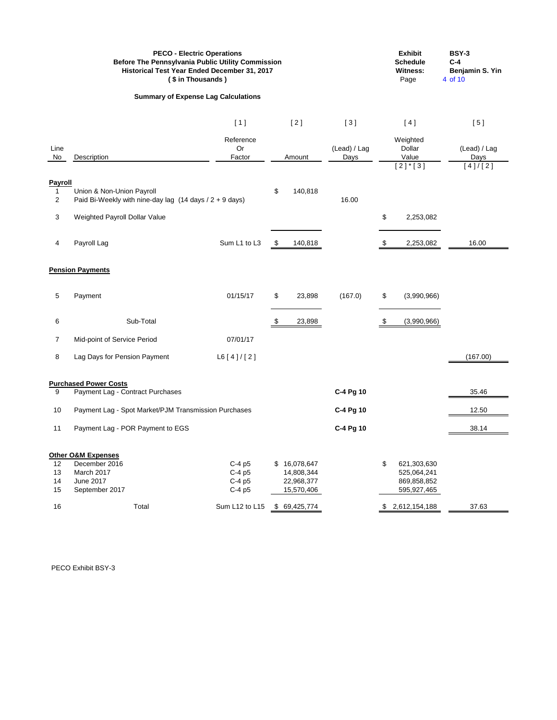|                                 | <b>PECO - Electric Operations</b><br><b>Before The Pennsylvania Public Utility Commission</b><br>Historical Test Year Ended December 31, 2017<br>(\$ in Thousands) | <b>Exhibit</b><br><b>Schedule</b><br><b>Witness:</b><br>Page | <b>BSY-3</b><br>$C-4$<br>Benjamin S. Yin<br>4 of 10 |                      |                             |                      |
|---------------------------------|--------------------------------------------------------------------------------------------------------------------------------------------------------------------|--------------------------------------------------------------|-----------------------------------------------------|----------------------|-----------------------------|----------------------|
|                                 | <b>Summary of Expense Lag Calculations</b>                                                                                                                         |                                                              |                                                     |                      |                             |                      |
|                                 |                                                                                                                                                                    | [1]                                                          | $[2]$                                               | $[3]$                | [4]                         | [5]                  |
| Line<br>No                      | Description                                                                                                                                                        | Reference<br>Or<br>Factor                                    | Amount                                              | (Lead) / Lag<br>Days | Weighted<br>Dollar<br>Value | (Lead) / Lag<br>Days |
|                                 |                                                                                                                                                                    |                                                              |                                                     |                      | $[2]$ * $[3]$               | [4]/[2]              |
| Payroll<br>-1<br>$\overline{2}$ | Union & Non-Union Payroll<br>Paid Bi-Weekly with nine-day lag $(14 \text{ days} / 2 + 9 \text{ days})$                                                             |                                                              | \$<br>140,818                                       | 16.00                |                             |                      |
| 3                               | Weighted Payroll Dollar Value                                                                                                                                      |                                                              |                                                     |                      | \$<br>2,253,082             |                      |
| 4                               | Payroll Lag                                                                                                                                                        | Sum L1 to L3                                                 | \$<br>140,818                                       |                      | \$<br>2,253,082             | 16.00                |
|                                 | <b>Pension Payments</b>                                                                                                                                            |                                                              |                                                     |                      |                             |                      |
| 5                               | Payment                                                                                                                                                            | 01/15/17                                                     | \$<br>23,898                                        | (167.0)              | \$<br>(3,990,966)           |                      |
| 6                               | Sub-Total                                                                                                                                                          |                                                              | \$<br>23,898                                        |                      | \$<br>(3,990,966)           |                      |
| 7                               | Mid-point of Service Period                                                                                                                                        | 07/01/17                                                     |                                                     |                      |                             |                      |
| 8                               | Lag Days for Pension Payment                                                                                                                                       | L6[4]/[2]                                                    |                                                     |                      |                             | (167.00)             |
|                                 | <b>Purchased Power Costs</b>                                                                                                                                       |                                                              |                                                     |                      |                             |                      |
| 9                               | Payment Lag - Contract Purchases                                                                                                                                   |                                                              |                                                     | C-4 Pg 10            |                             | 35.46                |
| 10                              | Payment Lag - Spot Market/PJM Transmission Purchases                                                                                                               |                                                              |                                                     | C-4 Pg 10            |                             | 12.50                |
| 11                              | Payment Lag - POR Payment to EGS                                                                                                                                   |                                                              |                                                     | C-4 Pg 10            |                             | 38.14                |
|                                 | <b>Other O&amp;M Expenses</b>                                                                                                                                      |                                                              |                                                     |                      |                             |                      |
| 12                              | December 2016                                                                                                                                                      | $C-4p5$                                                      | \$<br>16,078,647                                    |                      | \$<br>621,303,630           |                      |
| 13<br>14                        | March 2017<br>June 2017                                                                                                                                            | $C-4p5$<br>C-4 p5                                            | 14,808,344<br>22,968,377                            |                      | 525,064,241<br>869,858,852  |                      |
| 15                              | September 2017                                                                                                                                                     | C-4 p5                                                       | 15,570,406                                          |                      | 595,927,465                 |                      |
| 16                              | Total                                                                                                                                                              | Sum L12 to L15                                               | \$69,425,774                                        |                      | 2,612,154,188               | 37.63                |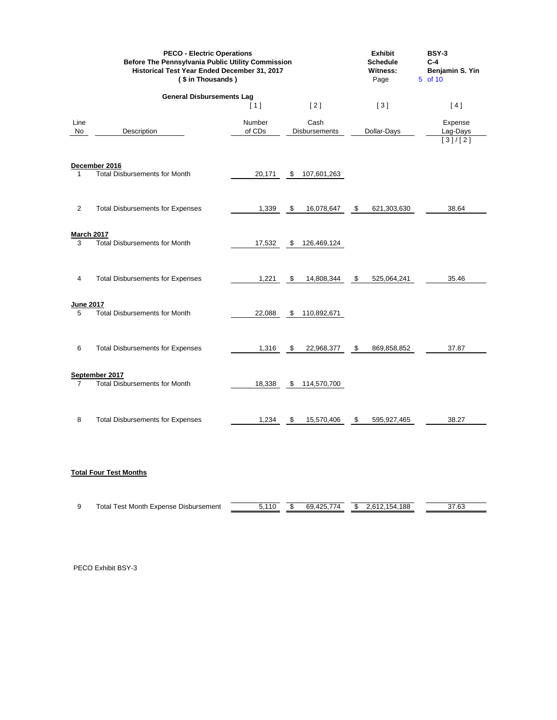|                        | <b>PECO - Electric Operations</b><br>Before The Pennsylvania Public Utility Commission<br>Historical Test Year Ended December 31, 2017<br>(\$ in Thousands) |                  | <b>Exhibit</b><br><b>Schedule</b><br><b>Witness:</b><br>Page | <b>BSY-3</b><br>$C-4$<br>Benjamin S. Yin<br>5 of 10 |                                |
|------------------------|-------------------------------------------------------------------------------------------------------------------------------------------------------------|------------------|--------------------------------------------------------------|-----------------------------------------------------|--------------------------------|
|                        | <b>General Disbursements Lag</b>                                                                                                                            |                  |                                                              |                                                     |                                |
|                        |                                                                                                                                                             | [1]              | [2]                                                          | [3]                                                 | [4]                            |
| Line<br>No             | Description                                                                                                                                                 | Number<br>of CDs | Cash<br>Disbursements                                        | Dollar-Days                                         | Expense<br>Lag-Days<br>[3]/[2] |
| 1                      | December 2016<br><b>Total Disbursements for Month</b>                                                                                                       | 20,171           | 107,601,263<br>\$                                            |                                                     |                                |
| $\overline{2}$         | <b>Total Disbursements for Expenses</b>                                                                                                                     | 1,339            | $\frac{1}{2}$<br>16,078,647                                  | $\boldsymbol{\mathsf{S}}$<br>621,303,630            | 38.64                          |
| <b>March 2017</b><br>3 | <b>Total Disbursements for Month</b>                                                                                                                        | 17,532           | 126,469,124<br>\$                                            |                                                     |                                |
| 4                      | <b>Total Disbursements for Expenses</b>                                                                                                                     | 1,221            | $\boldsymbol{\mathsf{S}}$<br>14,808,344                      | \$<br>525,064,241                                   | 35.46                          |
| June 2017<br>5         | <b>Total Disbursements for Month</b>                                                                                                                        | 22,088           | 110,892,671<br>\$                                            |                                                     |                                |
| 6                      | <b>Total Disbursements for Expenses</b>                                                                                                                     | 1,316            | \$<br>22,968,377                                             | \$<br>869,858,852                                   | 37.87                          |
| $\overline{7}$         | September 2017<br><b>Total Disbursements for Month</b>                                                                                                      | 18,338           | 114,570,700<br>\$                                            |                                                     |                                |
| 8                      | <b>Total Disbursements for Expenses</b>                                                                                                                     | 1,234            | 15,570,406<br>\$                                             | 595,927,465<br>-\$                                  | 38.27                          |

# **Total Four Test Months**

| ∣otal<br>. Month<br><b>Disbursement</b><br>i est<br>Expense | 111 | $\cdot$ | $- -$<br>69<br>$\overline{\phantom{a}}$ | . | 188<br>$\overline{a}$<br>54 | 37.63 |
|-------------------------------------------------------------|-----|---------|-----------------------------------------|---|-----------------------------|-------|
|                                                             |     |         |                                         |   |                             |       |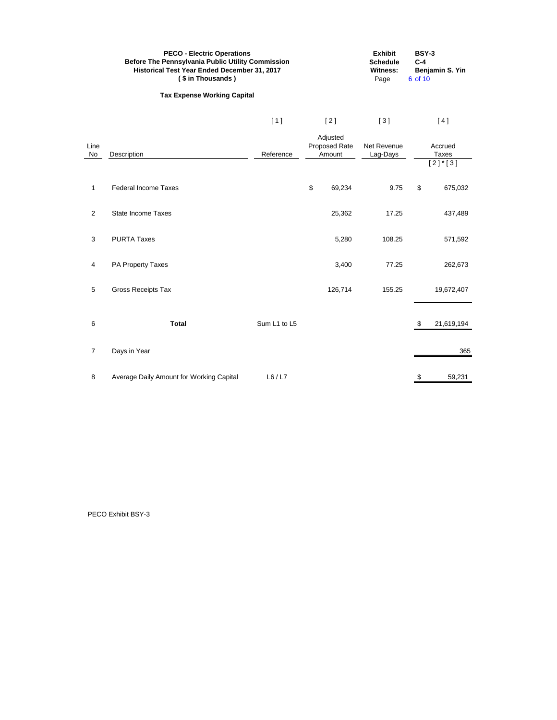|                | <b>PECO - Electric Operations</b><br><b>Before The Pennsylvania Public Utility Commission</b><br>Historical Test Year Ended December 31, 2017<br>(\$ in Thousands) | <b>Exhibit</b><br><b>Schedule</b><br><b>Witness:</b><br>Page | <b>BSY-3</b><br>$C-4$<br>Benjamin S. Yin<br>6 of 10 |                                     |                         |       |                                                   |
|----------------|--------------------------------------------------------------------------------------------------------------------------------------------------------------------|--------------------------------------------------------------|-----------------------------------------------------|-------------------------------------|-------------------------|-------|---------------------------------------------------|
|                | <b>Tax Expense Working Capital</b>                                                                                                                                 |                                                              |                                                     |                                     |                         |       |                                                   |
|                |                                                                                                                                                                    | [1]                                                          |                                                     | $[2]$                               | $[3]$                   |       | [4]                                               |
| Line<br>No     | Description                                                                                                                                                        | Reference                                                    |                                                     | Adjusted<br>Proposed Rate<br>Amount | Net Revenue<br>Lag-Days |       | Accrued<br><b>Taxes</b><br>$[2]$ <sup>*</sup> [3] |
| $\mathbf{1}$   | <b>Federal Income Taxes</b>                                                                                                                                        |                                                              | $\, \, \raisebox{12pt}{$\scriptstyle \$}$           | 69,234                              | 9.75                    | $\$\$ | 675,032                                           |
| $\overline{2}$ | <b>State Income Taxes</b>                                                                                                                                          |                                                              |                                                     | 25,362                              | 17.25                   |       | 437,489                                           |
| 3              | <b>PURTA Taxes</b>                                                                                                                                                 |                                                              |                                                     | 5,280                               | 108.25                  |       | 571,592                                           |
| $\overline{4}$ | PA Property Taxes                                                                                                                                                  |                                                              |                                                     | 3,400                               | 77.25                   |       | 262,673                                           |
| 5              | <b>Gross Receipts Tax</b>                                                                                                                                          |                                                              |                                                     | 126,714                             | 155.25                  |       | 19,672,407                                        |
| 6              | <b>Total</b>                                                                                                                                                       | Sum L1 to L5                                                 |                                                     |                                     |                         | \$    | 21,619,194                                        |
| $\overline{7}$ | Days in Year                                                                                                                                                       |                                                              |                                                     |                                     |                         |       | 365                                               |
| 8              | Average Daily Amount for Working Capital                                                                                                                           | L6/L7                                                        |                                                     |                                     |                         | \$    | 59,231                                            |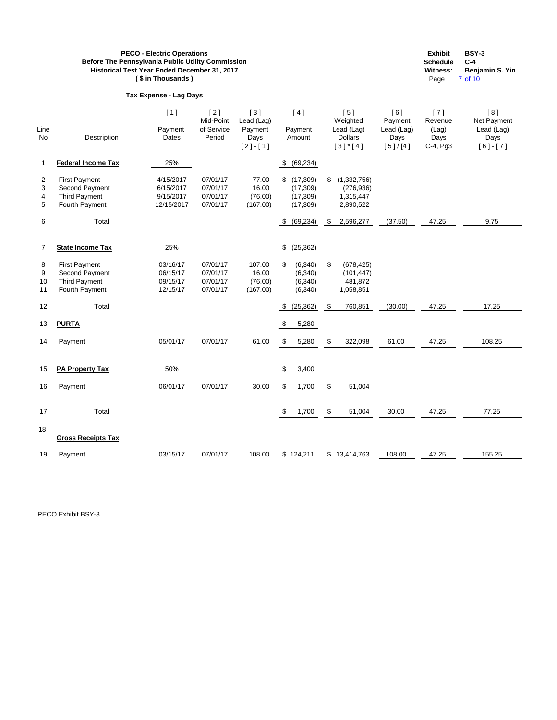# **Tax Expense - Lag Days**

**Exhibit BSY-3 Schedule C-4 Benjamin S. Yin** Page 7 of 10

| Line<br><b>No</b>  | Description                                                                      | [1]<br>Payment<br>Dates                           | [2]<br>Mid-Point<br>of Service<br>Period     | [3]<br>Lead (Lag)<br>Payment<br>Days<br>$[2] - [1]$ | [4]<br>Payment<br>Amount                               | [5]<br>Weighted<br>Lead (Lag)<br><b>Dollars</b><br>$[3]$ <sup>*</sup> [4] | [6]<br>Payment<br>Lead (Lag)<br>Days<br>[5]/[4] | [7]<br>Revenue<br>(Lag)<br>Days<br>C-4, Pg3 | [8]<br>Net Payment<br>Lead (Lag)<br>Days<br>$[6] - [7]$ |
|--------------------|----------------------------------------------------------------------------------|---------------------------------------------------|----------------------------------------------|-----------------------------------------------------|--------------------------------------------------------|---------------------------------------------------------------------------|-------------------------------------------------|---------------------------------------------|---------------------------------------------------------|
| 1                  | <b>Federal Income Tax</b>                                                        | 25%                                               |                                              |                                                     | (69, 234)<br>\$                                        |                                                                           |                                                 |                                             |                                                         |
| 2<br>3<br>4<br>5   | <b>First Payment</b><br>Second Payment<br><b>Third Payment</b><br>Fourth Payment | 4/15/2017<br>6/15/2017<br>9/15/2017<br>12/15/2017 | 07/01/17<br>07/01/17<br>07/01/17<br>07/01/17 | 77.00<br>16.00<br>(76.00)<br>(167.00)               | (17, 309)<br>\$<br>(17, 309)<br>(17, 309)<br>(17, 309) | (1,332,756)<br>\$<br>(276, 936)<br>1,315,447<br>2,890,522                 |                                                 |                                             |                                                         |
| 6                  | Total                                                                            |                                                   |                                              |                                                     | \$ (69,234)                                            | 2,596,277<br>\$                                                           | (37.50)                                         | 47.25                                       | 9.75                                                    |
| $\overline{7}$     | <b>State Income Tax</b>                                                          | 25%                                               |                                              |                                                     | (25, 362)<br>$\boldsymbol{\mathsf{S}}$                 |                                                                           |                                                 |                                             |                                                         |
| 8<br>9<br>10<br>11 | <b>First Payment</b><br>Second Payment<br><b>Third Payment</b><br>Fourth Payment | 03/16/17<br>06/15/17<br>09/15/17<br>12/15/17      | 07/01/17<br>07/01/17<br>07/01/17<br>07/01/17 | 107.00<br>16.00<br>(76.00)<br>(167.00)              | \$<br>(6, 340)<br>(6, 340)<br>(6, 340)<br>(6, 340)     | \$<br>(678, 425)<br>(101, 447)<br>481,872<br>1,058,851                    |                                                 |                                             |                                                         |
| 12                 | Total                                                                            |                                                   |                                              |                                                     | (25, 362)                                              | 760,851<br>\$                                                             | (30.00)                                         | 47.25                                       | 17.25                                                   |
| 13                 | <b>PURTA</b>                                                                     |                                                   |                                              |                                                     | \$<br>5,280                                            |                                                                           |                                                 |                                             |                                                         |
| 14                 | Payment                                                                          | 05/01/17                                          | 07/01/17                                     | 61.00                                               | 5,280<br>\$                                            | 322,098<br>\$                                                             | 61.00                                           | 47.25                                       | 108.25                                                  |
| 15                 | <b>PA Property Tax</b>                                                           | 50%                                               |                                              |                                                     | \$<br>3,400                                            |                                                                           |                                                 |                                             |                                                         |
| 16                 | Payment                                                                          | 06/01/17                                          | 07/01/17                                     | 30.00                                               | \$<br>1,700                                            | \$<br>51,004                                                              |                                                 |                                             |                                                         |
| 17                 | Total                                                                            |                                                   |                                              |                                                     | \$<br>1,700                                            | \$<br>51,004                                                              | 30.00                                           | 47.25                                       | 77.25                                                   |
| 18                 | <b>Gross Receipts Tax</b>                                                        |                                                   |                                              |                                                     |                                                        |                                                                           |                                                 |                                             |                                                         |
| 19                 | Payment                                                                          | 03/15/17                                          | 07/01/17                                     | 108.00                                              | \$124,211                                              | \$13,414,763                                                              | 108.00                                          | 47.25                                       | 155.25                                                  |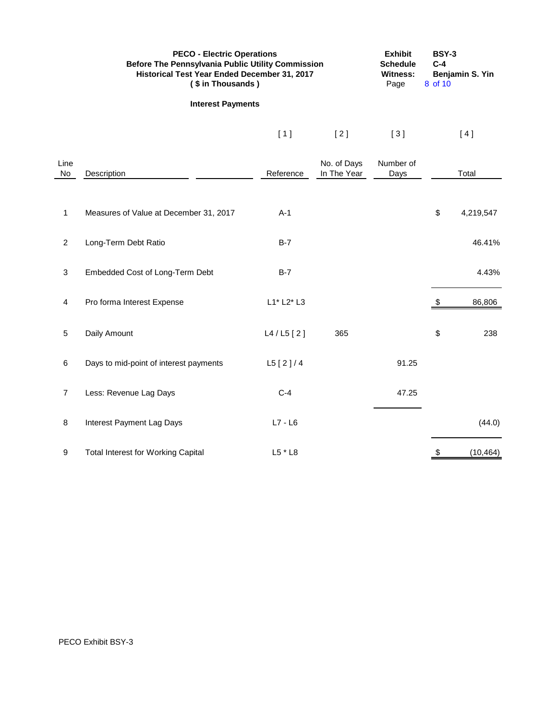|                | <b>PECO - Electric Operations</b><br>Before The Pennsylvania Public Utility Commission<br>Historical Test Year Ended December 31, 2017<br>(\$ in Thousands) |              | <b>Exhibit</b><br><b>Schedule</b><br><b>Witness:</b><br>Page | <b>BSY-3</b><br>Benjamin S. Yin<br>8 of 10 |    |           |
|----------------|-------------------------------------------------------------------------------------------------------------------------------------------------------------|--------------|--------------------------------------------------------------|--------------------------------------------|----|-----------|
|                | <b>Interest Payments</b>                                                                                                                                    |              |                                                              |                                            |    |           |
|                |                                                                                                                                                             | $[1]$        | $[2]$                                                        | $[3]$                                      |    | [4]       |
| Line<br>No     | Description                                                                                                                                                 | Reference    | No. of Days<br>In The Year                                   | Number of<br>Days                          |    | Total     |
| $\mathbf{1}$   | Measures of Value at December 31, 2017                                                                                                                      | $A-1$        |                                                              |                                            | \$ | 4,219,547 |
| $\overline{2}$ | Long-Term Debt Ratio                                                                                                                                        | $B-7$        |                                                              |                                            |    | 46.41%    |
| 3              | Embedded Cost of Long-Term Debt                                                                                                                             | $B-7$        |                                                              |                                            |    | 4.43%     |
| $\overline{4}$ | Pro forma Interest Expense                                                                                                                                  | L1* L2* L3   |                                                              |                                            | \$ | 86,806    |
| 5              | Daily Amount                                                                                                                                                | L4 / L5 [2]  | 365                                                          |                                            | \$ | 238       |
| 6              | Days to mid-point of interest payments                                                                                                                      | $L5$ [2] / 4 |                                                              | 91.25                                      |    |           |
| $\overline{7}$ | Less: Revenue Lag Days                                                                                                                                      | $C-4$        |                                                              | 47.25                                      |    |           |
| 8              | Interest Payment Lag Days                                                                                                                                   | $L7 - L6$    |                                                              |                                            |    | (44.0)    |
| 9              | <b>Total Interest for Working Capital</b>                                                                                                                   | L5 * L8      |                                                              |                                            | \$ | (10, 464) |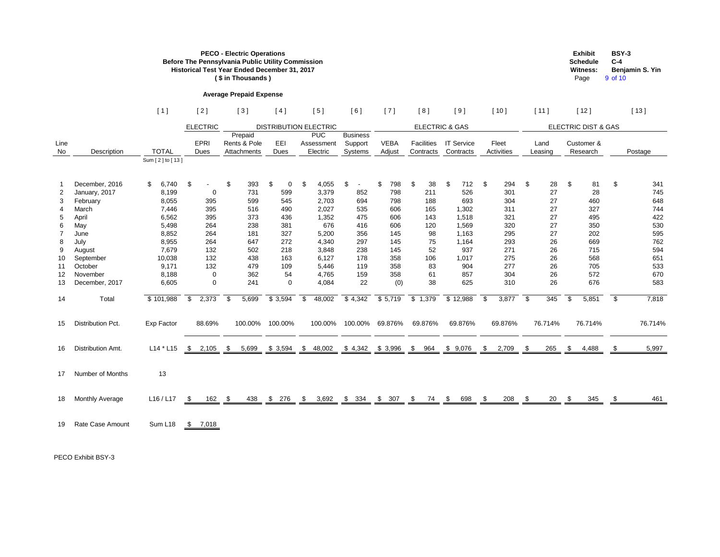|                                                                                                |                                                                                                                                                               |                                                                                                                                       |                      |                                                                                               |                                            | <b>PECO - Electric Operations</b><br>(\$ in Thousands)                                           | Before The Pennsylvania Public Utility Commission<br>Historical Test Year Ended December 31, 2017   |                      |                                                                                                                           |                |                                                                                                      |                                                                                                                      |                |                                                                                             |                                                                                                                       |                      |                                                                                                  |                                 |                                                                                   |                     | <b>Exhibit</b><br><b>Schedule</b><br><b>Witness:</b><br>Page                                   | $C-4$<br>9 of 10                            | <b>BSY-3</b><br>Benjamin S. Yin                                                                  |
|------------------------------------------------------------------------------------------------|---------------------------------------------------------------------------------------------------------------------------------------------------------------|---------------------------------------------------------------------------------------------------------------------------------------|----------------------|-----------------------------------------------------------------------------------------------|--------------------------------------------|--------------------------------------------------------------------------------------------------|-----------------------------------------------------------------------------------------------------|----------------------|---------------------------------------------------------------------------------------------------------------------------|----------------|------------------------------------------------------------------------------------------------------|----------------------------------------------------------------------------------------------------------------------|----------------|---------------------------------------------------------------------------------------------|-----------------------------------------------------------------------------------------------------------------------|----------------------|--------------------------------------------------------------------------------------------------|---------------------------------|-----------------------------------------------------------------------------------|---------------------|------------------------------------------------------------------------------------------------|---------------------------------------------|--------------------------------------------------------------------------------------------------|
|                                                                                                |                                                                                                                                                               |                                                                                                                                       |                      |                                                                                               |                                            | <b>Average Prepaid Expense</b>                                                                   |                                                                                                     |                      |                                                                                                                           |                |                                                                                                      |                                                                                                                      |                |                                                                                             |                                                                                                                       |                      |                                                                                                  |                                 |                                                                                   |                     |                                                                                                |                                             |                                                                                                  |
|                                                                                                |                                                                                                                                                               | [1]                                                                                                                                   |                      | $[2]$                                                                                         |                                            | $[3]$                                                                                            | [4]                                                                                                 |                      | [5]                                                                                                                       |                | [6]                                                                                                  | $[7]$                                                                                                                |                | [8]                                                                                         | $[9]$                                                                                                                 |                      | [10]                                                                                             |                                 | $[11]$                                                                            |                     | $[12]$                                                                                         |                                             | [13]                                                                                             |
|                                                                                                |                                                                                                                                                               |                                                                                                                                       |                      | <b>ELECTRIC</b>                                                                               |                                            |                                                                                                  | <b>DISTRIBUTION ELECTRIC</b>                                                                        |                      |                                                                                                                           |                |                                                                                                      |                                                                                                                      |                | <b>ELECTRIC &amp; GAS</b>                                                                   |                                                                                                                       |                      |                                                                                                  |                                 |                                                                                   |                     | <b>ELECTRIC DIST &amp; GAS</b>                                                                 |                                             |                                                                                                  |
| Line<br>No                                                                                     | Description                                                                                                                                                   | <b>TOTAL</b>                                                                                                                          |                      | EPRI<br><b>Dues</b>                                                                           |                                            | Prepaid<br>Rents & Pole<br>Attachments                                                           | EEI<br>Dues                                                                                         |                      | <b>PUC</b><br>Assessment<br>Electric                                                                                      |                | <b>Business</b><br>Support<br>Systems                                                                | <b>VEBA</b><br>Adjust                                                                                                |                | Facilities<br>Contracts                                                                     | <b>IT Service</b><br>Contracts                                                                                        |                      | Fleet<br>Activities                                                                              |                                 | Land<br>Leasing                                                                   |                     | Customer &<br>Research                                                                         |                                             | Postage                                                                                          |
|                                                                                                |                                                                                                                                                               | Sum [2] to [13]                                                                                                                       |                      |                                                                                               |                                            |                                                                                                  |                                                                                                     |                      |                                                                                                                           |                |                                                                                                      |                                                                                                                      |                |                                                                                             |                                                                                                                       |                      |                                                                                                  |                                 |                                                                                   |                     |                                                                                                |                                             |                                                                                                  |
| - 1<br>$\overline{2}$<br>3<br>$\overline{4}$<br>5<br>6<br>8<br>9<br>10<br>11<br>12<br>13<br>14 | December, 2016<br>January, 2017<br>February<br>March<br>April<br>May<br>June<br>July<br>August<br>September<br>October<br>November<br>December, 2017<br>Total | \$<br>6,740<br>8,199<br>8,055<br>7,446<br>6,562<br>5,498<br>8,852<br>8,955<br>7,679<br>10,038<br>9,171<br>8,188<br>6,605<br>\$101,988 | \$<br>$\mathfrak{F}$ | 0<br>395<br>395<br>395<br>264<br>264<br>264<br>132<br>132<br>132<br>$\mathbf 0$<br>0<br>2,373 | $\boldsymbol{\mathsf{S}}$<br>$\sqrt[6]{3}$ | 393<br>731<br>599<br>516<br>373<br>238<br>181<br>647<br>502<br>438<br>479<br>362<br>241<br>5,699 | \$<br>0<br>599<br>545<br>490<br>436<br>381<br>327<br>272<br>218<br>163<br>109<br>54<br>0<br>\$3,594 | \$<br>$\mathfrak{S}$ | 4,055<br>3,379<br>2,703<br>2,027<br>1,352<br>676<br>5,200<br>4,340<br>3,848<br>6,127<br>5,446<br>4,765<br>4,084<br>48,002 | $\mathfrak{L}$ | $\sim$<br>852<br>694<br>535<br>475<br>416<br>356<br>297<br>238<br>178<br>119<br>159<br>22<br>\$4,342 | $\mathfrak{S}$<br>798<br>798<br>798<br>606<br>606<br>606<br>145<br>145<br>145<br>358<br>358<br>358<br>(0)<br>\$5,719 | $\mathfrak{S}$ | 38<br>211<br>188<br>165<br>143<br>120<br>98<br>75<br>52<br>106<br>83<br>61<br>38<br>\$1,379 | \$<br>712<br>526<br>693<br>1,302<br>1,518<br>1,569<br>1,163<br>1,164<br>937<br>1,017<br>904<br>857<br>625<br>\$12,988 | \$<br>$\mathfrak{S}$ | 294<br>301<br>304<br>311<br>321<br>320<br>295<br>293<br>271<br>275<br>277<br>304<br>310<br>3,877 | $\boldsymbol{\mathsf{S}}$<br>\$ | 28<br>27<br>27<br>27<br>27<br>27<br>27<br>26<br>26<br>26<br>26<br>26<br>26<br>345 | \$<br>$\sqrt[6]{3}$ | 81<br>28<br>460<br>327<br>495<br>350<br>202<br>669<br>715<br>568<br>705<br>572<br>676<br>5,851 | $\boldsymbol{\mathsf{S}}$<br>$\mathfrak{S}$ | 341<br>745<br>648<br>744<br>422<br>530<br>595<br>762<br>594<br>651<br>533<br>670<br>583<br>7,818 |
| 15                                                                                             | Distribution Pct.                                                                                                                                             | Exp Factor                                                                                                                            |                      | 88.69%                                                                                        |                                            | 100.00%                                                                                          | 100.00%                                                                                             |                      | 100.00%                                                                                                                   |                | 100.00%                                                                                              | 69.876%                                                                                                              |                | 69.876%                                                                                     | 69.876%                                                                                                               |                      | 69.876%                                                                                          |                                 | 76.714%                                                                           |                     | 76.714%                                                                                        |                                             | 76.714%                                                                                          |
|                                                                                                | 16 Distribution Amt.                                                                                                                                          | L14 * L15 \$ 2,105 \$ 5,699 \$ 3,594 \$ 48,002 \$ 4,342 \$ 3,996 \$ 964 \$ 9,076 \$                                                   |                      |                                                                                               |                                            |                                                                                                  |                                                                                                     |                      |                                                                                                                           |                |                                                                                                      |                                                                                                                      |                |                                                                                             |                                                                                                                       |                      | $2,709$ \$                                                                                       |                                 | 265                                                                               | <b>S</b>            | 4,488                                                                                          |                                             | 5,997                                                                                            |
|                                                                                                | 17 Number of Months                                                                                                                                           | 13                                                                                                                                    |                      |                                                                                               |                                            |                                                                                                  |                                                                                                     |                      |                                                                                                                           |                |                                                                                                      |                                                                                                                      |                |                                                                                             |                                                                                                                       |                      |                                                                                                  |                                 |                                                                                   |                     |                                                                                                |                                             |                                                                                                  |
|                                                                                                | 18 Monthly Average                                                                                                                                            | L16/L17 \$ 162 \$ 438 \$ 276 \$ 3,692 \$ 334 \$ 307 \$ 74 \$                                                                          |                      |                                                                                               |                                            |                                                                                                  |                                                                                                     |                      |                                                                                                                           |                |                                                                                                      |                                                                                                                      |                |                                                                                             | <u>698 \$</u>                                                                                                         |                      | <u>208 \$</u>                                                                                    |                                 | $\frac{20}{5}$ \$                                                                 |                     | <u>345</u>                                                                                     |                                             | <u>461</u>                                                                                       |
|                                                                                                | 19 Rate Case Amount                                                                                                                                           | Sum L18 \$ 7,018                                                                                                                      |                      |                                                                                               |                                            |                                                                                                  |                                                                                                     |                      |                                                                                                                           |                |                                                                                                      |                                                                                                                      |                |                                                                                             |                                                                                                                       |                      |                                                                                                  |                                 |                                                                                   |                     |                                                                                                |                                             |                                                                                                  |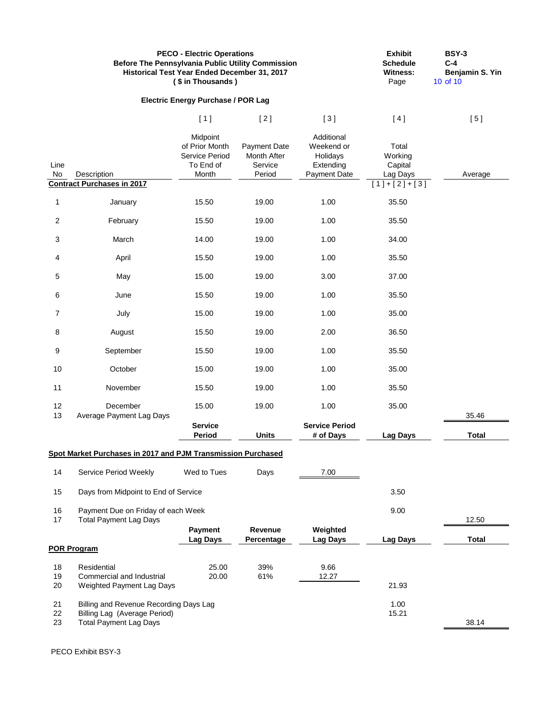|                | <b>Before The Pennsylvania Public Utility Commission</b>                                                | <b>PECO - Electric Operations</b><br>Historical Test Year Ended December 31, 2017<br>(\$ in Thousands) |                                                  |                                                                   | <b>Exhibit</b><br><b>Schedule</b><br><b>Witness:</b><br>Page | <b>BSY-3</b><br>$C-4$<br>Benjamin S. Yin<br>10 of 10 |
|----------------|---------------------------------------------------------------------------------------------------------|--------------------------------------------------------------------------------------------------------|--------------------------------------------------|-------------------------------------------------------------------|--------------------------------------------------------------|------------------------------------------------------|
|                |                                                                                                         | <b>Electric Energy Purchase / POR Lag</b>                                                              |                                                  |                                                                   |                                                              |                                                      |
|                |                                                                                                         | [1]                                                                                                    | $[2]$                                            | $[3]$                                                             | [4]                                                          | [5]                                                  |
| Line<br>No     | Description                                                                                             | Midpoint<br>of Prior Month<br>Service Period<br>To End of<br>Month                                     | Payment Date<br>Month After<br>Service<br>Period | Additional<br>Weekend or<br>Holidays<br>Extending<br>Payment Date | Total<br>Working<br>Capital<br>Lag Days                      | Average                                              |
|                | <b>Contract Purchases in 2017</b>                                                                       |                                                                                                        |                                                  |                                                                   | $[1]+[2]+[3]$                                                |                                                      |
| $\mathbf 1$    | January                                                                                                 | 15.50                                                                                                  | 19.00                                            | 1.00                                                              | 35.50                                                        |                                                      |
| 2              | February                                                                                                | 15.50                                                                                                  | 19.00                                            | 1.00                                                              | 35.50                                                        |                                                      |
| 3              | March                                                                                                   | 14.00                                                                                                  | 19.00                                            | 1.00                                                              | 34.00                                                        |                                                      |
| 4              | April                                                                                                   | 15.50                                                                                                  | 19.00                                            | 1.00                                                              | 35.50                                                        |                                                      |
| 5              | May                                                                                                     | 15.00                                                                                                  | 19.00                                            | 3.00                                                              | 37.00                                                        |                                                      |
| 6              | June                                                                                                    | 15.50                                                                                                  | 19.00                                            | 1.00                                                              | 35.50                                                        |                                                      |
| $\overline{7}$ | July                                                                                                    | 15.00                                                                                                  | 19.00                                            | 1.00                                                              | 35.00                                                        |                                                      |
| 8              | August                                                                                                  | 15.50                                                                                                  | 19.00                                            | 2.00                                                              | 36.50                                                        |                                                      |
| 9              | September                                                                                               | 15.50                                                                                                  | 19.00                                            | 1.00                                                              | 35.50                                                        |                                                      |
| 10             | October                                                                                                 | 15.00                                                                                                  | 19.00                                            | 1.00                                                              | 35.00                                                        |                                                      |
| 11             | November                                                                                                | 15.50                                                                                                  | 19.00                                            | 1.00                                                              | 35.50                                                        |                                                      |
| 12<br>13       | December<br>Average Payment Lag Days                                                                    | 15.00                                                                                                  | 19.00                                            | 1.00                                                              | 35.00                                                        | 35.46                                                |
|                |                                                                                                         | <b>Service</b><br><b>Period</b>                                                                        | <b>Units</b>                                     | <b>Service Period</b><br># of Days                                | <b>Lag Days</b>                                              | <b>Total</b>                                         |
|                | Spot Market Purchases in 2017 and PJM Transmission Purchased                                            |                                                                                                        |                                                  |                                                                   |                                                              |                                                      |
| 14             | Service Period Weekly                                                                                   | Wed to Tues                                                                                            | Days                                             | 7.00                                                              |                                                              |                                                      |
| 15             | Days from Midpoint to End of Service                                                                    |                                                                                                        |                                                  |                                                                   | 3.50                                                         |                                                      |
| 16<br>17       | Payment Due on Friday of each Week<br><b>Total Payment Lag Days</b>                                     |                                                                                                        |                                                  |                                                                   | 9.00                                                         | 12.50                                                |
|                |                                                                                                         | <b>Payment</b><br>Lag Days                                                                             | Revenue<br>Percentage                            | Weighted<br><b>Lag Days</b>                                       | <b>Lag Days</b>                                              | <b>Total</b>                                         |
|                | <b>POR Program</b>                                                                                      |                                                                                                        |                                                  |                                                                   |                                                              |                                                      |
| 18<br>19<br>20 | Residential<br>Commercial and Industrial<br>Weighted Payment Lag Days                                   | 25.00<br>20.00                                                                                         | 39%<br>61%                                       | 9.66<br>12.27                                                     | 21.93                                                        |                                                      |
| 21<br>22<br>23 | Billing and Revenue Recording Days Lag<br>Billing Lag (Average Period)<br><b>Total Payment Lag Days</b> |                                                                                                        |                                                  |                                                                   | 1.00<br>15.21                                                | 38.14                                                |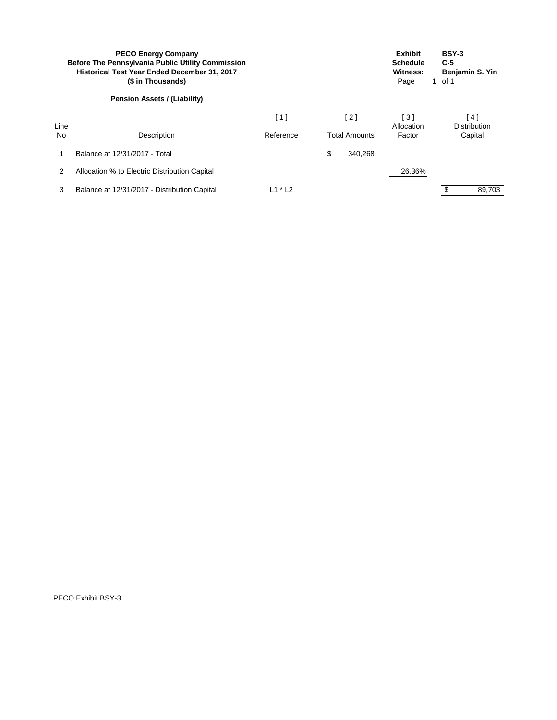|            | <b>PECO Energy Company</b><br><b>Before The Pennsylvania Public Utility Commission</b><br><b>Historical Test Year Ended December 31, 2017</b><br>(\$ in Thousands) |                  |                             | <b>Exhibit</b><br><b>Schedule</b><br>Witness:<br>Page | <b>BSY-3</b><br>$C-5$<br>Benjamin S. Yin<br>of 1<br>$\mathbf 1$ |
|------------|--------------------------------------------------------------------------------------------------------------------------------------------------------------------|------------------|-----------------------------|-------------------------------------------------------|-----------------------------------------------------------------|
|            | <b>Pension Assets / (Liability)</b>                                                                                                                                |                  |                             |                                                       |                                                                 |
| Line<br>No | Description                                                                                                                                                        | [1]<br>Reference | [2]<br><b>Total Amounts</b> | $\lceil 3 \rceil$<br>Allocation<br>Factor             | 4 ]<br><b>Distribution</b><br>Capital                           |
|            |                                                                                                                                                                    |                  |                             |                                                       |                                                                 |
|            | Balance at 12/31/2017 - Total                                                                                                                                      |                  | \$<br>340,268               |                                                       |                                                                 |
| 2          | Allocation % to Electric Distribution Capital                                                                                                                      |                  |                             | 26.36%                                                |                                                                 |
| 3          | Balance at 12/31/2017 - Distribution Capital                                                                                                                       | $L1 * L2$        |                             |                                                       | 89,703                                                          |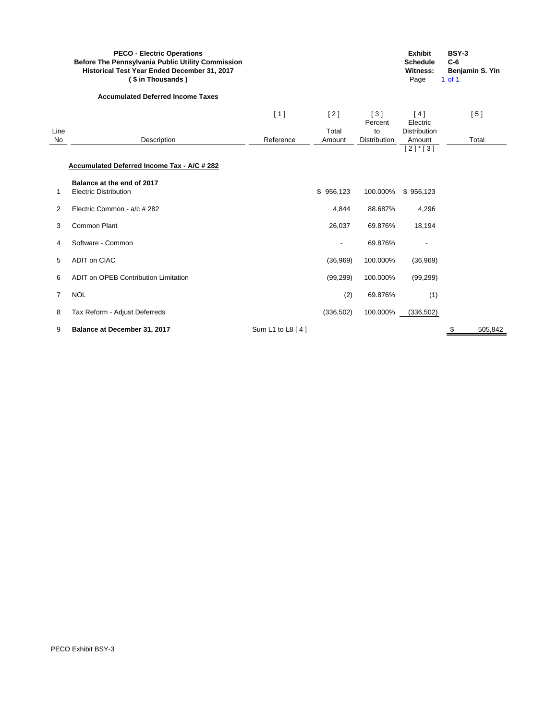|                   | <b>PECO - Electric Operations</b><br><b>Before The Pennsylvania Public Utility Commission</b><br>Historical Test Year Ended December 31, 2017<br>(\$ in Thousands) |                  |                 |                    | <b>Exhibit</b><br><b>Schedule</b><br><b>Witness:</b><br>Page | <b>BSY-3</b><br>$C-6$<br>Benjamin S. Yin<br>$1$ of $1$ |  |
|-------------------|--------------------------------------------------------------------------------------------------------------------------------------------------------------------|------------------|-----------------|--------------------|--------------------------------------------------------------|--------------------------------------------------------|--|
|                   | <b>Accumulated Deferred Income Taxes</b>                                                                                                                           |                  |                 |                    |                                                              |                                                        |  |
|                   |                                                                                                                                                                    | [1]              | $[2]$           | $[3]$<br>Percent   | [4]<br>Electric                                              | [5]                                                    |  |
| Line<br><b>No</b> | Description                                                                                                                                                        | Reference        | Total<br>Amount | to<br>Distribution | <b>Distribution</b><br>Amount                                | Total                                                  |  |
|                   | <b>Accumulated Deferred Income Tax - A/C # 282</b>                                                                                                                 |                  |                 |                    | $[2]$ * $[3]$                                                |                                                        |  |
|                   |                                                                                                                                                                    |                  |                 |                    |                                                              |                                                        |  |
| 1                 | Balance at the end of 2017<br><b>Electric Distribution</b>                                                                                                         |                  | \$956,123       | 100.000%           | \$956,123                                                    |                                                        |  |
| 2                 | Electric Common - a/c # 282                                                                                                                                        |                  | 4,844           | 88.687%            | 4,296                                                        |                                                        |  |
| 3                 | <b>Common Plant</b>                                                                                                                                                |                  | 26,037          | 69.876%            | 18,194                                                       |                                                        |  |
| 4                 | Software - Common                                                                                                                                                  |                  | $\overline{a}$  | 69.876%            |                                                              |                                                        |  |
| 5                 | ADIT on CIAC                                                                                                                                                       |                  | (36,969)        | 100.000%           | (36,969)                                                     |                                                        |  |
| 6                 | <b>ADIT on OPEB Contribution Limitation</b>                                                                                                                        |                  | (99, 299)       | 100.000%           | (99, 299)                                                    |                                                        |  |
| 7                 | <b>NOL</b>                                                                                                                                                         |                  | (2)             | 69.876%            | (1)                                                          |                                                        |  |
| 8                 | Tax Reform - Adjust Deferreds                                                                                                                                      |                  | (336, 502)      | 100.000%           | (336, 502)                                                   |                                                        |  |
| 9                 | Balance at December 31, 2017                                                                                                                                       | Sum L1 to L8 [4] |                 |                    |                                                              | \$<br>505,842                                          |  |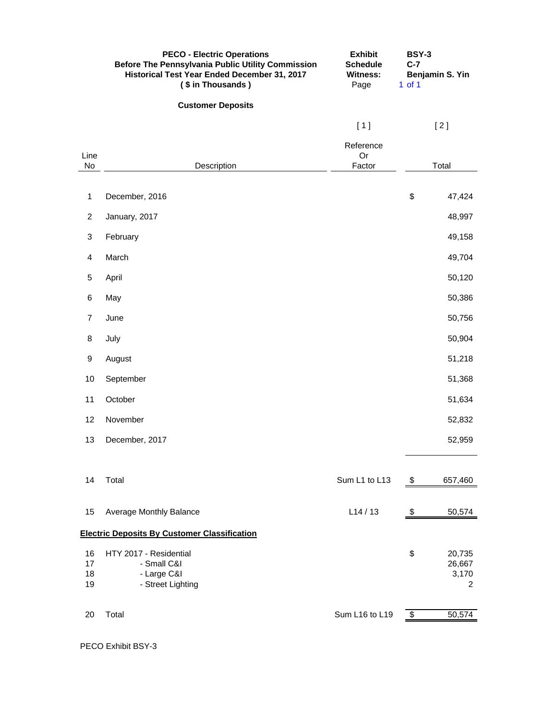|                      | <b>PECO - Electric Operations</b><br><b>Before The Pennsylvania Public Utility Commission</b><br>Historical Test Year Ended December 31, 2017<br>(\$ in Thousands) | <b>Exhibit</b><br><b>Schedule</b><br><b>Witness:</b><br>Page | <b>BSY-3</b><br>$C-7$<br>$1$ of $1$ | Benjamin S. Yin                |
|----------------------|--------------------------------------------------------------------------------------------------------------------------------------------------------------------|--------------------------------------------------------------|-------------------------------------|--------------------------------|
|                      | <b>Customer Deposits</b>                                                                                                                                           |                                                              |                                     |                                |
|                      |                                                                                                                                                                    | [1]                                                          |                                     | $[2]$                          |
| Line<br>No           | Description                                                                                                                                                        | Reference<br>Or<br>Factor                                    |                                     | Total                          |
| $\mathbf{1}$         | December, 2016                                                                                                                                                     |                                                              | \$                                  | 47,424                         |
| $\overline{c}$       | January, 2017                                                                                                                                                      |                                                              |                                     | 48,997                         |
| 3                    | February                                                                                                                                                           |                                                              |                                     | 49,158                         |
| 4                    | March                                                                                                                                                              |                                                              |                                     | 49,704                         |
| $\sqrt{5}$           | April                                                                                                                                                              |                                                              |                                     | 50,120                         |
| 6                    | May                                                                                                                                                                |                                                              |                                     | 50,386                         |
| $\overline{7}$       | June                                                                                                                                                               |                                                              |                                     | 50,756                         |
| 8                    | July                                                                                                                                                               |                                                              |                                     | 50,904                         |
| 9                    | August                                                                                                                                                             |                                                              |                                     | 51,218                         |
| 10                   | September                                                                                                                                                          |                                                              |                                     | 51,368                         |
| 11                   | October                                                                                                                                                            |                                                              |                                     | 51,634                         |
| 12 <sub>2</sub>      | November                                                                                                                                                           |                                                              |                                     | 52,832                         |
| 13                   | December, 2017                                                                                                                                                     |                                                              |                                     | 52,959                         |
| 14                   | Total                                                                                                                                                              | Sum L1 to L13                                                | - \$                                | 657,460                        |
| 15                   | Average Monthly Balance                                                                                                                                            | L14/13                                                       | -\$                                 | 50,574                         |
|                      | <b>Electric Deposits By Customer Classification</b>                                                                                                                |                                                              |                                     |                                |
| 16<br>17<br>18<br>19 | HTY 2017 - Residential<br>- Small C&I<br>- Large C&I<br>- Street Lighting                                                                                          |                                                              | \$                                  | 20,735<br>26,667<br>3,170<br>2 |
| 20                   | Total                                                                                                                                                              | Sum L16 to L19                                               | \$                                  | 50,574                         |
|                      |                                                                                                                                                                    |                                                              |                                     |                                |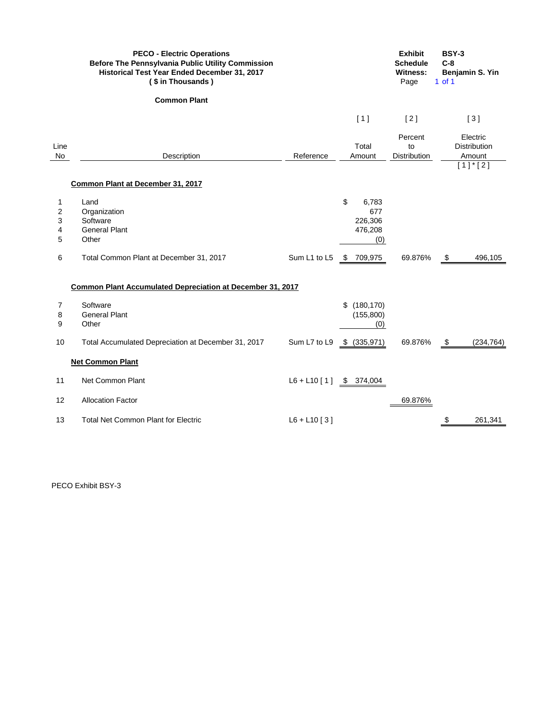|                          | <b>PECO - Electric Operations</b><br><b>Before The Pennsylvania Public Utility Commission</b><br>Historical Test Year Ended December 31, 2017<br>(\$ in Thousands) |                           |                                                 | <b>Exhibit</b><br><b>Schedule</b><br><b>Witness:</b><br>Page | <b>BSY-3</b><br>$C-8$<br>Benjamin S. Yin<br>$1$ of $1$ |
|--------------------------|--------------------------------------------------------------------------------------------------------------------------------------------------------------------|---------------------------|-------------------------------------------------|--------------------------------------------------------------|--------------------------------------------------------|
|                          | <b>Common Plant</b>                                                                                                                                                |                           |                                                 |                                                              |                                                        |
|                          |                                                                                                                                                                    |                           | [1]                                             | [2]                                                          | $[3]$                                                  |
| Line<br>No               | Description                                                                                                                                                        | Reference                 | Total<br>Amount                                 | Percent<br>to<br>Distribution                                | Electric<br><b>Distribution</b><br>Amount              |
|                          | Common Plant at December 31, 2017                                                                                                                                  |                           |                                                 |                                                              | $[1]$ <sup>*</sup> $[2]$                               |
| 1<br>2<br>3<br>4<br>5    | Land<br>Organization<br>Software<br><b>General Plant</b><br>Other                                                                                                  |                           | \$<br>6,783<br>677<br>226,306<br>476,208<br>(0) |                                                              |                                                        |
| 6                        | Total Common Plant at December 31, 2017                                                                                                                            | Sum L1 to L5 \$ 709,975   |                                                 | 69.876%                                                      | 496,105<br>\$                                          |
|                          | Common Plant Accumulated Depreciation at December 31, 2017                                                                                                         |                           |                                                 |                                                              |                                                        |
| $\overline{7}$<br>8<br>9 | Software<br><b>General Plant</b><br>Other                                                                                                                          |                           | \$(180, 170)<br>(155,800)<br>(0)                |                                                              |                                                        |
| 10                       | Total Accumulated Depreciation at December 31, 2017                                                                                                                | Sum L7 to L9              | \$ (335,971)                                    | 69.876%                                                      | (234, 764)<br>\$                                       |
|                          | <b>Net Common Plant</b>                                                                                                                                            |                           |                                                 |                                                              |                                                        |
| 11                       | Net Common Plant                                                                                                                                                   | $L6 + L10$ [1] \$ 374,004 |                                                 |                                                              |                                                        |
| 12                       | <b>Allocation Factor</b>                                                                                                                                           |                           |                                                 | 69.876%                                                      |                                                        |
| 13                       | <b>Total Net Common Plant for Electric</b>                                                                                                                         | $L6 + L10$ [3]            |                                                 |                                                              | \$<br>261,341                                          |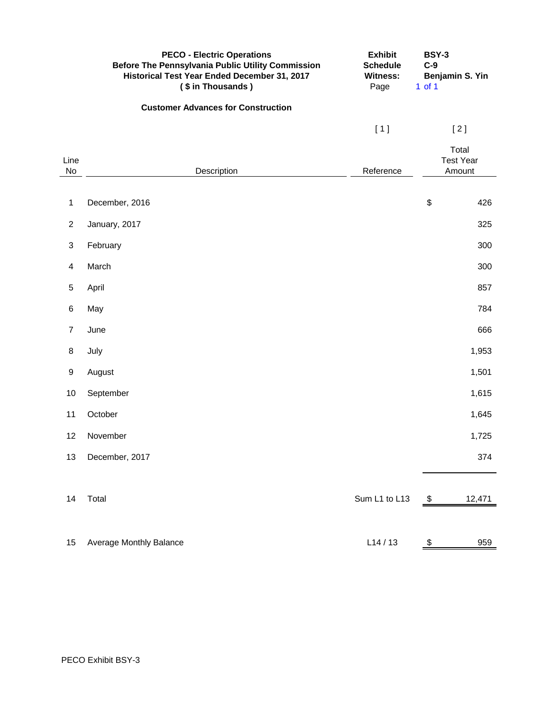|                         | <b>PECO - Electric Operations</b><br><b>Before The Pennsylvania Public Utility Commission</b><br>Historical Test Year Ended December 31, 2017<br>(\$ in Thousands) | <b>Exhibit</b><br><b>Schedule</b><br><b>Witness:</b><br>Page | <b>BSY-3</b><br>$C-9$<br>$1$ of $1$ | Benjamin S. Yin                     |
|-------------------------|--------------------------------------------------------------------------------------------------------------------------------------------------------------------|--------------------------------------------------------------|-------------------------------------|-------------------------------------|
|                         | <b>Customer Advances for Construction</b>                                                                                                                          |                                                              |                                     |                                     |
|                         |                                                                                                                                                                    | $[1]$                                                        |                                     | $[2]$                               |
| Line<br><b>No</b>       | Description                                                                                                                                                        | Reference                                                    |                                     | Total<br><b>Test Year</b><br>Amount |
|                         |                                                                                                                                                                    |                                                              |                                     |                                     |
| $\mathbf 1$             | December, 2016                                                                                                                                                     |                                                              | \$                                  | 426                                 |
| $\overline{2}$          | January, 2017                                                                                                                                                      |                                                              |                                     | 325                                 |
| 3                       | February                                                                                                                                                           |                                                              |                                     | 300                                 |
| $\overline{\mathbf{4}}$ | March                                                                                                                                                              |                                                              |                                     | 300                                 |
| 5                       | April                                                                                                                                                              |                                                              |                                     | 857                                 |
| 6                       | May                                                                                                                                                                |                                                              |                                     | 784                                 |
| $\overline{7}$          | June                                                                                                                                                               |                                                              |                                     | 666                                 |
| 8                       | July                                                                                                                                                               |                                                              |                                     | 1,953                               |
| 9                       | August                                                                                                                                                             |                                                              |                                     | 1,501                               |
| 10                      | September                                                                                                                                                          |                                                              |                                     | 1,615                               |
| 11                      | October                                                                                                                                                            |                                                              |                                     | 1,645                               |
| 12                      | November                                                                                                                                                           |                                                              |                                     | 1,725                               |
| 13                      | December, 2017                                                                                                                                                     |                                                              |                                     | 374                                 |
|                         |                                                                                                                                                                    |                                                              |                                     |                                     |
| 14                      | Total                                                                                                                                                              | Sum L1 to L13                                                | $\frac{1}{2}$                       | 12,471                              |
|                         |                                                                                                                                                                    |                                                              |                                     |                                     |
| 15                      | Average Monthly Balance                                                                                                                                            | L14/13                                                       | \$                                  | 959                                 |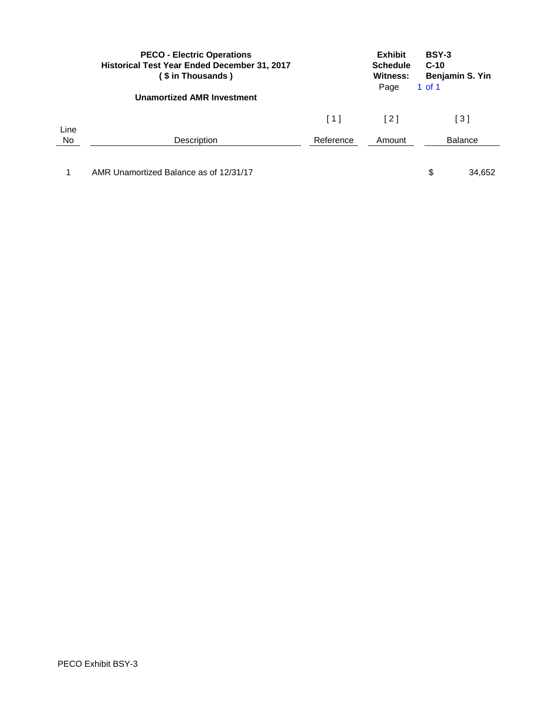|      | <b>PECO - Electric Operations</b><br><b>Historical Test Year Ended December 31, 2017</b><br>(\$ in Thousands) |                   | <b>Exhibit</b><br><b>Schedule</b><br><b>Witness:</b><br>Page | BSY-3<br>$C-10$<br>Benjamin S. Yin<br>1 of 1 |        |
|------|---------------------------------------------------------------------------------------------------------------|-------------------|--------------------------------------------------------------|----------------------------------------------|--------|
|      | <b>Unamortized AMR Investment</b>                                                                             |                   |                                                              |                                              |        |
| Line |                                                                                                               | $\lceil 1 \rceil$ | $\lceil 2 \rceil$                                            | [3]                                          |        |
| No   | Description                                                                                                   | Reference         | Amount                                                       | <b>Balance</b>                               |        |
|      | AMR Unamortized Balance as of 12/31/17                                                                        |                   |                                                              | \$                                           | 34,652 |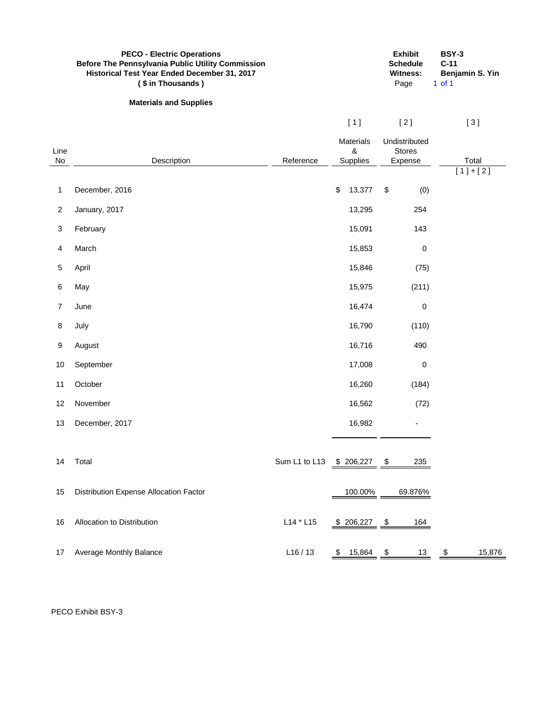|                | <b>PECO - Electric Operations</b><br><b>Before The Pennsylvania Public Utility Commission</b><br>Historical Test Year Ended December 31, 2017<br>(\$ in Thousands) |               |                                   | <b>Exhibit</b><br><b>Schedule</b><br><b>Witness:</b><br>Page | <b>BSY-3</b><br>$C-11$<br>Benjamin S. Yin<br>$1$ of $1$ |
|----------------|--------------------------------------------------------------------------------------------------------------------------------------------------------------------|---------------|-----------------------------------|--------------------------------------------------------------|---------------------------------------------------------|
|                | <b>Materials and Supplies</b>                                                                                                                                      |               |                                   |                                                              |                                                         |
|                |                                                                                                                                                                    |               | [1]                               | $[2]$                                                        | $[3]$                                                   |
| Line<br>No     | Description                                                                                                                                                        | Reference     | <b>Materials</b><br>&<br>Supplies | Undistributed<br><b>Stores</b><br>Expense                    | Total<br>$[1]+[2]$                                      |
| 1              | December, 2016                                                                                                                                                     |               | 13,377<br>\$                      | \$<br>(0)                                                    |                                                         |
| $\overline{2}$ | January, 2017                                                                                                                                                      |               | 13,295                            | 254                                                          |                                                         |
| 3              | February                                                                                                                                                           |               | 15,091                            | 143                                                          |                                                         |
| 4              | March                                                                                                                                                              |               | 15,853                            | 0                                                            |                                                         |
| $\sqrt{5}$     | April                                                                                                                                                              |               | 15,846                            | (75)                                                         |                                                         |
| 6              | May                                                                                                                                                                |               | 15,975                            | (211)                                                        |                                                         |
| 7              | June                                                                                                                                                               |               | 16,474                            | 0                                                            |                                                         |
| 8              | July                                                                                                                                                               |               | 16,790                            | (110)                                                        |                                                         |
| 9              | August                                                                                                                                                             |               | 16,716                            | 490                                                          |                                                         |
| 10             | September                                                                                                                                                          |               | 17,008                            | 0                                                            |                                                         |
| 11             | October                                                                                                                                                            |               | 16,260                            | (184)                                                        |                                                         |
| 12             | November                                                                                                                                                           |               | 16,562                            | (72)                                                         |                                                         |
| 13             | December, 2017                                                                                                                                                     |               | 16,982                            |                                                              |                                                         |
|                |                                                                                                                                                                    |               |                                   |                                                              |                                                         |
| 14             | Total                                                                                                                                                              | Sum L1 to L13 | $$206,227$ \,                     | 235                                                          |                                                         |
| 15             | Distribution Expense Allocation Factor                                                                                                                             |               | 100.00%                           | 69.876%                                                      |                                                         |
| 16             | Allocation to Distribution                                                                                                                                         | $L14 * L15$   | $$206,227$ \, \$                  | 164                                                          |                                                         |
| 17             | Average Monthly Balance                                                                                                                                            | L16/13        | \$15,864                          | 13<br>\$                                                     | 15,876<br>\$                                            |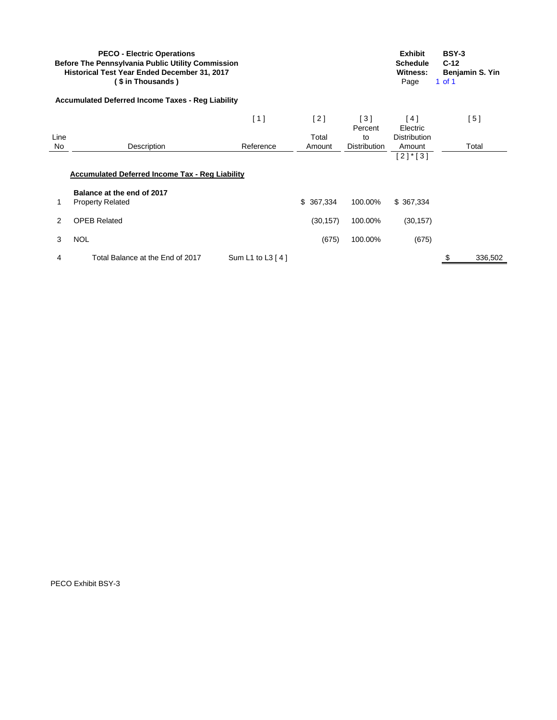|                | <b>PECO - Electric Operations</b><br><b>Before The Pennsylvania Public Utility Commission</b><br>Historical Test Year Ended December 31, 2017<br>(\$ in Thousands ) |                  |           |                     | <b>Exhibit</b><br><b>Schedule</b><br>Witness:<br>Page | <b>BSY-3</b><br>$C-12$<br>1 of 1 | Benjamin S. Yin |
|----------------|---------------------------------------------------------------------------------------------------------------------------------------------------------------------|------------------|-----------|---------------------|-------------------------------------------------------|----------------------------------|-----------------|
|                | <b>Accumulated Deferred Income Taxes - Reg Liability</b>                                                                                                            |                  |           |                     |                                                       |                                  |                 |
|                |                                                                                                                                                                     | [1]              | [2]       | [3]<br>Percent      | [4]<br>Electric                                       |                                  | [5]             |
| Line           |                                                                                                                                                                     |                  | Total     | to                  | <b>Distribution</b>                                   |                                  |                 |
| No             | Description                                                                                                                                                         | Reference        | Amount    | <b>Distribution</b> | Amount                                                |                                  | Total           |
|                | <b>Accumulated Deferred Income Tax - Reg Liability</b><br>Balance at the end of 2017                                                                                |                  |           |                     |                                                       |                                  |                 |
| 1              | <b>Property Related</b>                                                                                                                                             |                  | \$367,334 | 100.00%             | \$367,334                                             |                                  |                 |
| $\overline{2}$ | <b>OPEB Related</b>                                                                                                                                                 |                  | (30, 157) | 100.00%             | (30, 157)                                             |                                  |                 |
| 3              | <b>NOL</b>                                                                                                                                                          |                  | (675)     | 100.00%             | (675)                                                 |                                  |                 |
| 4              | Total Balance at the End of 2017                                                                                                                                    | Sum L1 to L3 [4] |           |                     |                                                       |                                  | 336,502         |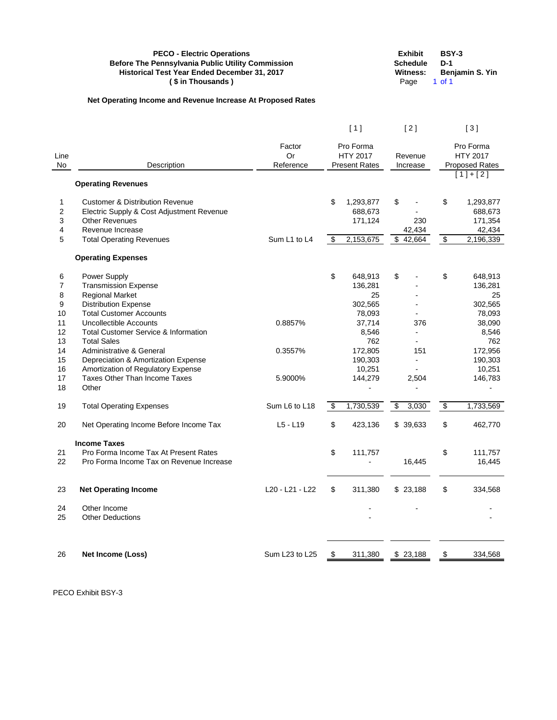|                      | <b>PECO - Electric Operations</b><br><b>Before The Pennsylvania Public Utility Commission</b><br>Historical Test Year Ended December 31, 2017<br>(\$ in Thousands) |                    |                                           |         | <b>Exhibit</b><br><b>Schedule</b><br>Witness:<br>Page | <b>BSY-3</b><br>$D-1$<br>$1$ of $1$ | Benjamin S. Yin                           |
|----------------------|--------------------------------------------------------------------------------------------------------------------------------------------------------------------|--------------------|-------------------------------------------|---------|-------------------------------------------------------|-------------------------------------|-------------------------------------------|
|                      | Net Operating Income and Revenue Increase At Proposed Rates                                                                                                        |                    |                                           |         |                                                       |                                     |                                           |
|                      |                                                                                                                                                                    |                    | [1]                                       |         | [2]                                                   |                                     | [3]                                       |
| Line                 |                                                                                                                                                                    | Factor<br>Or       | Pro Forma<br><b>HTY 2017</b>              | Revenue |                                                       |                                     | Pro Forma<br><b>HTY 2017</b>              |
| No                   | Description                                                                                                                                                        | Reference          | <b>Present Rates</b>                      |         | Increase                                              |                                     | <b>Proposed Rates</b><br>$[1]+[2]$        |
|                      | <b>Operating Revenues</b>                                                                                                                                          |                    |                                           |         |                                                       |                                     |                                           |
| 1<br>2<br>3          | <b>Customer &amp; Distribution Revenue</b><br>Electric Supply & Cost Adjustment Revenue<br><b>Other Revenues</b><br>Revenue Increase                               |                    | \$<br>1,293,877<br>688,673<br>171,124     | \$      | 230                                                   | \$                                  | 1,293,877<br>688,673<br>171,354<br>42,434 |
| 4<br>5               | <b>Total Operating Revenues</b>                                                                                                                                    | Sum L1 to L4       | \$<br>2,153,675                           |         | 42,434<br>\$42,664                                    | \$                                  | 2,196,339                                 |
|                      | <b>Operating Expenses</b>                                                                                                                                          |                    |                                           |         |                                                       |                                     |                                           |
| 6<br>7<br>8<br>9     | Power Supply<br><b>Transmission Expense</b><br><b>Regional Market</b><br><b>Distribution Expense</b>                                                               |                    | \$<br>648,913<br>136,281<br>25<br>302,565 | \$      |                                                       | \$                                  | 648,913<br>136,281<br>25<br>302,565       |
| 10<br>11<br>12<br>13 | <b>Total Customer Accounts</b><br><b>Uncollectible Accounts</b><br><b>Total Customer Service &amp; Information</b><br><b>Total Sales</b>                           | 0.8857%            | 78,093<br>37,714<br>8,546<br>762          |         | 376<br>$\blacksquare$<br>$\blacksquare$               |                                     | 78,093<br>38,090<br>8,546<br>762          |
| 14<br>15<br>16<br>17 | Administrative & General<br>Depreciation & Amortization Expense<br>Amortization of Regulatory Expense<br><b>Taxes Other Than Income Taxes</b>                      | 0.3557%<br>5.9000% | 172,805<br>190,303<br>10,251<br>144,279   |         | 151<br>2,504                                          |                                     | 172,956<br>190,303<br>10,251<br>146,783   |
| 18                   | Other                                                                                                                                                              |                    |                                           |         |                                                       |                                     |                                           |
| 19                   | <b>Total Operating Expenses</b>                                                                                                                                    | Sum L6 to L18      | \$<br>1,730,539                           | \$      | 3,030                                                 | \$                                  | 1,733,569                                 |
| 20                   | Net Operating Income Before Income Tax                                                                                                                             | $L5 - L19$         | \$<br>423,136                             |         | \$39,633                                              | \$                                  | 462,770                                   |
| 21                   | <b>Income Taxes</b><br>Pro Forma Income Tax At Present Rates                                                                                                       |                    | \$<br>111,757                             |         |                                                       | \$                                  | 111,757                                   |
| 22                   | Pro Forma Income Tax on Revenue Increase                                                                                                                           |                    |                                           |         | 16,445                                                |                                     | 16,445                                    |
| 23                   | <b>Net Operating Income</b>                                                                                                                                        | L20 - L21 - L22    | \$<br>311,380                             |         | \$23,188                                              | \$                                  | 334,568                                   |
| 24<br>25             | Other Income<br><b>Other Deductions</b>                                                                                                                            |                    |                                           |         |                                                       |                                     |                                           |
| 26                   | Net Income (Loss)                                                                                                                                                  | Sum L23 to L25     | \$<br>311,380                             |         | \$23,188                                              |                                     | 334,568                                   |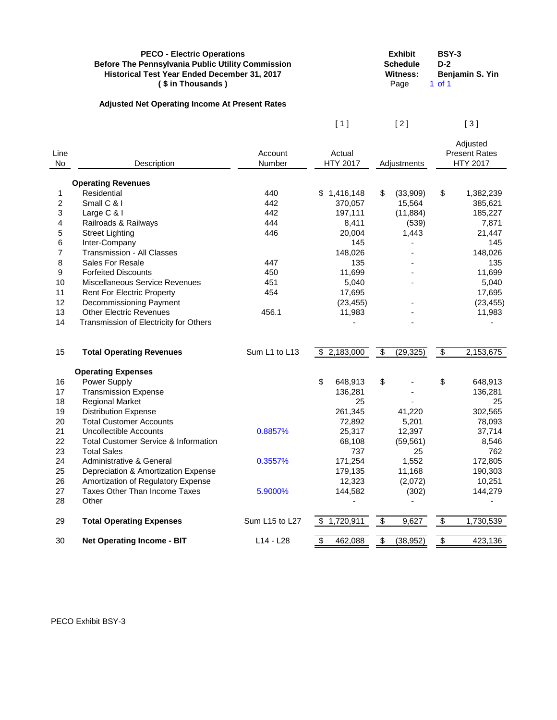| <b>PECO - Electric Operations</b>                        | <b>Exhibit</b>  | <b>BSY-3</b>    |
|----------------------------------------------------------|-----------------|-----------------|
| <b>Before The Pennsylvania Public Utility Commission</b> | <b>Schedule</b> | $D-2$           |
| Historical Test Year Ended December 31, 2017             | Witness:        | Benjamin S. Yin |
| (\$ in Thousands)                                        | Page            | 1 of 1          |
| <b>Adjusted Net Operating Income At Present Rates</b>    |                 |                 |

 $[2] \qquad [3]$ 

| Line<br><b>No</b>       | Description                                     | Account<br>Number | Actual<br><b>HTY 2017</b> | Adjustments                          |                         | Adjusted<br><b>Present Rates</b><br><b>HTY 2017</b> |
|-------------------------|-------------------------------------------------|-------------------|---------------------------|--------------------------------------|-------------------------|-----------------------------------------------------|
|                         | <b>Operating Revenues</b>                       |                   |                           |                                      |                         |                                                     |
| 1                       | Residential                                     | 440               | \$1,416,148               | \$<br>(33,909)                       | \$                      | 1,382,239                                           |
| $\overline{2}$          | Small C & I                                     | 442               | 370,057                   | 15,564                               |                         | 385,621                                             |
| $\mathfrak{S}$          | Large C & I                                     | 442               | 197,111                   | (11, 884)                            |                         | 185,227                                             |
| $\overline{\mathbf{4}}$ | Railroads & Railways                            | 444               | 8,411                     | (539)                                |                         | 7,871                                               |
| 5                       | <b>Street Lighting</b>                          | 446               | 20,004                    | 1,443                                |                         | 21,447                                              |
| 6                       | Inter-Company                                   |                   | 145                       |                                      |                         | 145                                                 |
| $\overline{7}$          | Transmission - All Classes                      |                   | 148,026                   |                                      |                         | 148,026                                             |
| 8                       | Sales For Resale                                | 447               | 135                       |                                      |                         | 135                                                 |
| 9                       | <b>Forfeited Discounts</b>                      | 450               | 11,699                    |                                      |                         | 11,699                                              |
| 10                      | Miscellaneous Service Revenues                  | 451               | 5,040                     |                                      |                         | 5,040                                               |
| 11                      | <b>Rent For Electric Property</b>               | 454               | 17,695                    |                                      |                         | 17,695                                              |
| 12                      | <b>Decommissioning Payment</b>                  |                   | (23, 455)                 |                                      |                         | (23, 455)                                           |
| 13                      | <b>Other Electric Revenues</b>                  | 456.1             | 11,983                    |                                      |                         | 11,983                                              |
| 14                      | Transmission of Electricity for Others          |                   |                           |                                      |                         |                                                     |
| 15                      | <b>Total Operating Revenues</b>                 | Sum L1 to L13     | \$2,183,000               | $\overline{\mathbf{S}}$<br>(29, 325) | $\overline{\bullet}$    | 2,153,675                                           |
|                         | <b>Operating Expenses</b>                       |                   |                           |                                      |                         |                                                     |
| 16                      | Power Supply                                    |                   | \$<br>648,913             | \$                                   | \$                      | 648,913                                             |
| 17                      | <b>Transmission Expense</b>                     |                   | 136,281                   |                                      |                         | 136,281                                             |
| 18                      | <b>Regional Market</b>                          |                   | 25                        |                                      |                         | 25                                                  |
| 19                      | <b>Distribution Expense</b>                     |                   | 261,345                   | 41,220                               |                         | 302,565                                             |
| 20                      | <b>Total Customer Accounts</b>                  |                   | 72,892                    | 5,201                                |                         | 78,093                                              |
| 21                      | <b>Uncollectible Accounts</b>                   | 0.8857%           | 25,317                    | 12,397                               |                         | 37,714                                              |
| 22                      | <b>Total Customer Service &amp; Information</b> |                   | 68,108                    | (59, 561)                            |                         | 8,546                                               |
| 23                      | <b>Total Sales</b>                              |                   | 737                       | 25                                   |                         | 762                                                 |
| 24                      | <b>Administrative &amp; General</b>             | 0.3557%           | 171,254                   | 1,552                                |                         | 172,805                                             |
| 25                      | Depreciation & Amortization Expense             |                   | 179,135                   | 11,168                               |                         | 190,303                                             |
| 26                      | Amortization of Regulatory Expense              |                   | 12,323                    | (2,072)                              |                         | 10,251                                              |
| 27                      | Taxes Other Than Income Taxes                   | 5.9000%           | 144,582                   | (302)                                |                         | 144,279                                             |
| 28                      | Other                                           |                   |                           |                                      |                         |                                                     |
| 29                      | <b>Total Operating Expenses</b>                 | Sum L15 to L27    | \$1,720,911               | $\overline{\mathbf{S}}$<br>9,627     | $\overline{\mathbf{3}}$ | 1,730,539                                           |
| 30                      | <b>Net Operating Income - BIT</b>               | L14 - L28         | \$<br>462,088             | \$<br>(38, 952)                      | $\overline{\mathbf{e}}$ | 423,136                                             |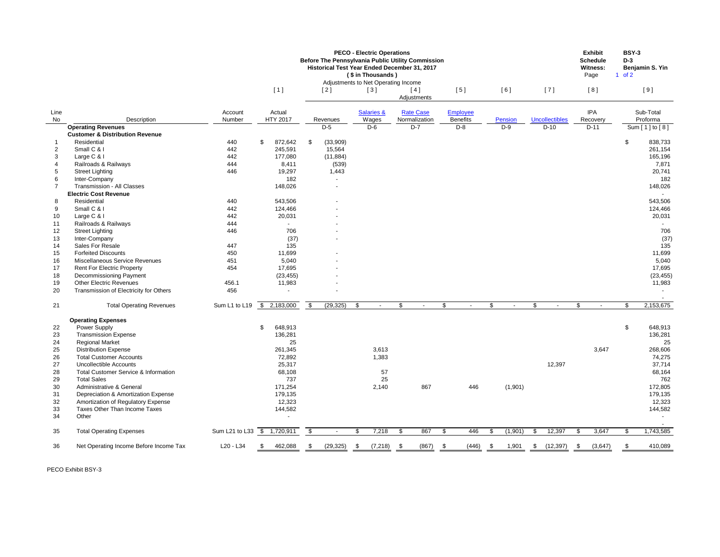|                |                                                                  |                             |               |                           | <b>Before The Pennsylvania Public Utility Commission</b><br>Historical Test Year Ended December 31, 2017<br>Adjustments to Net Operating Income | <b>PECO - Electric Operations</b><br>(\$ in Thousands) |              |                |                    |                           |                 |               |                |               |                       |                | <b>Exhibit</b><br><b>Schedule</b><br><b>Witness:</b><br>Page | <b>BSY-3</b><br>$D-3$<br>of 2 | Benjamin S. Yin    |
|----------------|------------------------------------------------------------------|-----------------------------|---------------|---------------------------|-------------------------------------------------------------------------------------------------------------------------------------------------|--------------------------------------------------------|--------------|----------------|--------------------|---------------------------|-----------------|---------------|----------------|---------------|-----------------------|----------------|--------------------------------------------------------------|-------------------------------|--------------------|
|                |                                                                  |                             | [1]           |                           | [2]                                                                                                                                             | [3]                                                    |              |                | [4]<br>Adjustments |                           | [5]             |               | [6]            |               | $[7]$                 |                | [8]                                                          |                               | $[9]$              |
| Line           |                                                                  | Account                     | Actual        |                           |                                                                                                                                                 | <b>Salaries &amp;</b>                                  |              |                | <b>Rate Case</b>   |                           | <b>Employee</b> |               |                |               |                       |                | <b>IPA</b>                                                   |                               | Sub-Total          |
| No             | Description                                                      | Number                      | HTY 2017      |                           | Revenues                                                                                                                                        | Wages                                                  |              |                | Normalization      |                           | <b>Benefits</b> |               | <b>Pension</b> |               | <b>Uncollectibles</b> |                | Recovery                                                     |                               | Proforma           |
|                | <b>Operating Revenues</b>                                        |                             |               |                           | $D-5$                                                                                                                                           | $D-6$                                                  |              |                | $D-7$              |                           | $D-8$           |               | $D-9$          |               | $D-10$                |                | $D-11$                                                       |                               | Sum $[1]$ to $[8]$ |
|                | <b>Customer &amp; Distribution Revenue</b>                       |                             |               |                           |                                                                                                                                                 |                                                        |              |                |                    |                           |                 |               |                |               |                       |                |                                                              |                               |                    |
|                | Residential                                                      | 440                         | \$<br>872,642 | \$                        | (33,909)                                                                                                                                        |                                                        |              |                |                    |                           |                 |               |                |               |                       |                |                                                              | \$                            | 838,733            |
| $\overline{2}$ | Small C & I                                                      | 442                         | 245,591       |                           | 15,564                                                                                                                                          |                                                        |              |                |                    |                           |                 |               |                |               |                       |                |                                                              |                               | 261,154            |
| 3              | Large C & I                                                      | 442                         | 177,080       |                           | (11, 884)                                                                                                                                       |                                                        |              |                |                    |                           |                 |               |                |               |                       |                |                                                              |                               | 165,196            |
|                | Railroads & Railways                                             | 444                         | 8,411         |                           | (539)                                                                                                                                           |                                                        |              |                |                    |                           |                 |               |                |               |                       |                |                                                              |                               | 7,871              |
| 5              | <b>Street Lighting</b>                                           | 446                         | 19,297<br>182 |                           | 1,443                                                                                                                                           |                                                        |              |                |                    |                           |                 |               |                |               |                       |                |                                                              |                               | 20,741<br>182      |
| 6              | Inter-Company<br><b>Transmission - All Classes</b>               |                             |               |                           | $\sim$                                                                                                                                          |                                                        |              |                |                    |                           |                 |               |                |               |                       |                |                                                              |                               |                    |
|                | <b>Electric Cost Revenue</b>                                     |                             | 148,026       |                           | $\overline{\phantom{a}}$                                                                                                                        |                                                        |              |                |                    |                           |                 |               |                |               |                       |                |                                                              |                               | 148,026            |
|                | Residential                                                      | 440                         | 543,506       |                           |                                                                                                                                                 |                                                        |              |                |                    |                           |                 |               |                |               |                       |                |                                                              |                               | 543,506            |
| 8<br>9         | Small C & I                                                      | 442                         | 124,466       |                           |                                                                                                                                                 |                                                        |              |                |                    |                           |                 |               |                |               |                       |                |                                                              |                               |                    |
|                | Large C & I                                                      | 442                         |               |                           |                                                                                                                                                 |                                                        |              |                |                    |                           |                 |               |                |               |                       |                |                                                              |                               | 124,466            |
| 10             | Railroads & Railways                                             | 444                         | 20,031        |                           |                                                                                                                                                 |                                                        |              |                |                    |                           |                 |               |                |               |                       |                |                                                              |                               | 20,031             |
| 11             | <b>Street Lighting</b>                                           | 446                         | 706           |                           |                                                                                                                                                 |                                                        |              |                |                    |                           |                 |               |                |               |                       |                |                                                              |                               | 706                |
| 12<br>13       | Inter-Company                                                    |                             |               |                           |                                                                                                                                                 |                                                        |              |                |                    |                           |                 |               |                |               |                       |                |                                                              |                               |                    |
| 14             | Sales For Resale                                                 | 447                         | (37)<br>135   |                           | $\blacksquare$                                                                                                                                  |                                                        |              |                |                    |                           |                 |               |                |               |                       |                |                                                              |                               | (37)<br>135        |
|                | <b>Forfeited Discounts</b>                                       |                             |               |                           |                                                                                                                                                 |                                                        |              |                |                    |                           |                 |               |                |               |                       |                |                                                              |                               |                    |
| 15             |                                                                  | 450                         | 11,699        |                           |                                                                                                                                                 |                                                        |              |                |                    |                           |                 |               |                |               |                       |                |                                                              |                               | 11,699             |
| 16             | Miscellaneous Service Revenues                                   | 451                         | 5,040         |                           |                                                                                                                                                 |                                                        |              |                |                    |                           |                 |               |                |               |                       |                |                                                              |                               | 5,040              |
| 17             | <b>Rent For Electric Property</b>                                | 454                         | 17,695        |                           |                                                                                                                                                 |                                                        |              |                |                    |                           |                 |               |                |               |                       |                |                                                              |                               | 17,695             |
| 18             | <b>Decommissioning Payment</b><br><b>Other Electric Revenues</b> |                             | (23, 455)     |                           |                                                                                                                                                 |                                                        |              |                |                    |                           |                 |               |                |               |                       |                |                                                              |                               | (23, 455)          |
| 19             |                                                                  | 456.1                       | 11,983        |                           | $\blacksquare$                                                                                                                                  |                                                        |              |                |                    |                           |                 |               |                |               |                       |                |                                                              |                               | 11,983             |
| 20             | Transmission of Electricity for Others                           | 456                         |               |                           | $\overline{\phantom{a}}$                                                                                                                        |                                                        |              |                |                    |                           |                 |               |                |               |                       |                |                                                              |                               |                    |
| 21             | <b>Total Operating Revenues</b>                                  | Sum L1 to L19               | \$2,183,000   | $\boldsymbol{\mathsf{S}}$ | (29, 325)                                                                                                                                       | \$                                                     |              | $\mathfrak{S}$ |                    | $\boldsymbol{\mathsf{S}}$ |                 | \$            |                | $\mathfrak s$ |                       | $\mathfrak{S}$ | $\sim$                                                       | \$                            | 2,153,675          |
|                | <b>Operating Expenses</b>                                        |                             |               |                           |                                                                                                                                                 |                                                        |              |                |                    |                           |                 |               |                |               |                       |                |                                                              |                               |                    |
| 22             | Power Supply                                                     |                             | \$<br>648,913 |                           |                                                                                                                                                 |                                                        |              |                |                    |                           |                 |               |                |               |                       |                |                                                              | $\frac{1}{2}$                 | 648,913            |
| 23             | <b>Transmission Expense</b>                                      |                             | 136,281       |                           |                                                                                                                                                 |                                                        |              |                |                    |                           |                 |               |                |               |                       |                |                                                              |                               | 136,281            |
| 24             | <b>Regional Market</b>                                           |                             | 25            |                           |                                                                                                                                                 |                                                        |              |                |                    |                           |                 |               |                |               |                       |                |                                                              |                               | 25                 |
| 25             | <b>Distribution Expense</b>                                      |                             | 261,345       |                           |                                                                                                                                                 |                                                        | 3,613        |                |                    |                           |                 |               |                |               |                       |                | 3,647                                                        |                               | 268,606            |
| 26             | <b>Total Customer Accounts</b>                                   |                             | 72,892        |                           |                                                                                                                                                 |                                                        | 1,383        |                |                    |                           |                 |               |                |               |                       |                |                                                              |                               | 74,275             |
| 27             | <b>Uncollectible Accounts</b>                                    |                             | 25,317        |                           |                                                                                                                                                 |                                                        |              |                |                    |                           |                 |               |                |               | 12,397                |                |                                                              |                               | 37,714             |
| 28             | <b>Total Customer Service &amp; Information</b>                  |                             | 68,108        |                           |                                                                                                                                                 |                                                        | 57           |                |                    |                           |                 |               |                |               |                       |                |                                                              |                               | 68,164             |
| 29             | <b>Total Sales</b>                                               |                             | 737           |                           |                                                                                                                                                 |                                                        | 25           |                |                    |                           |                 |               |                |               |                       |                |                                                              |                               | 762                |
| 30             | Administrative & General                                         |                             | 171,254       |                           |                                                                                                                                                 |                                                        | 2,140        |                | 867                |                           | 446             |               | (1,901)        |               |                       |                |                                                              |                               | 172,805            |
| 31             | Depreciation & Amortization Expense                              |                             | 179,135       |                           |                                                                                                                                                 |                                                        |              |                |                    |                           |                 |               |                |               |                       |                |                                                              |                               | 179,135            |
| 32             | Amortization of Regulatory Expense                               |                             | 12,323        |                           |                                                                                                                                                 |                                                        |              |                |                    |                           |                 |               |                |               |                       |                |                                                              |                               | 12,323             |
| 33             | Taxes Other Than Income Taxes                                    |                             | 144,582       |                           |                                                                                                                                                 |                                                        |              |                |                    |                           |                 |               |                |               |                       |                |                                                              |                               | 144,582            |
| 34             | Other                                                            |                             |               |                           |                                                                                                                                                 |                                                        |              |                |                    |                           |                 |               |                |               |                       |                |                                                              |                               |                    |
| 35             | <b>Total Operating Expenses</b>                                  | Sum L21 to L33 \$ 1,720,911 |               | \$                        |                                                                                                                                                 | \$.                                                    | 7,218        | \$             | 867                | \$                        | 446             | S.            | (1,901)        | \$            | 12,397                | -S             | 3,647                                                        | \$.                           | 1,743,585          |
|                |                                                                  |                             |               |                           |                                                                                                                                                 |                                                        |              |                |                    |                           |                 |               |                |               |                       |                |                                                              |                               |                    |
| 36             | Net Operating Income Before Income Tax                           | L20 - L34                   | \$<br>462,088 | \$                        | (29, 325)                                                                                                                                       | $\frac{1}{2}$                                          | $(7,218)$ \$ |                | (867)              | \$                        | (446)           | $\frac{1}{2}$ | 1,901          | \$            | (12, 397)             | \$             | (3,647)                                                      | \$                            | 410,089            |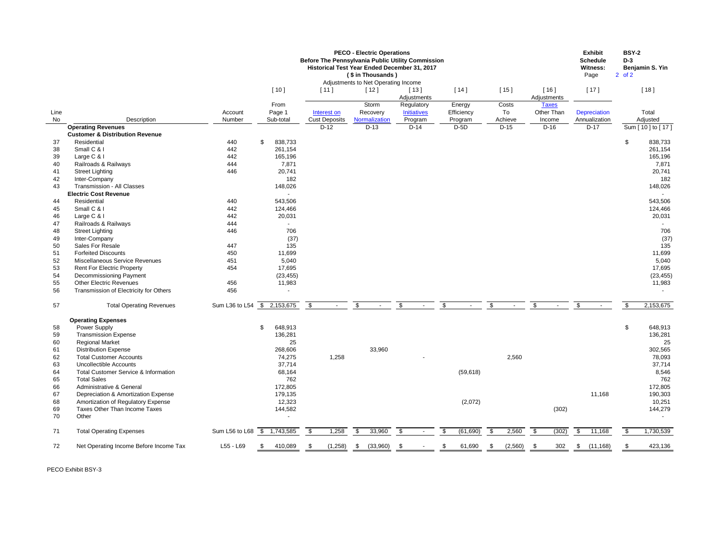|      |                                                 |                             |                |                          | <b>PECO - Electric Operations</b><br>Before The Pennsylvania Public Utility Commission<br>Historical Test Year Ended December 31, 2017<br>(\$ in Thousands)<br>Adjustments to Net Operating Income |                                  |                          |                           |                                   | <b>Exhibit</b><br><b>Schedule</b><br><b>Witness:</b><br>Page | <b>BSY-2</b><br>$D-3$<br>$2$ of $2$ | Benjamin S. Yin  |
|------|-------------------------------------------------|-----------------------------|----------------|--------------------------|----------------------------------------------------------------------------------------------------------------------------------------------------------------------------------------------------|----------------------------------|--------------------------|---------------------------|-----------------------------------|--------------------------------------------------------------|-------------------------------------|------------------|
|      |                                                 |                             | $[10]$         | $[11]$                   | $[12]$                                                                                                                                                                                             | $[13]$<br>Adjustments            | $[14]$                   | [15]                      | $[16]$<br>Adjustments             | [17]                                                         |                                     | $[18]$           |
| Line |                                                 | Account                     | From<br>Page 1 | Interest on              | Storm<br>Recovery                                                                                                                                                                                  | Regulatory<br><b>Initiatives</b> | Energy<br>Efficiency     | Costs<br>To               | <b>Taxes</b><br>Other Than        | <b>Depreciation</b>                                          |                                     | Total            |
| No   | Description                                     | Number                      | Sub-total      | <b>Cust Deposits</b>     | Normalization                                                                                                                                                                                      | Program                          | Program                  | Achieve                   | Income                            | Annualization                                                |                                     | Adjusted         |
|      | <b>Operating Revenues</b>                       |                             |                | $D-12$                   | $D-13$                                                                                                                                                                                             | $D-14$                           | $D-5D$                   | $D-15$                    | $D-16$                            | $D-17$                                                       |                                     | Sum [10] to [17] |
|      | <b>Customer &amp; Distribution Revenue</b>      |                             |                |                          |                                                                                                                                                                                                    |                                  |                          |                           |                                   |                                                              |                                     |                  |
| 37   | Residential                                     | 440                         | \$<br>838,733  |                          |                                                                                                                                                                                                    |                                  |                          |                           |                                   |                                                              | \$                                  | 838,733          |
| 38   | Small C & I                                     | 442                         | 261,154        |                          |                                                                                                                                                                                                    |                                  |                          |                           |                                   |                                                              |                                     | 261,154          |
| 39   | Large C & I                                     | 442                         | 165,196        |                          |                                                                                                                                                                                                    |                                  |                          |                           |                                   |                                                              |                                     | 165,196          |
| 40   | Railroads & Railways                            | 444                         | 7,871          |                          |                                                                                                                                                                                                    |                                  |                          |                           |                                   |                                                              |                                     | 7,871            |
| 41   | <b>Street Lighting</b>                          | 446                         | 20,741         |                          |                                                                                                                                                                                                    |                                  |                          |                           |                                   |                                                              |                                     | 20,741           |
| 42   | Inter-Company                                   |                             | 182            |                          |                                                                                                                                                                                                    |                                  |                          |                           |                                   |                                                              |                                     | 182              |
| 43   | <b>Transmission - All Classes</b>               |                             | 148,026        |                          |                                                                                                                                                                                                    |                                  |                          |                           |                                   |                                                              |                                     | 148,026          |
|      | <b>Electric Cost Revenue</b>                    |                             | $\sim$         |                          |                                                                                                                                                                                                    |                                  |                          |                           |                                   |                                                              |                                     |                  |
| 44   | Residential                                     | 440                         | 543,506        |                          |                                                                                                                                                                                                    |                                  |                          |                           |                                   |                                                              |                                     | 543,506          |
| 45   | Small C & I                                     | 442                         | 124,466        |                          |                                                                                                                                                                                                    |                                  |                          |                           |                                   |                                                              |                                     | 124,466          |
| 46   | Large C & I                                     | 442                         | 20,031         |                          |                                                                                                                                                                                                    |                                  |                          |                           |                                   |                                                              |                                     | 20,031           |
| 47   | Railroads & Railways                            | 444                         |                |                          |                                                                                                                                                                                                    |                                  |                          |                           |                                   |                                                              |                                     |                  |
| 48   | <b>Street Lighting</b>                          | 446                         | 706            |                          |                                                                                                                                                                                                    |                                  |                          |                           |                                   |                                                              |                                     | 706              |
| 49   | Inter-Company                                   |                             | (37)           |                          |                                                                                                                                                                                                    |                                  |                          |                           |                                   |                                                              |                                     | (37)             |
| 50   | Sales For Resale                                | 447                         | 135            |                          |                                                                                                                                                                                                    |                                  |                          |                           |                                   |                                                              |                                     | 135              |
| 51   | <b>Forfeited Discounts</b>                      | 450                         | 11,699         |                          |                                                                                                                                                                                                    |                                  |                          |                           |                                   |                                                              |                                     | 11,699           |
| 52   | Miscellaneous Service Revenues                  | 451                         | 5,040          |                          |                                                                                                                                                                                                    |                                  |                          |                           |                                   |                                                              |                                     | 5,040            |
| 53   | <b>Rent For Electric Property</b>               | 454                         | 17,695         |                          |                                                                                                                                                                                                    |                                  |                          |                           |                                   |                                                              |                                     | 17,695           |
| 54   | <b>Decommissioning Payment</b>                  |                             | (23, 455)      |                          |                                                                                                                                                                                                    |                                  |                          |                           |                                   |                                                              |                                     | (23, 455)        |
|      | <b>Other Electric Revenues</b>                  |                             |                |                          |                                                                                                                                                                                                    |                                  |                          |                           |                                   |                                                              |                                     |                  |
| 55   |                                                 | 456                         | 11,983         |                          |                                                                                                                                                                                                    |                                  |                          |                           |                                   |                                                              |                                     | 11,983           |
| 56   | Transmission of Electricity for Others          | 456                         | $\blacksquare$ |                          |                                                                                                                                                                                                    |                                  |                          |                           |                                   |                                                              |                                     |                  |
| 57   | <b>Total Operating Revenues</b>                 | Sum L36 to L54 \$ 2,153,675 |                | $\mathfrak{F}$<br>$\sim$ | $\$\$<br>$\sim$                                                                                                                                                                                    | $\sqrt[6]{2}$<br>$\sim$          | $\$\$<br>$\sim$ 10 $\pm$ | $\mathbb{S}$<br>$\sim$    | $\sqrt[6]{\frac{1}{2}}$<br>$\sim$ | $\boldsymbol{\mathsf{S}}$                                    | $\boldsymbol{\mathsf{S}}$           | 2,153,675        |
|      | <b>Operating Expenses</b>                       |                             |                |                          |                                                                                                                                                                                                    |                                  |                          |                           |                                   |                                                              |                                     |                  |
| 58   | Power Supply                                    |                             | \$<br>648,913  |                          |                                                                                                                                                                                                    |                                  |                          |                           |                                   |                                                              | $\mathfrak{S}$                      | 648,913          |
| 59   | <b>Transmission Expense</b>                     |                             | 136,281        |                          |                                                                                                                                                                                                    |                                  |                          |                           |                                   |                                                              |                                     | 136,281          |
| 60   | <b>Regional Market</b>                          |                             | 25             |                          |                                                                                                                                                                                                    |                                  |                          |                           |                                   |                                                              |                                     | 25               |
| 61   | <b>Distribution Expense</b>                     |                             | 268,606        |                          | 33,960                                                                                                                                                                                             |                                  |                          |                           |                                   |                                                              |                                     | 302,565          |
| 62   | <b>Total Customer Accounts</b>                  |                             | 74,275         | 1,258                    |                                                                                                                                                                                                    |                                  |                          | 2,560                     |                                   |                                                              |                                     | 78,093           |
| 63   | <b>Uncollectible Accounts</b>                   |                             | 37,714         |                          |                                                                                                                                                                                                    |                                  |                          |                           |                                   |                                                              |                                     | 37,714           |
| 64   | <b>Total Customer Service &amp; Information</b> |                             | 68,164         |                          |                                                                                                                                                                                                    |                                  | (59, 618)                |                           |                                   |                                                              |                                     | 8,546            |
| 65   | <b>Total Sales</b>                              |                             | 762            |                          |                                                                                                                                                                                                    |                                  |                          |                           |                                   |                                                              |                                     | 762              |
| 66   | Administrative & General                        |                             | 172,805        |                          |                                                                                                                                                                                                    |                                  |                          |                           |                                   |                                                              |                                     | 172,805          |
| 67   | Depreciation & Amortization Expense             |                             | 179,135        |                          |                                                                                                                                                                                                    |                                  |                          |                           |                                   | 11,168                                                       |                                     | 190,303          |
| 68   | Amortization of Regulatory Expense              |                             | 12,323         |                          |                                                                                                                                                                                                    |                                  | (2,072)                  |                           |                                   |                                                              |                                     | 10,251           |
| 69   | Taxes Other Than Income Taxes                   |                             | 144,582        |                          |                                                                                                                                                                                                    |                                  |                          |                           | (302)                             |                                                              |                                     | 144,279          |
| 70   | Other                                           |                             |                |                          |                                                                                                                                                                                                    |                                  |                          |                           |                                   |                                                              |                                     |                  |
| 71   | <b>Total Operating Expenses</b>                 | Sum L56 to L68 \$ 1,743,585 |                | 1,258<br>\$              | \$<br>33,960                                                                                                                                                                                       | \$<br>$\sim$                     | \$<br>(61, 690)          | \$<br>2,560               | $\sqrt[6]{3}$<br>(302)            | \$<br>11,168                                                 | \$                                  | 1,730,539        |
| 72   | Net Operating Income Before Income Tax          | L55 - L69                   | 410,089<br>\$  | (1,258)<br>\$            | (33,960)<br>$\frac{1}{2}$                                                                                                                                                                          | \$                               | 61,690<br>-\$            | (2,560)<br>$\mathfrak{S}$ | 302<br>$\mathcal{S}$              | (11, 168)<br>\$                                              |                                     | 423,136          |
|      |                                                 |                             |                |                          |                                                                                                                                                                                                    |                                  |                          |                           |                                   |                                                              |                                     |                  |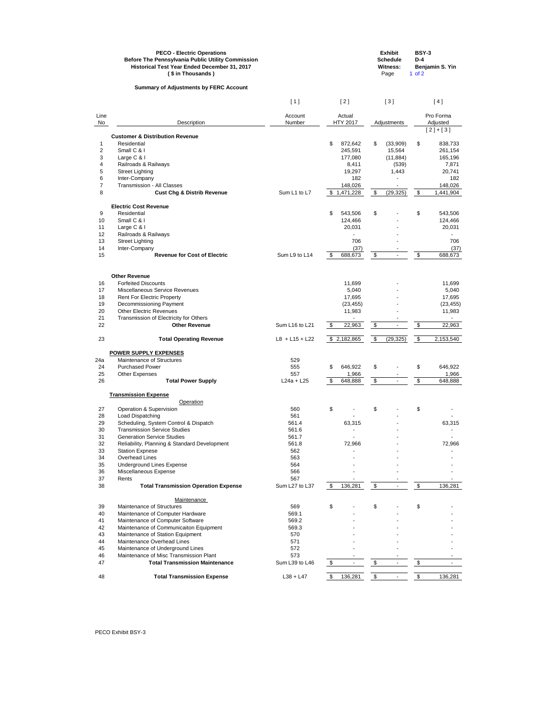|            | <b>PECO - Electric Operations</b><br><b>Before The Pennsylvania Public Utility Commission</b><br>Historical Test Year Ended December 31, 2017<br>(\$ in Thousands) |                       |                                       |                            | <b>Exhibit</b><br><b>Schedule</b><br><b>Witness:</b><br>Page | <b>BSY-3</b><br>$D-4$<br>$1$ of $2$ | Benjamin S. Yin       |
|------------|--------------------------------------------------------------------------------------------------------------------------------------------------------------------|-----------------------|---------------------------------------|----------------------------|--------------------------------------------------------------|-------------------------------------|-----------------------|
|            | <b>Summary of Adjustments by FERC Account</b>                                                                                                                      |                       |                                       |                            |                                                              |                                     |                       |
|            |                                                                                                                                                                    | [1]                   | [2]                                   |                            | [3]                                                          |                                     | [4]                   |
| Line<br>No | Description                                                                                                                                                        | Account<br>Number     | Actual<br><b>HTY 2017</b>             |                            | Adjustments                                                  |                                     | Pro Forma<br>Adjusted |
|            |                                                                                                                                                                    |                       |                                       |                            |                                                              |                                     | $[2]+[3]$             |
| 1          | <b>Customer &amp; Distribution Revenue</b><br>Residential                                                                                                          |                       | \$<br>872,642                         | \$                         | (33,909)                                                     | \$                                  | 838,733               |
| 2          | Small C & I                                                                                                                                                        |                       | 245,591                               |                            | 15,564                                                       |                                     | 261,154               |
| 3          | Large C & I                                                                                                                                                        |                       | 177,080                               |                            | (11, 884)                                                    |                                     | 165,196               |
| 4          | Railroads & Railways                                                                                                                                               |                       | 8,411                                 |                            | (539)                                                        |                                     | 7,871                 |
| 5          | <b>Street Lighting</b>                                                                                                                                             |                       | 19,297                                |                            | 1,443                                                        |                                     | 20,741                |
| 6          | Inter-Company                                                                                                                                                      |                       | 182                                   |                            |                                                              |                                     | 182                   |
| 7          | <b>Transmission - All Classes</b>                                                                                                                                  |                       | 148,026                               |                            |                                                              |                                     | 148,026               |
| 8          | <b>Cust Chg &amp; Distrib Revenue</b>                                                                                                                              | Sum L1 to L7          | \$1,471,228                           | \$                         | (29, 325)                                                    | $\sqrt[6]{3}$                       | 1,441,904             |
|            | <b>Electric Cost Revenue</b>                                                                                                                                       |                       |                                       |                            |                                                              |                                     |                       |
| 9          | Residential                                                                                                                                                        |                       | \$<br>543,506                         | \$                         |                                                              | \$                                  | 543,506               |
| 10         | Small C & I                                                                                                                                                        |                       | 124,466                               |                            |                                                              |                                     | 124,466               |
| 11         | Large C & I                                                                                                                                                        |                       | 20,031                                |                            |                                                              |                                     | 20,031                |
| 12         | Railroads & Railways                                                                                                                                               |                       |                                       |                            |                                                              |                                     |                       |
| 13         | <b>Street Lighting</b>                                                                                                                                             |                       | 706                                   |                            |                                                              |                                     | 706                   |
| 14         | Inter-Company                                                                                                                                                      |                       | (37)                                  |                            |                                                              |                                     | (37)                  |
| 15         | <b>Revenue for Cost of Electric</b>                                                                                                                                | Sum L9 to L14         | \$<br>688,673                         | $\boldsymbol{\$}$          | $\blacksquare$                                               | $\boldsymbol{\mathsf{\$}}$          | 688,673               |
|            | <b>Other Revenue</b>                                                                                                                                               |                       |                                       |                            |                                                              |                                     |                       |
| 16         | <b>Forfeited Discounts</b>                                                                                                                                         |                       | 11,699                                |                            |                                                              |                                     | 11,699                |
| 17         | Miscellaneous Service Revenues                                                                                                                                     |                       | 5,040                                 |                            |                                                              |                                     | 5,040                 |
| 18         | <b>Rent For Electric Property</b>                                                                                                                                  |                       | 17,695                                |                            |                                                              |                                     | 17,695                |
| 19         | Decommissioning Payment                                                                                                                                            |                       | (23, 455)                             |                            |                                                              |                                     | (23, 455)             |
| 20         | <b>Other Electric Revenues</b>                                                                                                                                     |                       | 11,983                                |                            |                                                              |                                     | 11,983                |
| 21         | Transmission of Electricity for Others                                                                                                                             |                       |                                       |                            |                                                              |                                     |                       |
| 22         | <b>Other Revenue</b>                                                                                                                                               | Sum L16 to L21        | $\sqrt[6]{\frac{1}{2}}$<br>22,963     | $\frac{1}{2}$              |                                                              | \$                                  | 22,963                |
| 23         | <b>Total Operating Revenue</b>                                                                                                                                     | $L8 + L15 + L22$      | \$2,182,865                           | $\boldsymbol{\mathsf{\$}}$ | (29, 325)                                                    | $\boldsymbol{\mathsf{\$}}$          | 2,153,540             |
|            |                                                                                                                                                                    |                       |                                       |                            |                                                              |                                     |                       |
| 24a        | <b>POWER SUPPLY EXPENSES</b><br><b>Maintenance of Structures</b>                                                                                                   | 529                   |                                       |                            |                                                              |                                     |                       |
| 24         | <b>Purchased Power</b>                                                                                                                                             | 555                   | 646,922<br>\$                         | \$                         |                                                              | \$                                  | 646,922               |
| 25         | <b>Other Expenses</b>                                                                                                                                              | 557                   | 1,966                                 |                            |                                                              |                                     | 1,966                 |
| 26         | <b>Total Power Supply</b>                                                                                                                                          | $L24a + L25$          | \$<br>648,888                         | $\overline{\mathbf{e}}$    | $\blacksquare$                                               | $\frac{1}{2}$                       | 648,888               |
|            | <b>Transmission Expense</b>                                                                                                                                        |                       |                                       |                            |                                                              |                                     |                       |
|            | Operation                                                                                                                                                          |                       |                                       |                            |                                                              |                                     |                       |
| 27         | Operation & Supervision                                                                                                                                            | 560                   | \$                                    | \$                         |                                                              | \$                                  |                       |
| 28         | Load Dispatching                                                                                                                                                   | 561                   |                                       |                            |                                                              |                                     |                       |
| 29         | Scheduling, System Control & Dispatch                                                                                                                              | 561.4                 | 63,315                                |                            |                                                              |                                     | 63,315                |
| 30         | <b>Transmission Service Studies</b>                                                                                                                                | 561.6                 |                                       |                            |                                                              |                                     |                       |
| 31         | <b>Generation Service Studies</b>                                                                                                                                  | 561.7                 |                                       |                            |                                                              |                                     |                       |
| 32         | Reliability, Planning & Standard Development                                                                                                                       | 561.8                 | 72,966                                |                            |                                                              |                                     | 72,966                |
| 33         | <b>Station Expnese</b>                                                                                                                                             | 562                   |                                       |                            |                                                              |                                     |                       |
| 34         | <b>Overhead Lines</b>                                                                                                                                              | 563                   |                                       |                            |                                                              |                                     |                       |
| 35         | <b>Underground Lines Expense</b>                                                                                                                                   | 564                   |                                       |                            |                                                              |                                     |                       |
| 36<br>37   | Miscellaneous Expense                                                                                                                                              | 566                   |                                       |                            |                                                              |                                     |                       |
| 38         | Rents<br><b>Total Transmission Operation Expense</b>                                                                                                               | 567<br>Sum L27 to L37 | $\boldsymbol{\mathsf{\$}}$<br>136,281 | $$\mathbb{S}$$             |                                                              | \$                                  | 136,281               |
|            |                                                                                                                                                                    |                       |                                       |                            |                                                              |                                     |                       |

## **Maintenance**

| 39 | Maintenance of Structures              | 569            |         |  |         |
|----|----------------------------------------|----------------|---------|--|---------|
| 40 | Maintenance of Computer Hardware       | 569.1          |         |  |         |
| 41 | Maintenance of Computer Software       | 569.2          |         |  |         |
| 42 | Maintenance of Communicaiton Equipment | 569.3          |         |  |         |
| 43 | Maintenance of Station Equipment       | 570            |         |  |         |
| 44 | Maintenance Overhead Lines             | 571            |         |  |         |
| 45 | Maintenance of Underground Lines       | 572            |         |  |         |
| 46 | Maintenance of Misc Transmission Plant | 573            |         |  |         |
| 47 | <b>Total Transmission Maintenance</b>  | Sum L39 to L46 |         |  |         |
| 48 | <b>Total Transmission Expense</b>      | $L38 + L47$    | 136.281 |  | 136.281 |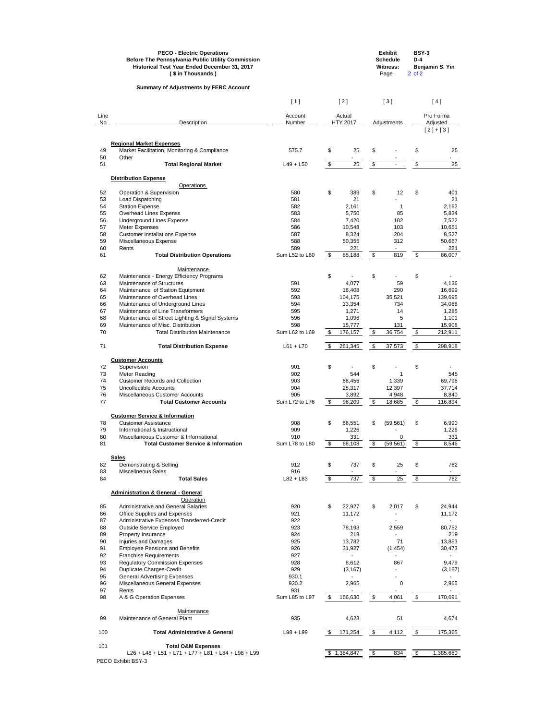|          | <b>PECO - Electric Operations</b><br><b>Before The Pennsylvania Public Utility Commission</b><br>Historical Test Year Ended December 31, 2017<br>(\$ in Thousands) |                |               |                 |                | <b>Exhibit</b><br><b>Schedule</b><br><b>Witness:</b><br>Page | <b>BSY-3</b><br>$D-4$<br>$2$ of $2$ | Benjamin S. Yin |
|----------|--------------------------------------------------------------------------------------------------------------------------------------------------------------------|----------------|---------------|-----------------|----------------|--------------------------------------------------------------|-------------------------------------|-----------------|
|          | <b>Summary of Adjustments by FERC Account</b>                                                                                                                      |                |               |                 |                |                                                              |                                     |                 |
|          |                                                                                                                                                                    | [1]            |               | [2]             |                | $[3]$                                                        |                                     | [4]             |
| Line     |                                                                                                                                                                    | Account        |               | Actual          |                |                                                              |                                     | Pro Forma       |
| No       | Description                                                                                                                                                        | Number         |               | <b>HTY 2017</b> |                | Adjustments                                                  |                                     | Adjusted        |
|          |                                                                                                                                                                    |                |               |                 |                |                                                              |                                     | $[2]+[3]$       |
|          | <b>Regional Market Expenses</b>                                                                                                                                    |                |               |                 |                |                                                              |                                     |                 |
| 49<br>50 | Market Facilitation, Monitoring & Compliance<br>Other                                                                                                              | 575.7          | \$            | 25              | \$             |                                                              | \$                                  | 25              |
| 51       | <b>Total Regional Market</b>                                                                                                                                       | $L49 + L50$    | $\sqrt[6]{3}$ | 25              | \$             | $\blacksquare$                                               | $\frac{1}{2}$                       | 25              |
|          | <b>Distribution Expense</b>                                                                                                                                        |                |               |                 |                |                                                              |                                     |                 |
|          | <b>Operations</b>                                                                                                                                                  |                |               |                 |                |                                                              |                                     |                 |
| 52       | Operation & Supervision                                                                                                                                            | 580            | \$            | 389             | \$             | 12                                                           | \$                                  | 401             |
| 53       | Load Dispatching                                                                                                                                                   | 581            |               | 21              |                |                                                              |                                     | 21              |
| 54       | <b>Station Expense</b>                                                                                                                                             | 582            |               | 2,161           |                | 1                                                            |                                     | 2,162           |
| 55       | <b>Overhead Lines Expenss</b>                                                                                                                                      | 583            |               | 5,750           |                | 85                                                           |                                     | 5,834           |
| 56       | <b>Underground Lines Expense</b>                                                                                                                                   | 584            |               | 7,420           |                | 102                                                          |                                     | 7,522           |
| 57       | Meter Expenses                                                                                                                                                     | 586            |               | 10,548          |                | 103                                                          |                                     | 10,651          |
| 58       | <b>Customer Installations Expense</b>                                                                                                                              | 587            |               | 8,324           |                | 204                                                          |                                     | 8,527           |
| 59       | Miscellaneous Expense                                                                                                                                              | 588            |               | 50,355          |                | 312                                                          |                                     | 50,667          |
| 60       | Rents                                                                                                                                                              | 589            |               | 221             |                |                                                              |                                     | 221             |
| 61       | <b>Total Distribution Operations</b>                                                                                                                               | Sum L52 to L60 | $\frac{3}{2}$ | 85,188          | $\$\$          | 819                                                          | $\boldsymbol{\mathsf{\$}}$          | 86,007          |
|          | Maintenance                                                                                                                                                        |                |               |                 |                |                                                              |                                     |                 |
| 62       | Maintenance - Energy Efficiency Programs                                                                                                                           |                | \$            |                 | \$             |                                                              | \$                                  |                 |
| 63       | Maintenance of Structures                                                                                                                                          | 591            |               | 4,077           |                | 59                                                           |                                     | 4,136           |
| 64       | Maintenance of Station Equipment                                                                                                                                   | 592            |               | 16,408          |                | 290                                                          |                                     | 16,699          |
| 65       | Maintenance of Overhead Lines                                                                                                                                      | 593            |               | 104,175         |                | 35,521                                                       |                                     | 139,695         |
| 66       | Maintenance of Underground Lines                                                                                                                                   | 594            |               | 33,354          |                | 734                                                          |                                     | 34,088          |
| 67       | Maintenance of Line Transformers                                                                                                                                   | 595            |               | 1,271           |                | 14                                                           |                                     | 1,285           |
| 68       | Maintenance of Street Lighting & Signal Systems                                                                                                                    | 596            |               | 1,096           |                | 5                                                            |                                     | 1,101           |
| 69       | Maintenance of Misc. Distribution                                                                                                                                  | 598            |               | 15,777          |                | 131                                                          |                                     | 15,908          |
| 70       | <b>Total Distribution Maintenance</b>                                                                                                                              | Sum L62 to L69 | \$            | 176,157         | $\mathfrak{F}$ | 36,754                                                       | $\frac{1}{2}$                       | 212,911         |
| 71       | <b>Total Distribution Expense</b>                                                                                                                                  | $L61 + L70$    | \$            | 261,345         | \$             | 37,573                                                       | $\boldsymbol{\mathsf{\$}}$          | 298,918         |
|          | <b>Customer Accounts</b>                                                                                                                                           |                |               |                 |                |                                                              |                                     |                 |
| 72       | Supervision                                                                                                                                                        | 901            | \$            |                 | \$             |                                                              | \$                                  |                 |
| 73       | Meter Reading                                                                                                                                                      | 902            |               | 544             |                | 1                                                            |                                     | 545             |
| 74       | <b>Customer Records and Collection</b>                                                                                                                             | 903            |               | 68,456          |                | 1,339                                                        |                                     | 69,796          |
| 75       | <b>Uncollectible Accounts</b>                                                                                                                                      | 904            |               | 25,317          |                | 12,397                                                       |                                     | 37,714          |
| 76       | Miscellaneous Customer Accounts                                                                                                                                    | 905            |               | 3,892           |                | 4,948                                                        |                                     | 8,840           |
| 77       | <b>Total Customer Accounts</b>                                                                                                                                     | Sum L72 to L76 | \$            | 98,209          | \$             | 18,685                                                       | $\boldsymbol{\mathsf{\$}}$          | 116,894         |
|          | <b>Customer Service &amp; Information</b>                                                                                                                          |                |               |                 |                |                                                              |                                     |                 |
| 78       | <b>Customer Assistance</b>                                                                                                                                         | 908            | \$            | 66,551          | \$             | (59, 561)                                                    | \$                                  | 6,990           |
| 79       | Informational & Instructional                                                                                                                                      | 909            |               | 1,226           |                |                                                              |                                     | 1,226           |
| 80       | Miscellaneous Customer & Informational                                                                                                                             | 910            |               | 331             |                | 0                                                            |                                     | 331             |
| 81       | <b>Total Customer Service &amp; Information</b>                                                                                                                    | Sum L78 to L80 | $\frac{1}{2}$ | 68,108          | $\frac{1}{2}$  | (59, 561)                                                    | $\boldsymbol{\mathsf{\$}}$          | 8,546           |
|          | <b>Sales</b>                                                                                                                                                       |                |               |                 |                |                                                              |                                     |                 |
| 82       | Demonstrating & Selling                                                                                                                                            | 912            | \$            | 737             | \$             | 25                                                           | \$                                  | 762             |
| 83       | <b>Miscellneous Sales</b>                                                                                                                                          | 916            |               |                 |                |                                                              |                                     |                 |
| 84       | <b>Total Sales</b>                                                                                                                                                 | $L82 + L83$    | \$            | 737             | \$             | 25                                                           | \$                                  | 762             |

|     | <b>Administration &amp; General - General</b>       |                |                 |             |                            |           |
|-----|-----------------------------------------------------|----------------|-----------------|-------------|----------------------------|-----------|
|     | Operation                                           |                |                 |             |                            |           |
| 85  | <b>Administrative and General Salaries</b>          | 920            | \$<br>22,927    | \$<br>2,017 | \$                         | 24,944    |
| 86  | Office Supplies and Expenses                        | 921            | 11,172          |             |                            | 11,172    |
| 87  | Administrative Expenses Transferred-Credit          | 922            |                 |             |                            |           |
| 88  | <b>Outside Service Employed</b>                     | 923            | 78,193          | 2,559       |                            | 80,752    |
| 89  | Property Insurance                                  | 924            | 219             |             |                            | 219       |
| 90  | Injuries and Damages                                | 925            | 13,782          | 71          |                            | 13,853    |
| 91  | <b>Employee Pensions and Benefits</b>               | 926            | 31,927          | (1, 454)    |                            | 30,473    |
| 92  | <b>Franchise Requirements</b>                       | 927            |                 |             |                            |           |
| 93  | <b>Regulatory Commission Expenses</b>               | 928            | 8,612           | 867         |                            | 9,479     |
| 94  | <b>Duplicate Charges-Credit</b>                     | 929            | (3, 167)        |             |                            | (3, 167)  |
| 95  | <b>General Advertising Expenses</b>                 | 930.1          |                 |             |                            |           |
| 96  | Miscellaneous General Expenses                      | 930.2          | 2,965           | 0           |                            | 2,965     |
| 97  | Rents                                               | 931            |                 |             |                            |           |
| 98  | A & G Operation Expenses                            | Sum L85 to L97 | \$<br>166,630   | \$<br>4,061 | \$                         | 170,691   |
|     | Maintenance                                         |                |                 |             |                            |           |
| 99  | Maintenance of General Plant                        | 935            | 4,623           | 51          |                            | 4,674     |
| 100 | <b>Total Administrative &amp; General</b>           | $L98 + L99$    | \$<br>171,254   | \$<br>4,112 | $\boldsymbol{\mathsf{\$}}$ | 175,365   |
| 101 | <b>Total O&amp;M Expenses</b>                       |                |                 |             |                            |           |
|     | L26 + L48 + L51 + L71 + L77 + L81 + L84 + L98 + L99 |                | \$<br>1,384,847 | \$<br>834   | \$                         | 1,385,680 |
|     | PECO Exhibit BSY-3                                  |                |                 |             |                            |           |
|     |                                                     |                |                 |             |                            |           |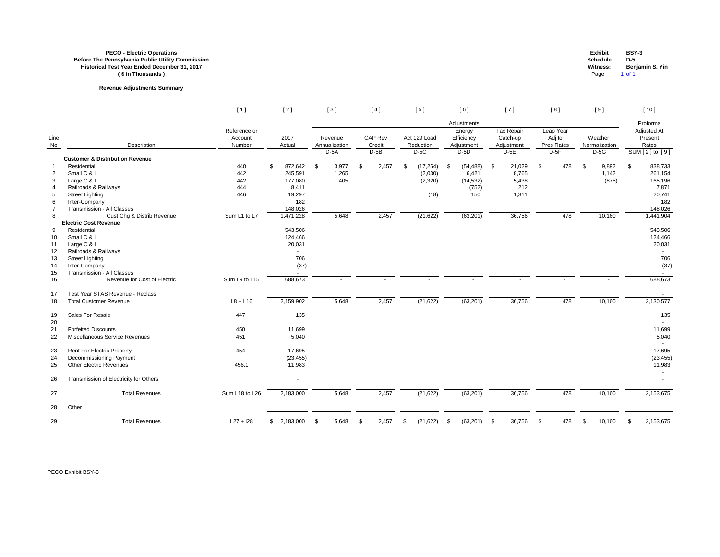## **PECO - Electric Operations Exhibit BSY-3 Before The Pennsylvania Public Utility Commission Schedule D-5 Historical Test Year Ended December 31, 2017 Witness: Benjamin S. Yin ( \$ in Thousands )** Page 1 of 1

# **Revenue Adjustments Summary**

|                |                                            | $[1]$                             | $[2]$            | $[3]$                    |       |      | [4]               |      | $[5]$                     |           | [6]                                |            | $[7]$                                       |      | [8]                               |            | [9]                      |      | [ 10 ]                          |
|----------------|--------------------------------------------|-----------------------------------|------------------|--------------------------|-------|------|-------------------|------|---------------------------|-----------|------------------------------------|------------|---------------------------------------------|------|-----------------------------------|------------|--------------------------|------|---------------------------------|
|                |                                            |                                   |                  |                          |       |      |                   |      |                           |           | Adjustments                        |            |                                             |      |                                   |            |                          |      | Proforma                        |
| Line<br>No     | Description                                | Reference or<br>Account<br>Number | 2017<br>Actual   | Revenue<br>Annualization |       |      | CAP Rev<br>Credit |      | Act 129 Load<br>Reduction |           | Energy<br>Efficiency<br>Adjustment |            | <b>Tax Repair</b><br>Catch-up<br>Adjustment |      | Leap Year<br>Adj to<br>Pres Rates |            | Weather<br>Normalization |      | Adjusted At<br>Present<br>Rates |
|                | <b>Customer &amp; Distribution Revenue</b> |                                   |                  | $D-5A$                   |       |      | $D-5B$            |      | $D-5C$                    |           | $D-5D$                             |            | $D-5E$                                      |      | $D-5F$                            |            | $D-5G$                   |      | SUM [2] to [9]                  |
| $\mathbf 1$    | Residential                                | 440                               | 872,642 \$<br>\$ |                          | 3,977 | \$   | 2,457             | - \$ | (17, 254)                 | -\$       | (54, 488)                          | $^{\circ}$ | 21,029                                      | \$   | 478                               | $\sqrt{3}$ | 9,892                    | \$   | 838,733                         |
| $\overline{2}$ | Small C & I                                | 442                               | 245,591          |                          | 1,265 |      |                   |      | (2,030)                   |           | 6,421                              |            | 8,765                                       |      |                                   |            | 1,142                    |      | 261,154                         |
| $\mathbf{3}$   | Large C & I                                | 442                               | 177,080          |                          | 405   |      |                   |      | (2,320)                   |           | (14, 532)                          |            | 5,438                                       |      |                                   |            | (875)                    |      | 165,196                         |
| 4              | Railroads & Railways                       | 444                               | 8,411            |                          |       |      |                   |      |                           |           | (752)                              |            | 212                                         |      |                                   |            |                          |      | 7,871                           |
| $\overline{5}$ | <b>Street Lighting</b>                     | 446                               | 19,297           |                          |       |      |                   |      | (18)                      |           | 150                                |            | 1,311                                       |      |                                   |            |                          |      | 20,741                          |
| 6              | Inter-Company                              |                                   | 182              |                          |       |      |                   |      |                           |           |                                    |            |                                             |      |                                   |            |                          |      | 182                             |
| $\overline{7}$ | <b>Transmission - All Classes</b>          |                                   | 148,026          |                          |       |      |                   |      |                           |           |                                    |            |                                             |      |                                   |            |                          |      | 148,026                         |
| 8              | Cust Chg & Distrib Revenue                 | Sum L1 to L7                      | 1,471,228        |                          | 5,648 |      | 2,457             |      | (21, 622)                 |           | (63, 201)                          |            | 36,756                                      |      | 478                               |            | 10,160                   |      | 1,441,904                       |
|                | <b>Electric Cost Revenue</b>               |                                   |                  |                          |       |      |                   |      |                           |           |                                    |            |                                             |      |                                   |            |                          |      |                                 |
| 9              | Residential                                |                                   | 543,506          |                          |       |      |                   |      |                           |           |                                    |            |                                             |      |                                   |            |                          |      | 543,506                         |
| 10             | Small C & I                                |                                   | 124,466          |                          |       |      |                   |      |                           |           |                                    |            |                                             |      |                                   |            |                          |      | 124,466                         |
| 11             | Large C & I                                |                                   | 20,031           |                          |       |      |                   |      |                           |           |                                    |            |                                             |      |                                   |            |                          |      | 20,031                          |
| 12             | Railroads & Railways                       |                                   |                  |                          |       |      |                   |      |                           |           |                                    |            |                                             |      |                                   |            |                          |      |                                 |
| 13             | <b>Street Lighting</b>                     |                                   | 706              |                          |       |      |                   |      |                           |           |                                    |            |                                             |      |                                   |            |                          |      | 706                             |
| 14             | Inter-Company                              |                                   | (37)             |                          |       |      |                   |      |                           |           |                                    |            |                                             |      |                                   |            |                          |      | (37)                            |
| 15             | <b>Transmission - All Classes</b>          |                                   |                  |                          |       |      |                   |      |                           |           |                                    |            |                                             |      |                                   |            |                          |      |                                 |
| 16             | Revenue for Cost of Electric               | Sum L9 to L15                     | 688,673          |                          |       |      |                   |      |                           |           |                                    |            |                                             |      |                                   |            |                          |      | 688,673                         |
| 17             | Test Year STAS Revenue - Reclass           |                                   |                  |                          |       |      |                   |      |                           |           |                                    |            |                                             |      |                                   |            |                          |      |                                 |
| 18             | <b>Total Customer Revenue</b>              | $L8 + L16$                        | 2,159,902        |                          | 5,648 |      | 2,457             |      | (21, 622)                 |           | (63, 201)                          |            | 36,756                                      |      | 478                               |            | 10,160                   |      | 2,130,577                       |
| 19             | Sales For Resale                           | 447                               | 135              |                          |       |      |                   |      |                           |           |                                    |            |                                             |      |                                   |            |                          |      | 135                             |
| 20             |                                            |                                   |                  |                          |       |      |                   |      |                           |           |                                    |            |                                             |      |                                   |            |                          |      |                                 |
| 21             | <b>Forfeited Discounts</b>                 | 450                               | 11,699           |                          |       |      |                   |      |                           |           |                                    |            |                                             |      |                                   |            |                          |      | 11,699                          |
| 22             | Miscellaneous Service Revenues             | 451                               | 5,040            |                          |       |      |                   |      |                           |           |                                    |            |                                             |      |                                   |            |                          |      | 5,040                           |
| 23             | <b>Rent For Electric Property</b>          | 454                               | 17,695           |                          |       |      |                   |      |                           |           |                                    |            |                                             |      |                                   |            |                          |      | 17,695                          |
| 24             | Decommissioning Payment                    |                                   | (23, 455)        |                          |       |      |                   |      |                           |           |                                    |            |                                             |      |                                   |            |                          |      | (23, 455)                       |
| 25             | <b>Other Electric Revenues</b>             | 456.1                             | 11,983           |                          |       |      |                   |      |                           |           |                                    |            |                                             |      |                                   |            |                          |      | 11,983                          |
| 26             | Transmission of Electricity for Others     |                                   | $\sim$           |                          |       |      |                   |      |                           |           |                                    |            |                                             |      |                                   |            |                          |      |                                 |
| 27             | <b>Total Revenues</b>                      | Sum L18 to L26                    | 2,183,000        |                          | 5,648 |      | 2,457             |      | (21, 622)                 |           | (63, 201)                          |            | 36,756                                      |      | 478                               |            | 10,160                   |      | 2,153,675                       |
|                |                                            |                                   |                  |                          |       |      |                   |      |                           |           |                                    |            |                                             |      |                                   |            |                          |      |                                 |
| 28             | Other                                      |                                   |                  |                          |       |      |                   |      |                           |           |                                    |            |                                             |      |                                   |            |                          |      |                                 |
| 29             | <b>Total Revenues</b>                      | $L27 + 128$                       | \$2,183,000      |                          | 5,648 | - \$ | 2,457             | - \$ | (21, 622)                 | $\bullet$ | (63, 201)                          | - \$       | 36,756                                      | - \$ | 478                               | S.         | 10,160                   | - \$ | 2,153,675                       |

| <b>Exhibit</b>  | <b>BSY-3</b>    |
|-----------------|-----------------|
| Schedule        | D-5             |
| <b>Witness:</b> | Benjamin S. Yin |
| Page            | 1 of 1          |

|--|--|--|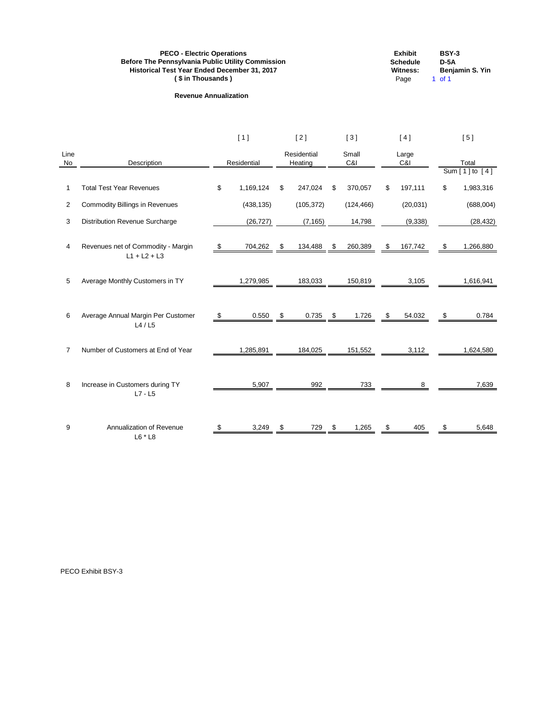| <b>PECO - Electric Operations</b>                        | <b>Exhibit</b>  | BSY-3           |
|----------------------------------------------------------|-----------------|-----------------|
| <b>Before The Pennsylvania Public Utility Commission</b> | <b>Schedule</b> | $D-5A$          |
| <b>Historical Test Year Ended December 31, 2017</b>      | Witness:        | Benjamin S. Yin |
| (\$ in Thousands)                                        | Page            | 1 of 1          |

# **Revenue Annualization**

| ancant  |  |
|---------|--|
| itness: |  |
| Page    |  |

|                |                                                      | [1] |             |            | $[2]$                  |                | [3]          |                           | [4]          |                           | [5]                         |  |  |
|----------------|------------------------------------------------------|-----|-------------|------------|------------------------|----------------|--------------|---------------------------|--------------|---------------------------|-----------------------------|--|--|
| Line<br>No     | Description                                          |     | Residential |            | Residential<br>Heating |                | Small<br>C&I |                           | Large<br>C&I |                           | Total<br>Sum $[1]$ to $[4]$ |  |  |
|                |                                                      |     |             |            |                        |                |              |                           |              |                           |                             |  |  |
| 1              | <b>Total Test Year Revenues</b>                      | \$  | 1,169,124   | \$         | 247,024                | \$             | 370,057      | \$                        | 197,111      | \$                        | 1,983,316                   |  |  |
| $\overline{2}$ | <b>Commodity Billings in Revenues</b>                |     | (438, 135)  |            | (105, 372)             |                | (124, 466)   |                           | (20, 031)    |                           | (688,004)                   |  |  |
| 3              | Distribution Revenue Surcharge                       |     | (26, 727)   |            | (7, 165)               |                | 14,798       |                           | (9, 338)     |                           | (28, 432)                   |  |  |
| 4              | Revenues net of Commodity - Margin<br>$L1 + L2 + L3$ | S.  | 704,262     | $\sqrt{3}$ | 134,488                | $\mathfrak{F}$ | 260,389      | $\frac{1}{2}$             | 167,742      | \$                        | 1,266,880                   |  |  |
|                |                                                      |     |             |            |                        |                |              |                           |              |                           |                             |  |  |
| 5              | Average Monthly Customers in TY                      |     | 1,279,985   |            | 183,033                |                | 150,819      |                           | 3,105        |                           | 1,616,941                   |  |  |
|                |                                                      |     |             |            |                        |                |              |                           |              |                           |                             |  |  |
| 6              | Average Annual Margin Per Customer<br>L4/L5          | \$  | 0.550       | \$         | 0.735                  | \$             | 1.726        | $\boldsymbol{\mathsf{S}}$ | 54.032       | $\boldsymbol{\mathsf{S}}$ | 0.784                       |  |  |
|                |                                                      |     |             |            |                        |                |              |                           |              |                           |                             |  |  |
| $\overline{7}$ | Number of Customers at End of Year                   |     | 1,285,891   |            | 184,025                |                | 151,552      |                           | 3,112        |                           | 1,624,580                   |  |  |
| 8              | Increase in Customers during TY                      |     | 5,907       |            | 992                    |                | 733          |                           | 8            |                           | 7,639                       |  |  |
|                | $L7 - L5$                                            |     |             |            |                        |                |              |                           |              |                           |                             |  |  |
| 9              | Annualization of Revenue                             | \$  | 3,249       | \$         | 729                    | \$             | 1,265        | \$                        | 405          | \$                        | 5,648                       |  |  |
|                | L6 * L8                                              |     |             |            |                        |                |              |                           |              |                           |                             |  |  |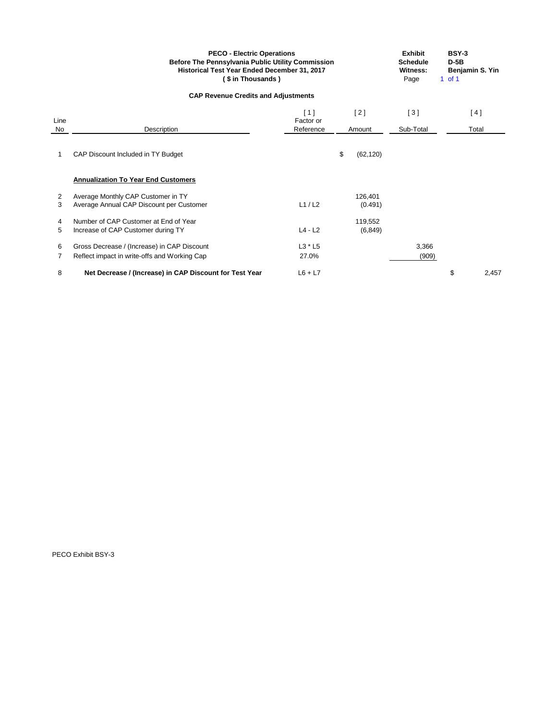|                                            | <b>PECO - Electric Operations</b><br><b>Before The Pennsylvania Public Utility Commission</b><br>Historical Test Year Ended December 31, 2017<br>(\$ in Thousands) | <b>Exhibit</b><br><b>Schedule</b><br>Witness:<br>Page | <b>BSY-3</b><br>$D-5B$<br>Benjamin S. Yin<br>$1$ of $1$ |                |    |       |  |  |  |
|--------------------------------------------|--------------------------------------------------------------------------------------------------------------------------------------------------------------------|-------------------------------------------------------|---------------------------------------------------------|----------------|----|-------|--|--|--|
| <b>CAP Revenue Credits and Adjustments</b> |                                                                                                                                                                    |                                                       |                                                         |                |    |       |  |  |  |
| Line                                       |                                                                                                                                                                    | [1]<br>Factor or                                      | [2]                                                     | [3]            |    | [4]   |  |  |  |
| No                                         | Description                                                                                                                                                        | Reference                                             | Amount                                                  | Sub-Total      |    | Total |  |  |  |
| 1                                          | CAP Discount Included in TY Budget<br><b>Annualization To Year End Customers</b>                                                                                   |                                                       | \$<br>(62, 120)                                         |                |    |       |  |  |  |
| 2<br>3                                     | Average Monthly CAP Customer in TY<br>Average Annual CAP Discount per Customer                                                                                     | L1/L2                                                 | 126,401<br>(0.491)                                      |                |    |       |  |  |  |
| 4<br>5                                     | Number of CAP Customer at End of Year<br>Increase of CAP Customer during TY                                                                                        | $L4 - L2$                                             | 119,552<br>(6, 849)                                     |                |    |       |  |  |  |
| 6<br>7                                     | Gross Decrease / (Increase) in CAP Discount<br>Reflect impact in write-offs and Working Cap                                                                        | L3 * L5<br>27.0%                                      |                                                         | 3,366<br>(909) |    |       |  |  |  |
| 8                                          | Net Decrease / (Increase) in CAP Discount for Test Year                                                                                                            | $L6 + L7$                                             |                                                         |                | \$ | 2,457 |  |  |  |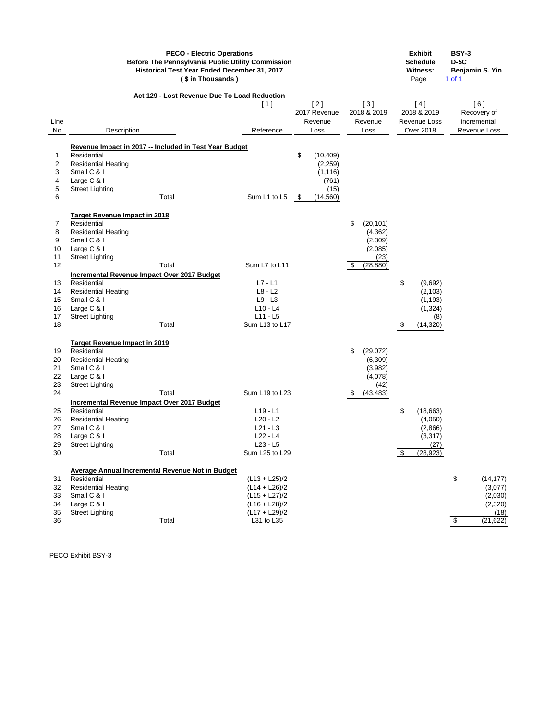|          | <b>Before The Pennsylvania Public Utility Commission</b><br>Historical Test Year Ended December 31, 2017 | <b>Exhibit</b><br><b>Schedule</b><br><b>Witness:</b><br>Page | <b>BSY-3</b><br>$D-5C$<br>Benjamin S. Yin<br>$1$ of $1$ |                                |                                 |                                    |                                   |
|----------|----------------------------------------------------------------------------------------------------------|--------------------------------------------------------------|---------------------------------------------------------|--------------------------------|---------------------------------|------------------------------------|-----------------------------------|
| Line     |                                                                                                          | Act 129 - Lost Revenue Due To Load Reduction                 | [1]                                                     | [2]<br>2017 Revenue<br>Revenue | $[3]$<br>2018 & 2019<br>Revenue | [4]<br>2018 & 2019<br>Revenue Loss | [6]<br>Recovery of<br>Incremental |
| No       | Description                                                                                              |                                                              | Reference                                               | Loss                           | Loss                            | <b>Over 2018</b>                   | Revenue Loss                      |
|          |                                                                                                          |                                                              |                                                         |                                |                                 |                                    |                                   |
|          | Residential                                                                                              | Revenue Impact in 2017 -- Included in Test Year Budget       |                                                         | \$                             |                                 |                                    |                                   |
| 1<br>2   | <b>Residential Heating</b>                                                                               |                                                              |                                                         | (10, 409)<br>(2, 259)          |                                 |                                    |                                   |
| 3        | Small C & I                                                                                              |                                                              |                                                         | (1, 116)                       |                                 |                                    |                                   |
| 4        | Large C & I                                                                                              |                                                              |                                                         | (761)                          |                                 |                                    |                                   |
| 5        | <b>Street Lighting</b>                                                                                   |                                                              |                                                         | (15)                           |                                 |                                    |                                   |
| 6        |                                                                                                          | Total                                                        | Sum L1 to L5                                            | (14, 560)<br>- \$              |                                 |                                    |                                   |
|          |                                                                                                          |                                                              |                                                         |                                |                                 |                                    |                                   |
|          | <b>Target Revenue Impact in 2018</b>                                                                     |                                                              |                                                         |                                |                                 |                                    |                                   |
| 7        | Residential                                                                                              |                                                              |                                                         |                                | \$<br>(20, 101)                 |                                    |                                   |
| 8        | <b>Residential Heating</b>                                                                               |                                                              |                                                         |                                | (4, 362)                        |                                    |                                   |
| 9        | Small C & I                                                                                              |                                                              |                                                         |                                | (2,309)                         |                                    |                                   |
| 10<br>11 | Large C & I                                                                                              |                                                              |                                                         |                                | (2,085)<br>(23)                 |                                    |                                   |
| 12       | <b>Street Lighting</b>                                                                                   | Total                                                        | Sum L7 to L11                                           |                                | (28, 880)<br>\$                 |                                    |                                   |
|          | <b>Incremental Revenue Impact Over 2017 Budget</b>                                                       |                                                              |                                                         |                                |                                 |                                    |                                   |
| 13       | Residential                                                                                              |                                                              | $L7 - L1$                                               |                                |                                 | \$<br>(9,692)                      |                                   |
| 14       | <b>Residential Heating</b>                                                                               |                                                              | $L8 - L2$                                               |                                |                                 | (2, 103)                           |                                   |
| 15       | Small C & I                                                                                              |                                                              | $L9 - L3$                                               |                                |                                 | (1, 193)                           |                                   |
| 16       | Large C & I                                                                                              |                                                              | $L10 - L4$                                              |                                |                                 | (1, 324)                           |                                   |
| 17       | <b>Street Lighting</b>                                                                                   |                                                              | $L11 - L5$                                              |                                |                                 | (8)                                |                                   |
| 18       |                                                                                                          | Total                                                        | Sum L13 to L17                                          |                                |                                 | (14, 320)<br>\$                    |                                   |
|          |                                                                                                          |                                                              |                                                         |                                |                                 |                                    |                                   |
|          | <b>Target Revenue Impact in 2019</b>                                                                     |                                                              |                                                         |                                |                                 |                                    |                                   |
| 19       | Residential                                                                                              |                                                              |                                                         |                                | \$<br>(29, 072)                 |                                    |                                   |
| 20       | <b>Residential Heating</b>                                                                               |                                                              |                                                         |                                | (6,309)                         |                                    |                                   |
| 21       | Small C & I                                                                                              |                                                              |                                                         |                                | (3,982)                         |                                    |                                   |
| 22       | Large C & I                                                                                              |                                                              |                                                         |                                | (4,078)                         |                                    |                                   |
| 23<br>24 | <b>Street Lighting</b>                                                                                   | Total                                                        | Sum L19 to L23                                          |                                | (42)<br>(43, 483)<br>\$         |                                    |                                   |
|          | <b>Incremental Revenue Impact Over 2017 Budget</b>                                                       |                                                              |                                                         |                                |                                 |                                    |                                   |
| 25       | Residential                                                                                              |                                                              | $L19 - L1$                                              |                                |                                 | \$<br>(18, 663)                    |                                   |
| 26       | <b>Residential Heating</b>                                                                               |                                                              | $L20 - L2$                                              |                                |                                 | (4,050)                            |                                   |
| 27       | Small C & I                                                                                              |                                                              | $L21 - L3$                                              |                                |                                 | (2,866)                            |                                   |
| 28       | Large C & I                                                                                              |                                                              | $L22 - L4$                                              |                                |                                 | (3, 317)                           |                                   |
| 29       | <b>Street Lighting</b>                                                                                   |                                                              | $L23 - L5$                                              |                                |                                 | (27)                               |                                   |
| 30       |                                                                                                          | Total                                                        | Sum L25 to L29                                          |                                |                                 | (28, 923)<br>\$                    |                                   |
|          |                                                                                                          |                                                              |                                                         |                                |                                 |                                    |                                   |
|          |                                                                                                          | <b>Average Annual Incremental Revenue Not in Budget</b>      |                                                         |                                |                                 |                                    |                                   |
| 31       | Residential                                                                                              |                                                              | $(L13 + L25)/2$                                         |                                |                                 |                                    | \$<br>(14, 177)                   |
| 32       | <b>Residential Heating</b>                                                                               |                                                              | $(L14 + L26)/2$                                         |                                |                                 |                                    | (3,077)                           |
| 33       | Small C & I                                                                                              |                                                              | $(L15 + L27)/2$                                         |                                |                                 |                                    | (2,030)                           |
| 34       | Large C & I                                                                                              |                                                              | $(L16 + L28)/2$                                         |                                |                                 |                                    | (2,320)                           |
| 35       | <b>Street Lighting</b>                                                                                   |                                                              | $(L17 + L29)/2$                                         |                                |                                 |                                    | (18)                              |
| 36       |                                                                                                          | Total                                                        | L31 to L35                                              |                                |                                 |                                    | (21, 622)<br>\$                   |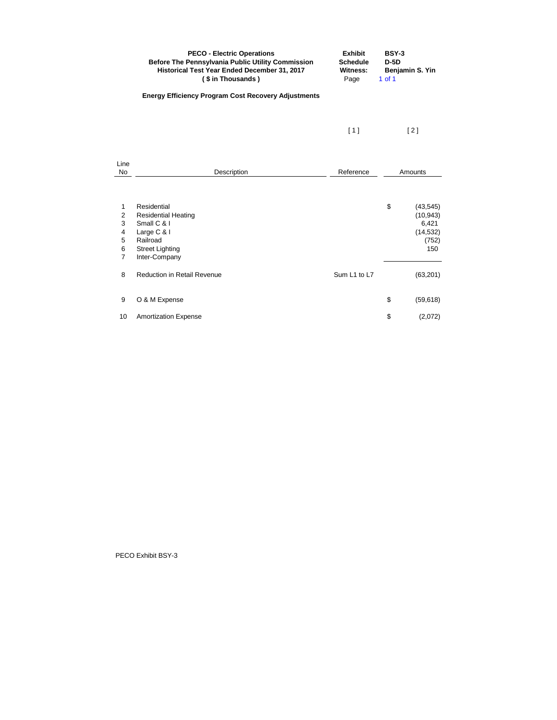|                                                           | <b>PECO - Electric Operations</b><br><b>Before The Pennsylvania Public Utility Commission</b><br>Historical Test Year Ended December 31, 2017<br>(\$in Thousands) | <b>Exhibit</b><br><b>Schedule</b><br><b>Witness:</b><br>Page | <b>BSY-3</b><br>$D-5D$<br>Benjamin S. Yin<br>$1$ of $1$                            |     |  |
|-----------------------------------------------------------|-------------------------------------------------------------------------------------------------------------------------------------------------------------------|--------------------------------------------------------------|------------------------------------------------------------------------------------|-----|--|
|                                                           | <b>Energy Efficiency Program Cost Recovery Adjustments</b>                                                                                                        |                                                              |                                                                                    |     |  |
|                                                           |                                                                                                                                                                   | $[1]$                                                        | $[2]$                                                                              |     |  |
| Line<br><b>No</b>                                         | Description                                                                                                                                                       | Reference                                                    | Amounts                                                                            |     |  |
| 1<br>$\overline{c}$<br>3<br>4<br>5<br>6<br>$\overline{7}$ | Residential<br><b>Residential Heating</b><br>Small C & I<br>Large C & I<br>Railroad<br><b>Street Lighting</b><br>Inter-Company                                    |                                                              | $\boldsymbol{\mathsf{S}}$<br>(43, 545)<br>(10, 943)<br>6,421<br>(14, 532)<br>(752) | 150 |  |
| 8                                                         | <b>Reduction in Retail Revenue</b>                                                                                                                                | Sum L1 to L7                                                 | (63, 201)                                                                          |     |  |
| 9                                                         | O & M Expense                                                                                                                                                     |                                                              | \$<br>(59, 618)                                                                    |     |  |
| 10                                                        | <b>Amortization Expense</b>                                                                                                                                       |                                                              | \$<br>(2,072)                                                                      |     |  |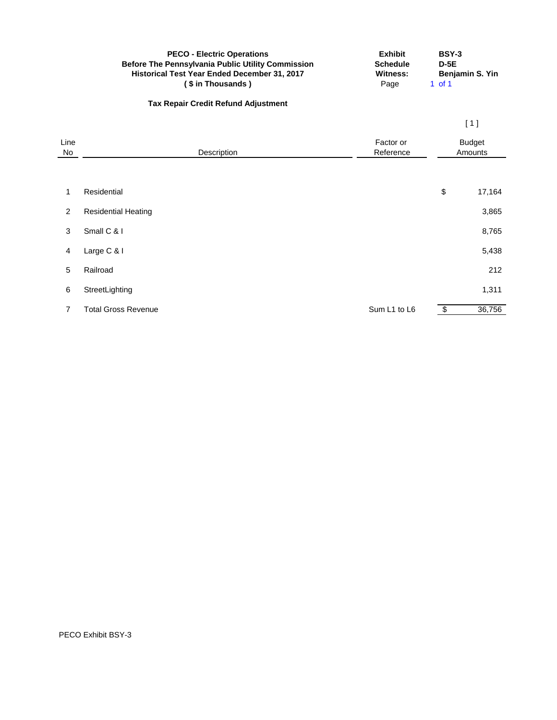|            | <b>PECO - Electric Operations</b><br><b>Before The Pennsylvania Public Utility Commission</b><br>Historical Test Year Ended December 31, 2017<br>(\$ in Thousands) | <b>Exhibit</b><br><b>Schedule</b><br><b>Witness:</b><br>Page | <b>BSY-3</b><br>$D-5E$<br>Benjamin S. Yin<br>$1$ of $1$ |                          |  |
|------------|--------------------------------------------------------------------------------------------------------------------------------------------------------------------|--------------------------------------------------------------|---------------------------------------------------------|--------------------------|--|
|            | <b>Tax Repair Credit Refund Adjustment</b>                                                                                                                         |                                                              |                                                         |                          |  |
|            |                                                                                                                                                                    |                                                              |                                                         | [1]                      |  |
| Line<br>No | Description                                                                                                                                                        | Factor or<br>Reference                                       |                                                         | <b>Budget</b><br>Amounts |  |
| 1          | Residential                                                                                                                                                        |                                                              | $\boldsymbol{\mathsf{S}}$                               | 17,164                   |  |
| 2          | <b>Residential Heating</b>                                                                                                                                         |                                                              |                                                         | 3,865                    |  |
| 3          | Small C & I                                                                                                                                                        |                                                              |                                                         | 8,765                    |  |
| 4          | Large C & I                                                                                                                                                        |                                                              |                                                         | 5,438                    |  |
| 5          | Railroad                                                                                                                                                           |                                                              |                                                         | 212                      |  |
| 6          | StreetLighting                                                                                                                                                     |                                                              |                                                         | 1,311                    |  |
| 7          | <b>Total Gross Revenue</b>                                                                                                                                         | Sum L1 to L6                                                 | \$                                                      | 36,756                   |  |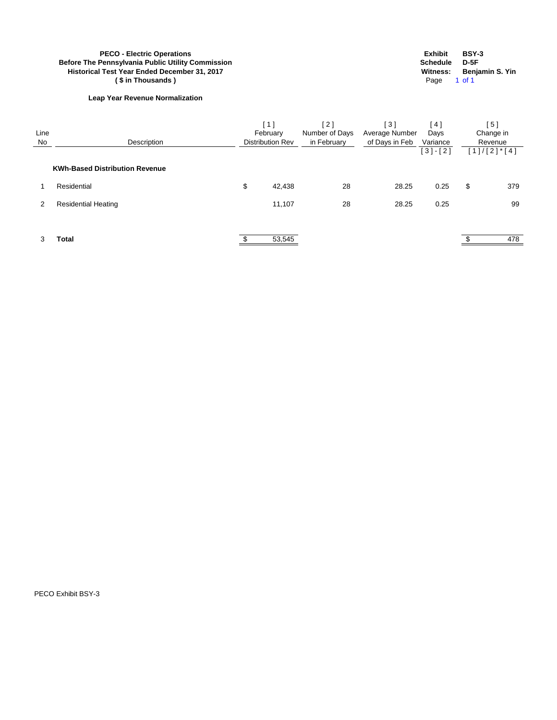# **PECO - Electric Operations**<br> **Pennsylvania Public Utility Commission**<br> **Pennsylvania Public Utility Commission**<br> **PECO - Electric Operations**<br> **Schedule**<br> **D-5F**<br> **Witness:** Benjamin S. Yin<br> **Page** 1 of 1 **Before The Pennsylvania Public Utility Commission Schedule D-5F Historical Test Year Ended December 31, 2017 Witness: Benjamin S. Yin (\$in Thousands)**

## **Leap Year Revenue Normalization**

| Line<br><b>No</b> | Description                           | 1 ]<br>February<br><b>Distribution Rev</b> | [2]<br>Number of Days<br>in February | [3]<br>Average Number<br>of Days in Feb | $\overline{4}$<br>Days<br>Variance<br>$[3] - [2]$ | $\lceil 5 \rceil$<br>Change in<br>Revenue<br>$[1]/[2]^*[4]$ |
|-------------------|---------------------------------------|--------------------------------------------|--------------------------------------|-----------------------------------------|---------------------------------------------------|-------------------------------------------------------------|
|                   | <b>KWh-Based Distribution Revenue</b> |                                            |                                      |                                         |                                                   |                                                             |
|                   | Residential                           | \$<br>42,438                               | 28                                   | 28.25                                   | 0.25                                              | \$<br>379                                                   |
| 2                 | <b>Residential Heating</b>            | 11,107                                     | 28                                   | 28.25                                   | 0.25                                              | 99                                                          |
|                   |                                       |                                            |                                      |                                         |                                                   |                                                             |
| 3                 | Total                                 | 53,545                                     |                                      |                                         |                                                   | 478                                                         |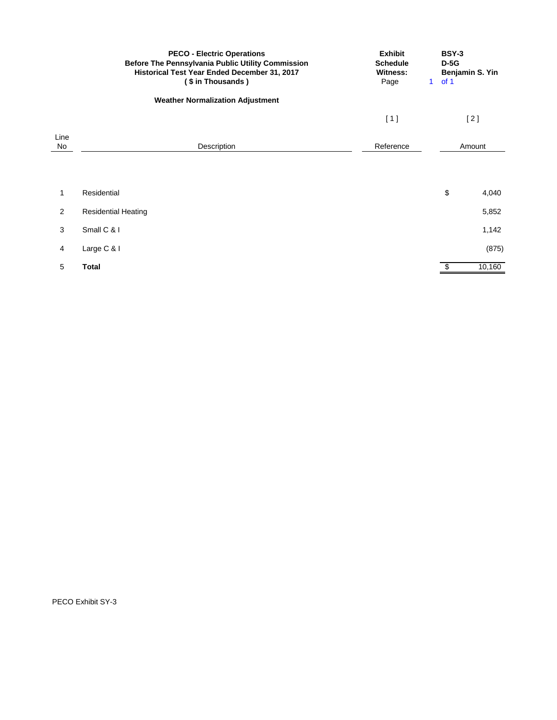|            | <b>PECO - Electric Operations</b><br>Before The Pennsylvania Public Utility Commission<br>Historical Test Year Ended December 31, 2017<br>(\$in Thousands) | <b>Exhibit</b><br><b>Schedule</b><br><b>Witness:</b><br>Page | <b>BSY-3</b><br>$D-5G$<br>of 1<br>$\mathbf 1$ | Benjamin S. Yin |
|------------|------------------------------------------------------------------------------------------------------------------------------------------------------------|--------------------------------------------------------------|-----------------------------------------------|-----------------|
|            | <b>Weather Normalization Adjustment</b>                                                                                                                    |                                                              |                                               |                 |
|            |                                                                                                                                                            | [1]                                                          |                                               | [2]             |
| Line<br>No | Description                                                                                                                                                | Reference                                                    |                                               | Amount          |
|            |                                                                                                                                                            |                                                              |                                               |                 |
| 1          | Residential                                                                                                                                                |                                                              | \$                                            | 4,040           |
| 2          | <b>Residential Heating</b>                                                                                                                                 |                                                              |                                               | 5,852           |
| 3          | Small C & I                                                                                                                                                |                                                              |                                               | 1,142           |
| 4          | Large C & I                                                                                                                                                |                                                              |                                               | (875)           |
| 5          | <b>Total</b>                                                                                                                                               |                                                              | $\overline{\mathbf{e}}$                       | 10,160          |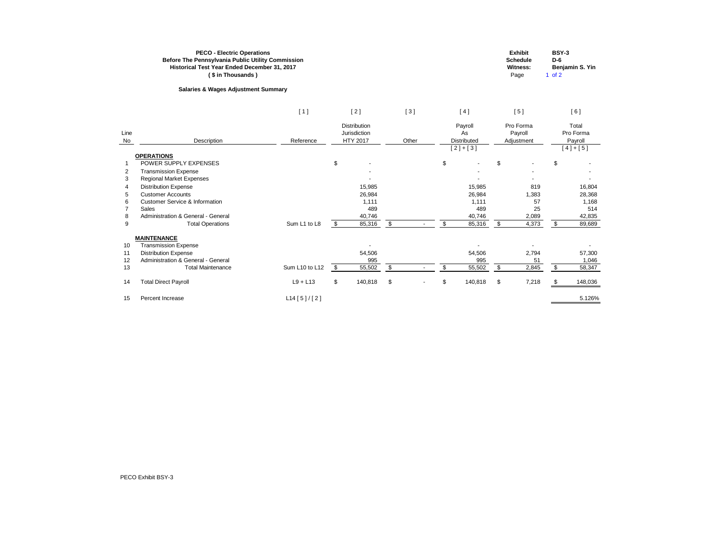| <b>Exhibit</b>  | <b>BSY-3</b>    |
|-----------------|-----------------|
| <b>Schedule</b> | D-6             |
| Witness:        | Benjamin S. Yin |
| Page            | 1 of 2          |

|                |                                           | [1]            |                | [2]                                                    |                           | [3]   | [4]                                              |                | [5]                                |                | [6]                                        |
|----------------|-------------------------------------------|----------------|----------------|--------------------------------------------------------|---------------------------|-------|--------------------------------------------------|----------------|------------------------------------|----------------|--------------------------------------------|
| Line<br>No     | Description                               | Reference      |                | <b>Distribution</b><br>Jurisdiction<br><b>HTY 2017</b> |                           | Other | Payroll<br>As<br><b>Distributed</b><br>$[2]+[3]$ |                | Pro Forma<br>Payroll<br>Adjustment |                | Total<br>Pro Forma<br>Payroll<br>$[4]+[5]$ |
|                | <b>OPERATIONS</b>                         |                |                |                                                        |                           |       |                                                  |                |                                    |                |                                            |
| $\mathbf 1$    | POWER SUPPLY EXPENSES                     |                | $\mathfrak{S}$ |                                                        |                           |       | \$                                               | $\mathfrak{S}$ |                                    | \$             |                                            |
| $\overline{2}$ | <b>Transmission Expense</b>               |                |                |                                                        |                           |       |                                                  |                |                                    |                |                                            |
| 3              | <b>Regional Market Expenses</b>           |                |                |                                                        |                           |       |                                                  |                |                                    |                |                                            |
| 4              | <b>Distribution Expense</b>               |                |                | 15,985                                                 |                           |       | 15,985                                           |                | 819                                |                | 16,804                                     |
| 5              | <b>Customer Accounts</b>                  |                |                | 26,984                                                 |                           |       | 26,984                                           |                | 1,383                              |                | 28,368                                     |
| 6              | <b>Customer Service &amp; Information</b> |                |                | 1,111                                                  |                           |       | 1,111                                            |                | 57                                 |                | 1,168                                      |
| 7              | <b>Sales</b>                              |                |                | 489                                                    |                           |       | 489                                              |                | 25                                 |                | 514                                        |
| 8              | Administration & General - General        |                |                | 40,746                                                 |                           |       | 40,746                                           |                | 2,089                              |                | 42,835                                     |
| 9              | <b>Total Operations</b>                   | Sum L1 to L8   | \$             | 85,316                                                 | $\boldsymbol{\mathsf{S}}$ |       | \$<br>85,316                                     | \$             | 4,373                              | $\sqrt[6]{3}$  | 89,689                                     |
|                | <b>MAINTENANCE</b>                        |                |                |                                                        |                           |       |                                                  |                |                                    |                |                                            |
| 10             | <b>Transmission Expense</b>               |                |                |                                                        |                           |       |                                                  |                |                                    |                |                                            |
| 11             | <b>Distribution Expense</b>               |                |                | 54,506                                                 |                           |       | 54,506                                           |                | 2,794                              |                | 57,300                                     |
| 12             | Administration & General - General        |                |                | 995                                                    |                           |       | 995                                              |                | 51                                 |                | 1,046                                      |
| 13             | <b>Total Maintenance</b>                  | Sum L10 to L12 | \$             | 55,502                                                 | $\sqrt[6]{2}$             |       | \$<br>55,502                                     | $\mathfrak{S}$ | 2,845                              | $\mathfrak{L}$ | 58,347                                     |
| 14             | <b>Total Direct Payroll</b>               | $L9 + L13$     | $\mathfrak{S}$ | 140,818                                                | $\mathfrak{S}$            |       | \$<br>140,818                                    | \$             | 7,218                              | -S             | 148,036                                    |
| 15             | Percent Increase                          | L14 [5]/[2]    |                |                                                        |                           |       |                                                  |                |                                    |                | 5.126%                                     |

**With**  $Pa$ 

# **Salaries & Wages Adjustment Summary**

## **PECO - Electric Operations Before The Pennsylvania Public Utility Commission Historical Test Year Ended December 31, 2017 ( \$ in Thousands )**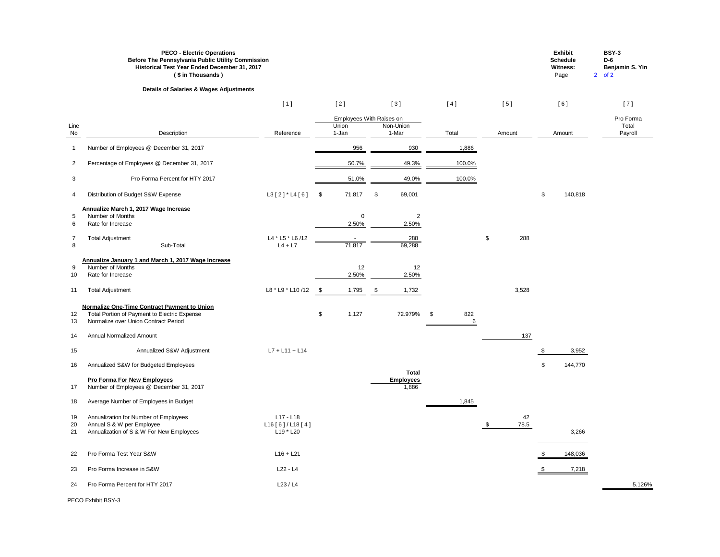|                          | <b>PECO - Electric Operations</b><br>Before The Pennsylvania Public Utility Commission<br>Historical Test Year Ended December 31, 2017<br>(\$in Thousands) |                                         |      |                                            |               |                           |                |                                           |            |                            | <b>Exhibit</b><br><b>Schedule</b><br><b>Witness:</b><br>Page | <b>BSY-3</b><br>$D-6$<br>Benjamin S. Yin<br>$2$ of $2$ |
|--------------------------|------------------------------------------------------------------------------------------------------------------------------------------------------------|-----------------------------------------|------|--------------------------------------------|---------------|---------------------------|----------------|-------------------------------------------|------------|----------------------------|--------------------------------------------------------------|--------------------------------------------------------|
|                          | <b>Details of Salaries &amp; Wages Adjustments</b>                                                                                                         |                                         |      |                                            |               |                           |                |                                           |            |                            |                                                              |                                                        |
|                          |                                                                                                                                                            | [1]                                     |      | [2]                                        |               | $[3]$                     | [4]            |                                           | [5]        |                            | [6]                                                          | [7]                                                    |
| Line<br>No               | Description                                                                                                                                                | Reference                               |      | Employees With Raises on<br>Union<br>1-Jan |               | Non-Union<br>1-Mar        | Total          |                                           | Amount     |                            | Amount                                                       | Pro Forma<br>Total<br>Payroll                          |
| -1                       | Number of Employees @ December 31, 2017                                                                                                                    |                                         |      | 956                                        |               | 930                       | 1,886          |                                           |            |                            |                                                              |                                                        |
| 2                        | Percentage of Employees @ December 31, 2017                                                                                                                |                                         |      | 50.7%                                      |               | 49.3%                     | 100.0%         |                                           |            |                            |                                                              |                                                        |
| 3                        | Pro Forma Percent for HTY 2017                                                                                                                             |                                         |      | 51.0%                                      |               | 49.0%                     | 100.0%         |                                           |            |                            |                                                              |                                                        |
| 4                        | Distribution of Budget S&W Expense                                                                                                                         | $L3$ [2] * L4[6]                        | \$   | 71,817                                     | $\frac{1}{2}$ | 69,001                    |                |                                           |            | $\boldsymbol{\mathsf{S}}$  | 140,818                                                      |                                                        |
| $\sqrt{5}$<br>6          | Annualize March 1, 2017 Wage Increase<br>Number of Months<br>Rate for Increase                                                                             |                                         |      | $\Omega$<br>2.50%                          |               | $\overline{2}$<br>2.50%   |                |                                           |            |                            |                                                              |                                                        |
| $\overline{7}$<br>$\, 8$ | <b>Total Adjustment</b><br>Sub-Total                                                                                                                       | L4 * L5 * L6 /12<br>$L4 + L7$           |      | 71,817                                     |               | 288<br>69,288             |                | $\, \, \raisebox{12pt}{$\scriptstyle \$}$ | 288        |                            |                                                              |                                                        |
| 9<br>10                  | Annualize January 1 and March 1, 2017 Wage Increase<br>Number of Months<br>Rate for Increase                                                               |                                         |      | 12<br>2.50%                                |               | 12<br>2.50%               |                |                                           |            |                            |                                                              |                                                        |
| 11                       | <b>Total Adjustment</b>                                                                                                                                    | L8 * L9 * L10 /12                       | - \$ | 1,795                                      |               | 1,732                     |                |                                           | 3,528      |                            |                                                              |                                                        |
| 12<br>13                 | <b>Normalize One-Time Contract Payment to Union</b><br>Total Portion of Payment to Electric Expense<br>Normalize over Union Contract Period                |                                         | \$   | 1,127                                      |               | 72.979%                   | \$<br>822<br>6 |                                           |            |                            |                                                              |                                                        |
| 14                       | <b>Annual Normalized Amount</b>                                                                                                                            |                                         |      |                                            |               |                           |                |                                           | 137        |                            |                                                              |                                                        |
| 15                       | Annualized S&W Adjustment                                                                                                                                  | $L7 + L11 + L14$                        |      |                                            |               |                           |                |                                           |            | S                          | 3,952                                                        |                                                        |
| 16                       | Annualized S&W for Budgeted Employees                                                                                                                      |                                         |      |                                            |               | <b>Total</b>              |                |                                           |            | $\boldsymbol{\mathsf{\$}}$ | 144,770                                                      |                                                        |
| 17                       | <b>Pro Forma For New Employees</b><br>Number of Employees @ December 31, 2017                                                                              |                                         |      |                                            |               | <b>Employees</b><br>1,886 |                |                                           |            |                            |                                                              |                                                        |
| 18                       | Average Number of Employees in Budget                                                                                                                      |                                         |      |                                            |               |                           | 1,845          |                                           |            |                            |                                                              |                                                        |
| 19<br>20<br>21           | Annualization for Number of Employees<br>Annual S & W per Employee<br>Annualization of S & W For New Employees                                             | L17 - L18<br>L16[6]/L18[4]<br>L19 * L20 |      |                                            |               |                           |                | -SS                                       | 42<br>78.5 |                            | 3,266                                                        |                                                        |
| 22                       | Pro Forma Test Year S&W                                                                                                                                    | $L16 + L21$                             |      |                                            |               |                           |                |                                           |            | - \$                       | 148,036                                                      |                                                        |
| 23                       | Pro Forma Increase in S&W                                                                                                                                  | $L22 - L4$                              |      |                                            |               |                           |                |                                           |            |                            | 7,218                                                        |                                                        |
| 24                       | Pro Forma Percent for HTY 2017                                                                                                                             | L23/L4                                  |      |                                            |               |                           |                |                                           |            |                            |                                                              | 5.126%                                                 |

# **Historical Test Year Ended December 31, 2017 PECO - Electric Operations Before The Pennsylvania Public Utility Commission**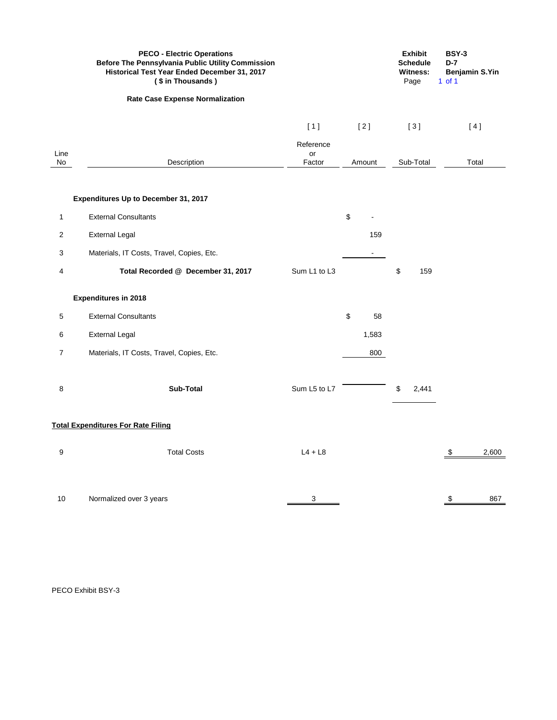|                 | <b>PECO - Electric Operations</b><br><b>Before The Pennsylvania Public Utility Commission</b><br>Historical Test Year Ended December 31, 2017<br>(\$ in Thousands) |                 |          | <b>Exhibit</b><br><b>Schedule</b><br><b>Witness:</b><br>Page | <b>BSY-3</b><br>$D-7$<br><b>Benjamin S.Yin</b><br>$1$ of $1$ |
|-----------------|--------------------------------------------------------------------------------------------------------------------------------------------------------------------|-----------------|----------|--------------------------------------------------------------|--------------------------------------------------------------|
|                 | <b>Rate Case Expense Normalization</b>                                                                                                                             |                 |          |                                                              |                                                              |
|                 |                                                                                                                                                                    | [1]             | $[2]$    | [3]                                                          | [4]                                                          |
| Line            |                                                                                                                                                                    | Reference<br>or |          |                                                              |                                                              |
| No              | Description                                                                                                                                                        | Factor          | Amount   | Sub-Total                                                    | Total                                                        |
|                 | <b>Expenditures Up to December 31, 2017</b>                                                                                                                        |                 |          |                                                              |                                                              |
| $\mathbf{1}$    | <b>External Consultants</b>                                                                                                                                        |                 | \$       |                                                              |                                                              |
| $\overline{c}$  | <b>External Legal</b>                                                                                                                                              |                 | 159      |                                                              |                                                              |
| $\mathbf{3}$    | Materials, IT Costs, Travel, Copies, Etc.                                                                                                                          |                 | $\sim$   |                                                              |                                                              |
| 4               | Total Recorded @ December 31, 2017                                                                                                                                 | Sum L1 to L3    |          | \$<br>159                                                    |                                                              |
|                 | <b>Expenditures in 2018</b>                                                                                                                                        |                 |          |                                                              |                                                              |
| $\sqrt{5}$      | <b>External Consultants</b>                                                                                                                                        |                 | \$<br>58 |                                                              |                                                              |
| 6               | <b>External Legal</b>                                                                                                                                              |                 | 1,583    |                                                              |                                                              |
| $\overline{7}$  | Materials, IT Costs, Travel, Copies, Etc.                                                                                                                          |                 | 800      |                                                              |                                                              |
| 8               | <b>Sub-Total</b>                                                                                                                                                   | Sum L5 to L7    |          | 2,441<br>\$                                                  |                                                              |
|                 | <b>Total Expenditures For Rate Filing</b>                                                                                                                          |                 |          |                                                              |                                                              |
| 9               | <b>Total Costs</b>                                                                                                                                                 | $L4 + L8$       |          |                                                              | 2,600<br>\$                                                  |
| 10 <sup>°</sup> | Normalized over 3 years                                                                                                                                            | 3               |          |                                                              | \$<br>867                                                    |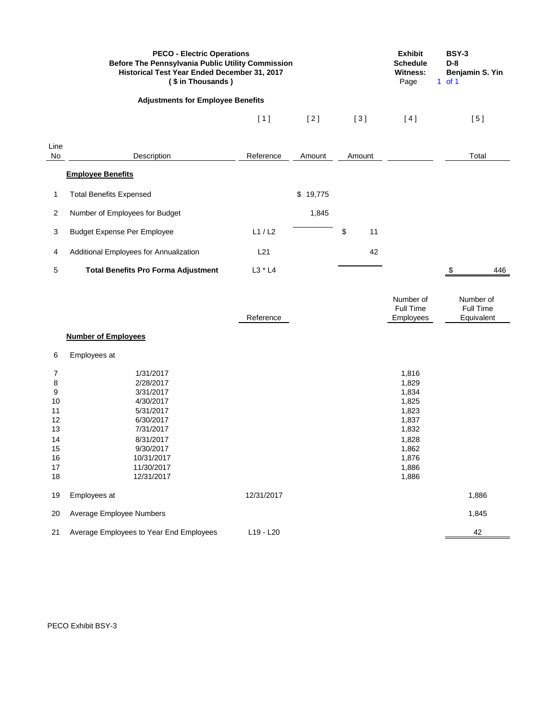|                                                                   | <b>PECO - Electric Operations</b><br>Before The Pennsylvania Public Utility Commission<br>Historical Test Year Ended December 31, 2017<br>(\$ in Thousands) |            |          |          | <b>Exhibit</b><br><b>Schedule</b><br><b>Witness:</b><br>Page                                             | <b>BSY-3</b><br>$D-8$<br>$1$ of $1$ | Benjamin S. Yin                      |
|-------------------------------------------------------------------|-------------------------------------------------------------------------------------------------------------------------------------------------------------|------------|----------|----------|----------------------------------------------------------------------------------------------------------|-------------------------------------|--------------------------------------|
|                                                                   | <b>Adjustments for Employee Benefits</b>                                                                                                                    |            |          |          |                                                                                                          |                                     |                                      |
|                                                                   |                                                                                                                                                             | [1]        | $[2]$    | $[3]$    | [4]                                                                                                      |                                     | [5]                                  |
| Line<br>No                                                        | Description                                                                                                                                                 | Reference  | Amount   | Amount   |                                                                                                          |                                     | Total                                |
|                                                                   | <b>Employee Benefits</b>                                                                                                                                    |            |          |          |                                                                                                          |                                     |                                      |
| 1                                                                 | <b>Total Benefits Expensed</b>                                                                                                                              |            | \$19,775 |          |                                                                                                          |                                     |                                      |
| 2                                                                 | Number of Employees for Budget                                                                                                                              |            | 1,845    |          |                                                                                                          |                                     |                                      |
| 3                                                                 | <b>Budget Expense Per Employee</b>                                                                                                                          | L1/L2      |          | \$<br>11 |                                                                                                          |                                     |                                      |
| 4                                                                 | Additional Employees for Annualization                                                                                                                      | L21        |          | 42       |                                                                                                          |                                     |                                      |
| 5                                                                 | <b>Total Benefits Pro Forma Adjustment</b>                                                                                                                  | L3 * L4    |          |          |                                                                                                          | \$                                  | 446                                  |
|                                                                   |                                                                                                                                                             | Reference  |          |          | Number of<br>Full Time<br>Employees                                                                      |                                     | Number of<br>Full Time<br>Equivalent |
|                                                                   | <b>Number of Employees</b>                                                                                                                                  |            |          |          |                                                                                                          |                                     |                                      |
| 6                                                                 | Employees at                                                                                                                                                |            |          |          |                                                                                                          |                                     |                                      |
| 7<br>8<br>9<br>10<br>11<br>12<br>13<br>14<br>15<br>16<br>17<br>18 | 1/31/2017<br>2/28/2017<br>3/31/2017<br>4/30/2017<br>5/31/2017<br>6/30/2017<br>7/31/2017<br>8/31/2017<br>9/30/2017<br>10/31/2017<br>11/30/2017<br>12/31/2017 |            |          |          | 1,816<br>1,829<br>1,834<br>1,825<br>1,823<br>1,837<br>1,832<br>1,828<br>1,862<br>1,876<br>1,886<br>1,886 |                                     |                                      |
| 19                                                                | Employees at                                                                                                                                                | 12/31/2017 |          |          |                                                                                                          |                                     | 1,886                                |
| 20                                                                | Average Employee Numbers                                                                                                                                    |            |          |          |                                                                                                          |                                     | 1,845                                |
| 21                                                                | Average Employees to Year End Employees                                                                                                                     | L19 - L20  |          |          |                                                                                                          |                                     | 42                                   |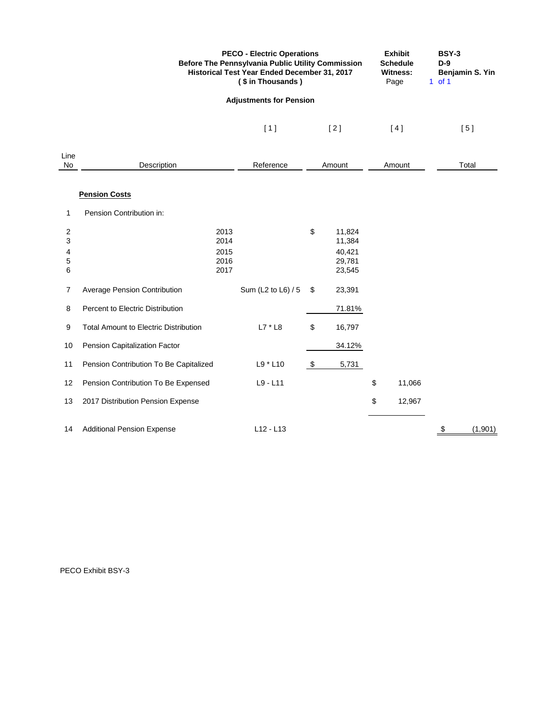|                                    |                                              | <b>PECO - Electric Operations</b><br>(\$ in Thousands) | <b>Before The Pennsylvania Public Utility Commission</b><br>Historical Test Year Ended December 31, 2017 |                                                |    |        |    | <b>BSY-3</b><br>Benjamin S. Yin |
|------------------------------------|----------------------------------------------|--------------------------------------------------------|----------------------------------------------------------------------------------------------------------|------------------------------------------------|----|--------|----|---------------------------------|
|                                    |                                              | <b>Adjustments for Pension</b>                         |                                                                                                          |                                                |    |        |    |                                 |
|                                    |                                              | [1]                                                    |                                                                                                          | $[2]$                                          |    | [4]    |    | [5]                             |
| Line<br>No                         | Description                                  | Reference                                              |                                                                                                          | Amount                                         |    | Amount |    | Total                           |
|                                    | <b>Pension Costs</b>                         |                                                        |                                                                                                          |                                                |    |        |    |                                 |
| 1                                  | Pension Contribution in:                     |                                                        |                                                                                                          |                                                |    |        |    |                                 |
| $\overline{c}$<br>3<br>4<br>5<br>6 | 2013<br>2014<br>2015<br>2016<br>2017         |                                                        | \$                                                                                                       | 11,824<br>11,384<br>40,421<br>29,781<br>23,545 |    |        |    |                                 |
| 7                                  | <b>Average Pension Contribution</b>          | Sum (L2 to L6) / 5                                     | \$                                                                                                       | 23,391                                         |    |        |    |                                 |
| 8                                  | Percent to Electric Distribution             |                                                        |                                                                                                          | 71.81%                                         |    |        |    |                                 |
| 9                                  | <b>Total Amount to Electric Distribution</b> | $L7 * L8$                                              | \$                                                                                                       | 16,797                                         |    |        |    |                                 |
| 10                                 | Pension Capitalization Factor                |                                                        |                                                                                                          | 34.12%                                         |    |        |    |                                 |
| 11                                 | Pension Contribution To Be Capitalized       | L9 * L10                                               | \$                                                                                                       | 5,731                                          |    |        |    |                                 |
| 12                                 | Pension Contribution To Be Expensed          | $L9 - L11$                                             |                                                                                                          |                                                | \$ | 11,066 |    |                                 |
| 13                                 | 2017 Distribution Pension Expense            |                                                        |                                                                                                          |                                                | \$ | 12,967 |    |                                 |
| 14                                 | <b>Additional Pension Expense</b>            | $L12 - L13$                                            |                                                                                                          |                                                |    |        | \$ | (1,901)                         |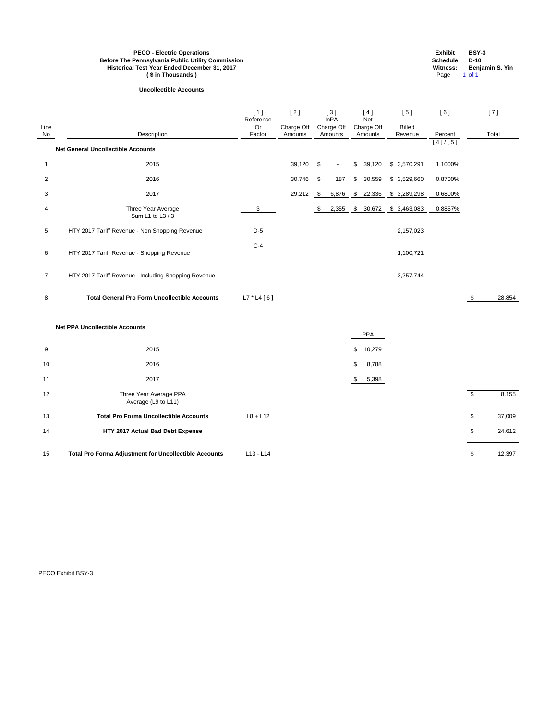| Line<br>No     | Description                                          | [1]<br>Reference<br>Or<br>Factor | [2]<br>Charge Off<br>Amounts |               | [3]<br><b>InPA</b><br>Charge Off<br>Amounts | [4]<br>Net<br>Charge Off<br>Amounts  | [5]<br><b>Billed</b><br>Revenue | [6]<br>Percent |               | [7]<br>Total |
|----------------|------------------------------------------------------|----------------------------------|------------------------------|---------------|---------------------------------------------|--------------------------------------|---------------------------------|----------------|---------------|--------------|
|                | <b>Net General Uncollectible Accounts</b>            |                                  |                              |               |                                             |                                      |                                 | [4]/[5]        |               |              |
| $\mathbf 1$    | 2015                                                 |                                  | 39,120                       | $\sqrt{3}$    | $\sim$                                      | \$39,120                             | \$3,570,291                     | 1.1000%        |               |              |
| $\overline{2}$ | 2016                                                 |                                  | 30,746                       | $\sqrt[6]{3}$ | 187                                         | \$<br>30,559                         | \$ 3,529,660                    | 0.8700%        |               |              |
| 3              | 2017                                                 |                                  | 29,212                       | $\sqrt{3}$    | 6,876                                       | 22,336<br>$\boldsymbol{\mathsf{\$}}$ | \$3,289,298                     | 0.6800%        |               |              |
| 4              | Three Year Average<br>Sum L1 to L3 / 3               | 3                                |                              | \$            | 2,355                                       |                                      | $$30,672$ $$3,463,083$          | 0.8857%        |               |              |
| $\overline{5}$ | HTY 2017 Tariff Revenue - Non Shopping Revenue       | $D-5$                            |                              |               |                                             |                                      | 2,157,023                       |                |               |              |
| $6\phantom{.}$ | HTY 2017 Tariff Revenue - Shopping Revenue           | $C-4$                            |                              |               |                                             |                                      | 1,100,721                       |                |               |              |
| $\overline{7}$ | HTY 2017 Tariff Revenue - Including Shopping Revenue |                                  |                              |               |                                             |                                      | 3,257,744                       |                |               |              |
| $\bf 8$        | <b>Total General Pro Form Uncollectible Accounts</b> | $L7 * L4 [6]$                    |                              |               |                                             |                                      |                                 |                | $\bullet$     | 28,854       |
|                | <b>Net PPA Uncollectible Accounts</b>                |                                  |                              |               |                                             | <b>PPA</b>                           |                                 |                |               |              |
| 9              | 2015                                                 |                                  |                              |               |                                             | \$<br>10,279                         |                                 |                |               |              |
| 10             | 2016                                                 |                                  |                              |               |                                             | \$<br>8,788                          |                                 |                |               |              |
| 11             | 2017                                                 |                                  |                              |               |                                             | $\mathfrak{S}$<br>5,398              |                                 |                |               |              |
| 12             | Three Year Average PPA                               |                                  |                              |               |                                             |                                      |                                 |                | $\sqrt[6]{3}$ | 8,155        |

| <b>PECO - Electric Operations</b>                        | <b>Exhibit</b>  | <b>BSY-3</b>           |
|----------------------------------------------------------|-----------------|------------------------|
| <b>Before The Pennsylvania Public Utility Commission</b> | <b>Schedule</b> | D-10                   |
| Historical Test Year Ended December 31, 2017             | Witness:        | <b>Beniamin S. Yin</b> |
| (\$ in Thousands)                                        | Page            | 1 of 1                 |

|    | Average (L9 to L11)                                          |                 |        |
|----|--------------------------------------------------------------|-----------------|--------|
| 13 | <b>Total Pro Forma Uncollectible Accounts</b>                | $L8 + L12$      | 37,009 |
| 14 | HTY 2017 Actual Bad Debt Expense                             |                 | 24,612 |
| 15 | <b>Total Pro Forma Adjustment for Uncollectible Accounts</b> | $L$ 13 - $L$ 14 | 12,397 |

## **Uncollectible Accounts**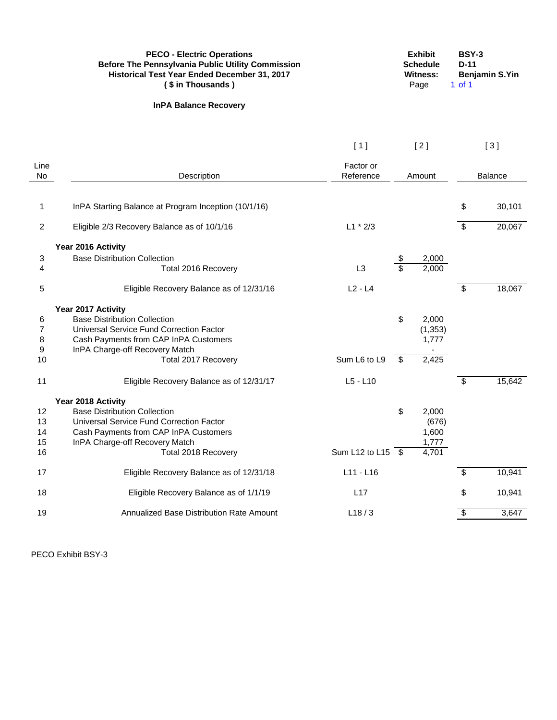|                | <b>PECO - Electric Operations</b><br><b>Before The Pennsylvania Public Utility Commission</b><br>Historical Test Year Ended December 31, 2017<br>(\$ in Thousands) |                                |                          | <b>Exhibit</b><br><b>Schedule</b><br><b>Witness:</b><br>Page | <b>BSY-3</b><br>$D-11$<br>$1$ of $1$ | Benjamin S.Yin |
|----------------|--------------------------------------------------------------------------------------------------------------------------------------------------------------------|--------------------------------|--------------------------|--------------------------------------------------------------|--------------------------------------|----------------|
|                | <b>InPA Balance Recovery</b>                                                                                                                                       |                                |                          |                                                              |                                      |                |
|                |                                                                                                                                                                    | [1]                            |                          | $[2]$                                                        |                                      | [3]            |
| Line<br>No     | Description                                                                                                                                                        | Factor or<br>Reference         |                          | Amount                                                       |                                      | <b>Balance</b> |
| 1              | InPA Starting Balance at Program Inception (10/1/16)                                                                                                               |                                |                          |                                                              | \$                                   | 30,101         |
| $\overline{c}$ | Eligible 2/3 Recovery Balance as of 10/1/16                                                                                                                        | $L1 * 2/3$                     |                          |                                                              | \$                                   | 20,067         |
|                | Year 2016 Activity                                                                                                                                                 |                                |                          |                                                              |                                      |                |
| 3<br>4         | <b>Base Distribution Collection</b><br>Total 2016 Recovery                                                                                                         | L3                             | $\overline{\mathcal{S}}$ | 2,000<br>2,000                                               |                                      |                |
|                |                                                                                                                                                                    |                                |                          |                                                              |                                      |                |
| 5              | Eligible Recovery Balance as of 12/31/16                                                                                                                           | $L2 - L4$                      |                          |                                                              | \$                                   | 18,067         |
|                | Year 2017 Activity                                                                                                                                                 |                                |                          |                                                              |                                      |                |
| 6              | <b>Base Distribution Collection</b>                                                                                                                                |                                | \$                       | 2,000                                                        |                                      |                |
| 7<br>8         | Universal Service Fund Correction Factor<br>Cash Payments from CAP InPA Customers                                                                                  |                                |                          | (1, 353)<br>1,777                                            |                                      |                |
| 9              | InPA Charge-off Recovery Match                                                                                                                                     |                                |                          |                                                              |                                      |                |
| 10             | Total 2017 Recovery                                                                                                                                                | Sum L6 to L9                   | \$                       | 2,425                                                        |                                      |                |
| 11             | Eligible Recovery Balance as of 12/31/17                                                                                                                           | $L5 - L10$                     |                          |                                                              | \$                                   | 15,642         |
|                | Year 2018 Activity                                                                                                                                                 |                                |                          |                                                              |                                      |                |
| 12             | <b>Base Distribution Collection</b>                                                                                                                                |                                | \$                       | 2,000                                                        |                                      |                |
| 13             | Universal Service Fund Correction Factor                                                                                                                           |                                |                          | (676)                                                        |                                      |                |
| 14<br>15       | Cash Payments from CAP InPA Customers<br>InPA Charge-off Recovery Match                                                                                            |                                |                          | 1,600<br>1,777                                               |                                      |                |
| 16             | Total 2018 Recovery                                                                                                                                                | Sum L12 to L15 $\overline{\$}$ |                          | 4,701                                                        |                                      |                |
| 17             | Eligible Recovery Balance as of 12/31/18                                                                                                                           | L11 - L16                      |                          |                                                              | \$                                   | 10,941         |
| 18             | Eligible Recovery Balance as of 1/1/19                                                                                                                             | L17                            |                          |                                                              | \$                                   | 10,941         |
| 19             | Annualized Base Distribution Rate Amount                                                                                                                           | L18/3                          |                          |                                                              | \$                                   | 3,647          |
|                |                                                                                                                                                                    |                                |                          |                                                              |                                      |                |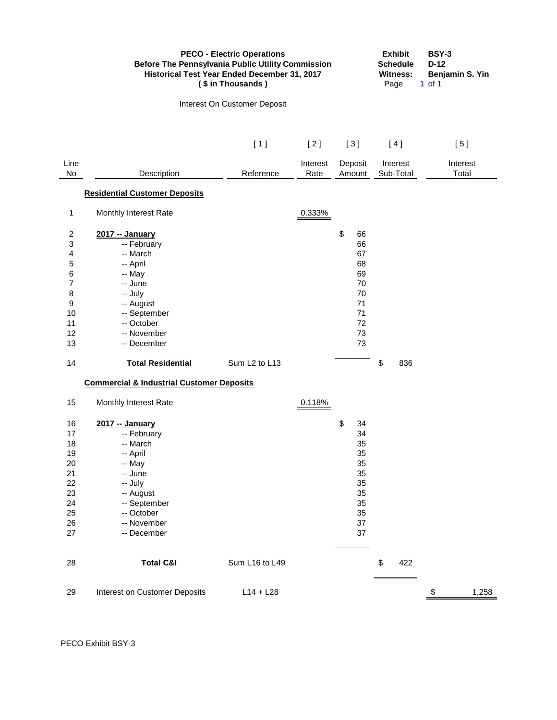|                | <b>PECO - Electric Operations</b><br><b>Before The Pennsylvania Public Utility Commission</b><br>Historical Test Year Ended December 31, 2017<br>(\$ in Thousands) | <b>Exhibit</b><br><b>Schedule</b><br><b>Witness:</b><br>Page | <b>BSY-3</b><br>$D-12$<br>Benjamin S. Yin<br>$1$ of $1$ |                   |                       |                   |
|----------------|--------------------------------------------------------------------------------------------------------------------------------------------------------------------|--------------------------------------------------------------|---------------------------------------------------------|-------------------|-----------------------|-------------------|
|                |                                                                                                                                                                    | Interest On Customer Deposit                                 |                                                         |                   |                       |                   |
|                |                                                                                                                                                                    | [1]                                                          | [2]                                                     | [3]               | [4]                   | [5]               |
| Line<br>No     | Description                                                                                                                                                        | Reference                                                    | Interest<br>Rate                                        | Deposit<br>Amount | Interest<br>Sub-Total | Interest<br>Total |
|                | <b>Residential Customer Deposits</b>                                                                                                                               |                                                              |                                                         |                   |                       |                   |
| $\mathbf{1}$   | Monthly Interest Rate                                                                                                                                              |                                                              | 0.333%                                                  |                   |                       |                   |
| $\overline{c}$ | 2017 -- January                                                                                                                                                    |                                                              |                                                         | \$<br>66          |                       |                   |
| 3              | -- February                                                                                                                                                        |                                                              |                                                         | 66                |                       |                   |
| 4              | -- March                                                                                                                                                           |                                                              |                                                         | 67                |                       |                   |
| $\mathbf 5$    | -- April                                                                                                                                                           |                                                              |                                                         | 68                |                       |                   |
| 6              | -- May                                                                                                                                                             |                                                              |                                                         | 69                |                       |                   |
| $\overline{7}$ | -- June                                                                                                                                                            |                                                              |                                                         | 70                |                       |                   |
| 8              | -- July                                                                                                                                                            |                                                              |                                                         | 70                |                       |                   |
| 9              | -- August                                                                                                                                                          |                                                              |                                                         | 71                |                       |                   |
| 10             | -- September                                                                                                                                                       |                                                              |                                                         | 71                |                       |                   |
| 11             | -- October                                                                                                                                                         |                                                              |                                                         | 72                |                       |                   |
| 12             | -- November                                                                                                                                                        |                                                              |                                                         | 73                |                       |                   |
| 13             | -- December                                                                                                                                                        |                                                              |                                                         | 73                |                       |                   |
| 14             | <b>Total Residential</b>                                                                                                                                           | Sum L <sub>2</sub> to L <sub>13</sub>                        |                                                         |                   | \$<br>836             |                   |
|                | <b>Commercial &amp; Industrial Customer Deposits</b>                                                                                                               |                                                              |                                                         |                   |                       |                   |
| 15             | Monthly Interest Rate                                                                                                                                              |                                                              | 0.118%                                                  |                   |                       |                   |
| 16             | 2017 -- January                                                                                                                                                    |                                                              |                                                         | \$<br>34          |                       |                   |
| 17             | -- February                                                                                                                                                        |                                                              |                                                         | 34                |                       |                   |
| 18             | -- March                                                                                                                                                           |                                                              |                                                         | 35                |                       |                   |
| 19             | -- April                                                                                                                                                           |                                                              |                                                         | 35                |                       |                   |
| 20             | -- May                                                                                                                                                             |                                                              |                                                         | 35                |                       |                   |
| 21             | -- June                                                                                                                                                            |                                                              |                                                         | 35                |                       |                   |
| 22             | -- July                                                                                                                                                            |                                                              |                                                         | 35                |                       |                   |
| 23             | -- August                                                                                                                                                          |                                                              |                                                         | 35                |                       |                   |
| 24             | -- September                                                                                                                                                       |                                                              |                                                         | 35                |                       |                   |
| 25             | -- October                                                                                                                                                         |                                                              |                                                         | 35                |                       |                   |
| 26             | -- November                                                                                                                                                        |                                                              |                                                         | 37                |                       |                   |
| 27             | -- December                                                                                                                                                        |                                                              |                                                         | 37                |                       |                   |
| 28             | <b>Total C&amp;I</b>                                                                                                                                               | Sum L16 to L49                                               |                                                         |                   | \$<br>422             |                   |
| 29             | Interest on Customer Deposits                                                                                                                                      | $L14 + L28$                                                  |                                                         |                   |                       | 1,258<br>\$       |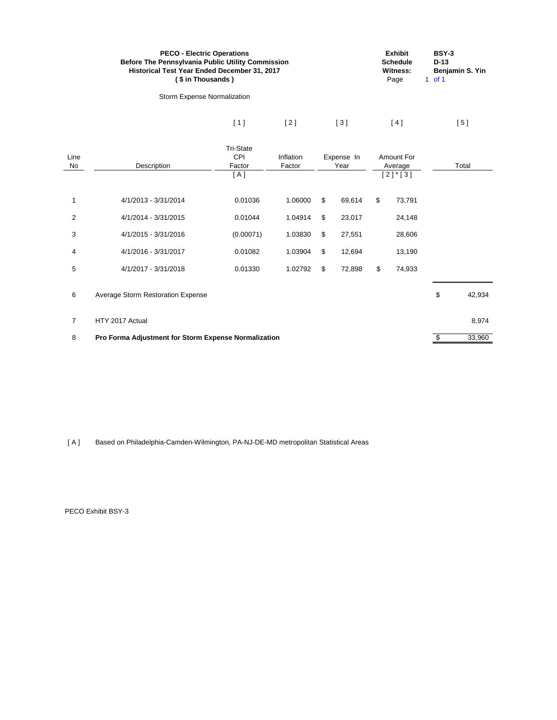|                | <b>PECO - Electric Operations</b><br>Before The Pennsylvania Public Utility Commission<br>Historical Test Year Ended December 31, 2017<br>(\$ in Thousands) |                                          | <b>Exhibit</b><br><b>Schedule</b><br><b>Witness:</b><br>Page | <b>BSY-3</b><br>$D-13$<br>Benjamin S. Yin<br>$1$ of $1$ |        |                                                 |        |                               |
|----------------|-------------------------------------------------------------------------------------------------------------------------------------------------------------|------------------------------------------|--------------------------------------------------------------|---------------------------------------------------------|--------|-------------------------------------------------|--------|-------------------------------|
|                | Storm Expense Normalization                                                                                                                                 |                                          |                                                              |                                                         |        |                                                 |        |                               |
|                |                                                                                                                                                             | [1]                                      | $[2]$                                                        |                                                         | $[3]$  |                                                 | [4]    | [5]                           |
| Line<br>No     | Description                                                                                                                                                 | <b>Tri-State</b><br>CPI<br>Factor<br>[A] | Inflation<br>Factor                                          | Expense In<br>Year                                      |        | Amount For<br>Average<br>$[2]$ <sup>*</sup> [3] |        | Total                         |
| 1              | 4/1/2013 - 3/31/2014                                                                                                                                        | 0.01036                                  | 1.06000                                                      | \$                                                      | 69,614 | \$                                              | 73,791 |                               |
| $\overline{2}$ | 4/1/2014 - 3/31/2015                                                                                                                                        | 0.01044                                  | 1.04914                                                      | \$                                                      | 23,017 |                                                 | 24,148 |                               |
| 3              | 4/1/2015 - 3/31/2016                                                                                                                                        | (0.00071)                                | 1.03830                                                      | \$                                                      | 27,551 |                                                 | 28,606 |                               |
| 4              | 4/1/2016 - 3/31/2017                                                                                                                                        | 0.01082                                  | 1.03904                                                      | \$                                                      | 12,694 |                                                 | 13,190 |                               |
| 5              | 4/1/2017 - 3/31/2018                                                                                                                                        | 0.01330                                  | 1.02792                                                      | \$                                                      | 72,898 | \$                                              | 74,933 |                               |
| 6              | Average Storm Restoration Expense                                                                                                                           |                                          |                                                              |                                                         |        |                                                 |        | \$<br>42,934                  |
| $\overline{7}$ | HTY 2017 Actual                                                                                                                                             |                                          |                                                              |                                                         |        |                                                 |        | 8,974                         |
| 8              | Pro Forma Adjustment for Storm Expense Normalization                                                                                                        |                                          |                                                              |                                                         |        |                                                 |        | $\pmb{\mathsf{\$}}$<br>33,960 |

[ A ] Based on Philadelphia-Camden-Wilmington, PA-NJ-DE-MD metropolitan Statistical Areas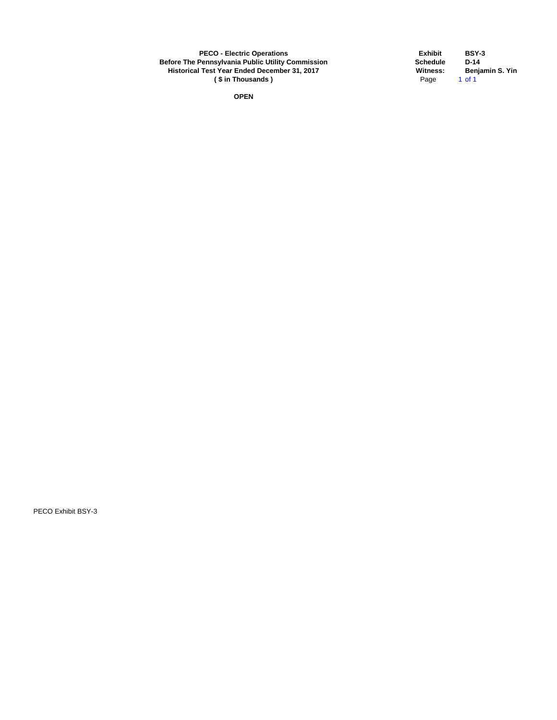**PECO - Electric Operations Exhibit BSY-3 Before The Pennsylvania Public Utility Commission Schedule D-14**<br> **Historical Test Year Ended December 31, 2017**<br>
(\$ in Thousands ) **Schedule Page** 1 of 1 **Historical Test Year Ended December 31, 2017**<br>(\$ in Thousands) Page **(\$in Thousands)** 

**OPEN**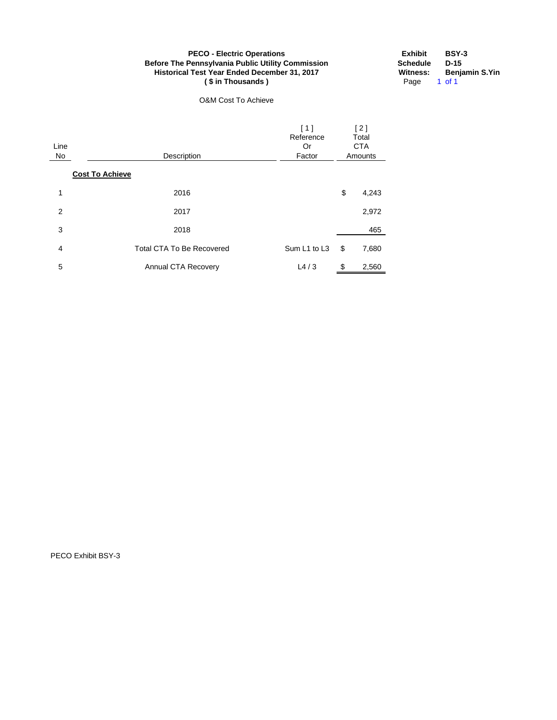## **PECO - Electric Operations Before The Pennsylvania Public Utility Commission Historical Test Year Ended December 31, 2017 ( \$ in Thousands )**

O&M Cost To Achieve

| <b>Exhibit</b>  | <b>BSY-3</b>          |
|-----------------|-----------------------|
| <b>Schedule</b> | D-15                  |
| <b>Witness:</b> | <b>Benjamin S.Yin</b> |
| Page            | 1 of 1                |

| Line<br>No | [1]<br>Reference<br>Or<br>Description<br>Factor<br><b>Cost To Achieve</b> |     | [2]<br>Total<br><b>CTA</b><br>Amounts |
|------------|---------------------------------------------------------------------------|-----|---------------------------------------|
| 1          | 2016                                                                      | \$  | 4,243                                 |
| 2          | 2017                                                                      |     | 2,972                                 |
| 3          | 2018                                                                      |     | 465                                   |
| 4          | Sum L1 to L3<br><b>Total CTA To Be Recovered</b>                          | \$  | 7,680                                 |
| 5          | L4/3<br>Annual CTA Recovery                                               | \$. | 2,560                                 |

PECO Exhibit BSY-3

Page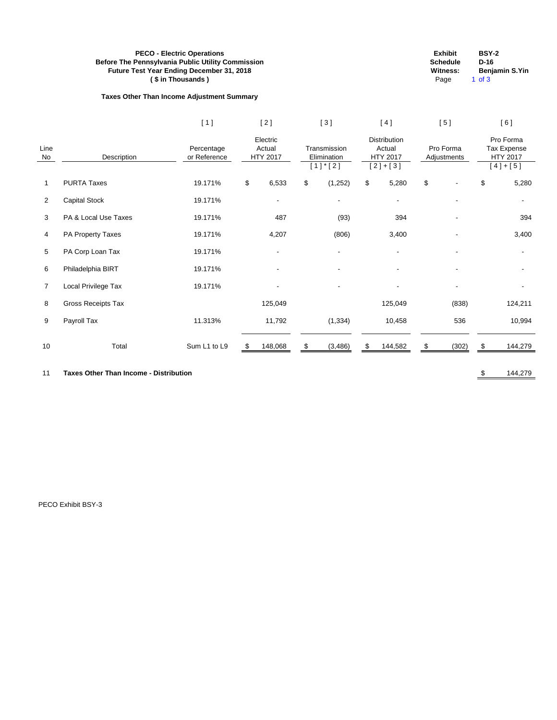# **PECO - Electric Operations Exhibit BSY-2 Before The Pennsylvania Public Utility Commission**<br> **Before The Pennsylvania Public Utility Commission**<br> **D-16 D-16 D-16 D-16 D-16 D-16 D-16 D-16 D-16 D-16 D-16 D-16 D-16 D-16 D-16 D-16 D-1 Future Test Year Ending December 31, 2018**<br>
(\$ in Thousands) (\$ in Thousands) and the state of the state of the state of the state of the state of the state of the state of the state of the state of the state of the state **( \$ in Thousands )** Page 1 of 3

# **Taxes Other Than Income Adjustment Summary**

| ınıt | BSY-2         |
|------|---------------|
| dule | D-16          |
| ess: | Benjamin S.Yi |
| . .  | 25 O          |

|                |                           | [1]                        | [2]                            |    | [3]                                          | [ 4 ]                                           |                          | [5]   |      | [6]                                               |
|----------------|---------------------------|----------------------------|--------------------------------|----|----------------------------------------------|-------------------------------------------------|--------------------------|-------|------|---------------------------------------------------|
| Line<br>No     | Description               | Percentage<br>or Reference | Electric<br>Actual<br>HTY 2017 |    | Transmission<br>Elimination<br>$[1]$ * $[2]$ | Distribution<br>Actual<br>HTY 2017<br>$[2]+[3]$ | Pro Forma<br>Adjustments |       |      | Pro Forma<br>Tax Expense<br>HTY 2017<br>$[4]+[5]$ |
| 1              | <b>PURTA Taxes</b>        | 19.171%                    | \$<br>6,533                    | \$ | (1, 252)                                     | \$<br>5,280                                     | \$                       |       | \$   | 5,280                                             |
| $\overline{2}$ | <b>Capital Stock</b>      | 19.171%                    | $\blacksquare$                 |    | $\overline{\phantom{a}}$                     | ۰                                               |                          |       |      |                                                   |
| 3              | PA & Local Use Taxes      | 19.171%                    | 487                            |    | (93)                                         | 394                                             |                          |       |      | 394                                               |
| 4              | PA Property Taxes         | 19.171%                    | 4,207                          |    | (806)                                        | 3,400                                           |                          |       |      | 3,400                                             |
| 5              | PA Corp Loan Tax          | 19.171%                    |                                |    |                                              |                                                 |                          |       |      |                                                   |
| $\,6$          | Philadelphia BIRT         | 19.171%                    |                                |    |                                              |                                                 |                          |       |      |                                                   |
| 7              | Local Privilege Tax       | 19.171%                    |                                |    |                                              |                                                 |                          |       |      |                                                   |
| 8              | <b>Gross Receipts Tax</b> |                            | 125,049                        |    |                                              | 125,049                                         |                          | (838) |      | 124,211                                           |
| 9              | Payroll Tax               | 11.313%                    | 11,792                         |    | (1, 334)                                     | 10,458                                          |                          | 536   |      | 10,994                                            |
| 10             | Total                     | Sum L1 to L9               | \$<br>148,068                  | \$ | (3, 486)                                     | \$<br>144,582                                   | \$                       | (302) | - 35 | 144,279                                           |

11 **Taxes Other Than Income - Distribution 11 Taxes Other Than Income - Distribution**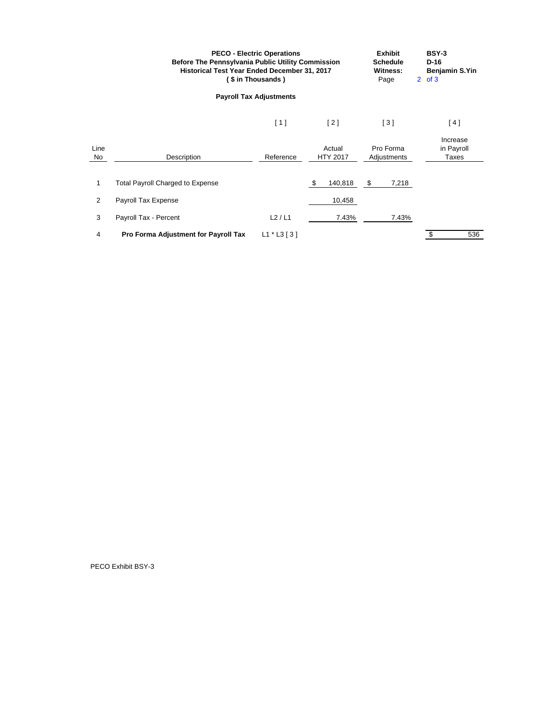|            | Before The Pennsylvania Public Utility Commission<br>Historical Test Year Ended December 31, 2017 | <b>PECO - Electric Operations</b><br>(\$ in Thousands) |                           | <b>Exhibit</b><br><b>Schedule</b><br><b>Witness:</b><br>Page | <b>BSY-3</b><br>$D-16$<br><b>Benjamin S.Yin</b><br>$2$ of $3$ |
|------------|---------------------------------------------------------------------------------------------------|--------------------------------------------------------|---------------------------|--------------------------------------------------------------|---------------------------------------------------------------|
|            |                                                                                                   | <b>Payroll Tax Adjustments</b>                         |                           |                                                              |                                                               |
|            |                                                                                                   | [1]                                                    | [2]                       | [3]                                                          | [4]                                                           |
| Line<br>No | Description                                                                                       | Reference                                              | Actual<br><b>HTY 2017</b> | Pro Forma<br>Adjustments                                     | Increase<br>in Payroll<br><b>Taxes</b>                        |
|            | <b>Total Payroll Charged to Expense</b>                                                           |                                                        | \$<br>140,818             | \$<br>7,218                                                  |                                                               |
| 2          | Payroll Tax Expense                                                                               |                                                        | 10,458                    |                                                              |                                                               |
| 3          | Payroll Tax - Percent                                                                             | L2/L1                                                  | 7.43%                     | 7.43%                                                        |                                                               |
| 4          | Pro Forma Adjustment for Payroll Tax                                                              | $L1 * L3 [3]$                                          |                           |                                                              | \$<br>536                                                     |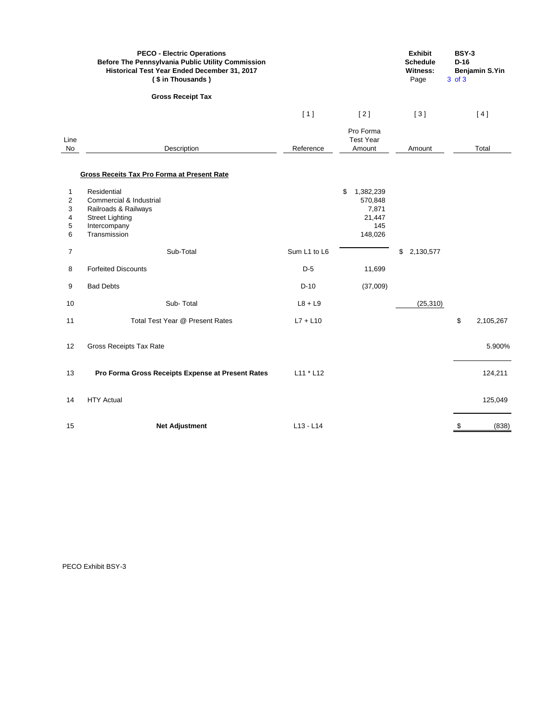|                            | <b>PECO - Electric Operations</b><br>Before The Pennsylvania Public Utility Commission<br>Historical Test Year Ended December 31, 2017<br>(\$ in Thousands) |              |                                                                 | <b>Exhibit</b><br><b>Schedule</b><br><b>Witness:</b><br>Page | <b>BSY-3</b><br>$D-16$<br>3 of 3 | <b>Benjamin S.Yin</b> |
|----------------------------|-------------------------------------------------------------------------------------------------------------------------------------------------------------|--------------|-----------------------------------------------------------------|--------------------------------------------------------------|----------------------------------|-----------------------|
|                            | <b>Gross Receipt Tax</b>                                                                                                                                    |              |                                                                 |                                                              |                                  |                       |
|                            |                                                                                                                                                             | [1]          | $[2]$                                                           | $[3]$                                                        |                                  | [4]                   |
| Line<br>No                 | Description                                                                                                                                                 | Reference    | Pro Forma<br><b>Test Year</b><br>Amount                         | Amount                                                       |                                  | Total                 |
|                            | <b>Gross Receits Tax Pro Forma at Present Rate</b>                                                                                                          |              |                                                                 |                                                              |                                  |                       |
| 1<br>2<br>3<br>4<br>5<br>6 | Residential<br>Commercial & Industrial<br>Railroads & Railways<br><b>Street Lighting</b><br>Intercompany<br>Transmission                                    |              | \$<br>1,382,239<br>570,848<br>7,871<br>21,447<br>145<br>148,026 |                                                              |                                  |                       |
| $\overline{7}$             | Sub-Total                                                                                                                                                   | Sum L1 to L6 |                                                                 | \$<br>2,130,577                                              |                                  |                       |
| 8                          | <b>Forfeited Discounts</b>                                                                                                                                  | $D-5$        | 11,699                                                          |                                                              |                                  |                       |
| 9                          | <b>Bad Debts</b>                                                                                                                                            | $D-10$       | (37,009)                                                        |                                                              |                                  |                       |
| 10                         | Sub-Total                                                                                                                                                   | $L8 + L9$    |                                                                 | (25, 310)                                                    |                                  |                       |
| 11                         | Total Test Year @ Present Rates                                                                                                                             | $L7 + L10$   |                                                                 |                                                              | \$                               | 2,105,267             |
| 12                         | <b>Gross Receipts Tax Rate</b>                                                                                                                              |              |                                                                 |                                                              |                                  | 5.900%                |
| 13                         | Pro Forma Gross Receipts Expense at Present Rates                                                                                                           | L11 * L12    |                                                                 |                                                              |                                  | 124,211               |
| 14                         | <b>HTY Actual</b>                                                                                                                                           |              |                                                                 |                                                              |                                  | 125,049               |
| 15                         | <b>Net Adjustment</b>                                                                                                                                       | $L13 - L14$  |                                                                 |                                                              | \$                               | (838)                 |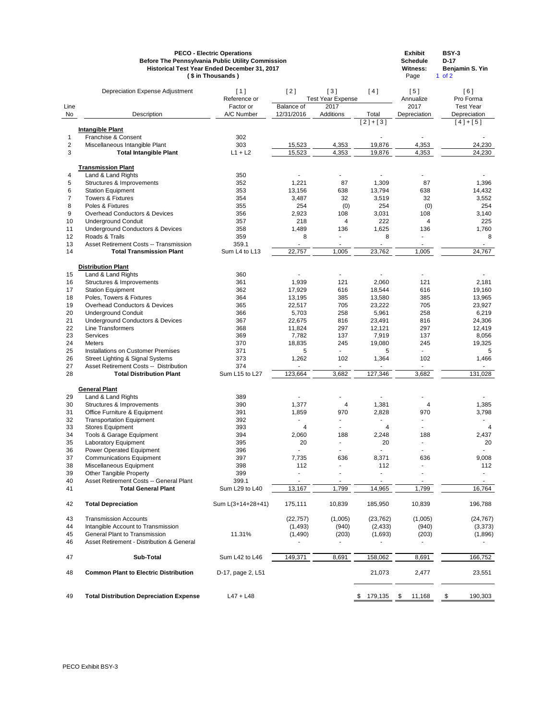|                  |                                               | <b>PECO - Electric Operations</b><br><b>Before The Pennsylvania Public Utility Commission</b><br>Historical Test Year Ended December 31, 2017<br>(\$ in Thousands) |                   |                                 |           | <b>Exhibit</b><br><b>Schedule</b><br><b>Witness:</b><br>Page | <b>BSY-3</b><br>$D-17$<br>Benjamin S. Yin<br>$1$ of $2$ |
|------------------|-----------------------------------------------|--------------------------------------------------------------------------------------------------------------------------------------------------------------------|-------------------|---------------------------------|-----------|--------------------------------------------------------------|---------------------------------------------------------|
|                  | <b>Depreciation Expense Adjustment</b>        | [1]<br>Reference or                                                                                                                                                | $[2]$             | [3]<br><b>Test Year Expense</b> | [4]       | [5]<br>Annualize                                             | [6]<br>Pro Forma                                        |
| Line             |                                               | Factor or                                                                                                                                                          | <b>Balance of</b> | 2017                            |           | 2017                                                         | <b>Test Year</b>                                        |
| No               | Description                                   | A/C Number                                                                                                                                                         | 12/31/2016        | Additions                       | Total     | Depreciation                                                 | Depreciation                                            |
|                  |                                               |                                                                                                                                                                    |                   |                                 | $[2]+[3]$ |                                                              | $[4]+[5]$                                               |
|                  | <b>Intangible Plant</b>                       |                                                                                                                                                                    |                   |                                 |           |                                                              |                                                         |
| 1                | Franchise & Consent                           | 302                                                                                                                                                                |                   |                                 |           |                                                              |                                                         |
| $\overline{2}$   | Miscellaneous Intangible Plant                | 303                                                                                                                                                                | 15,523            | 4,353                           | 19,876    | 4,353                                                        | 24,230                                                  |
| $\mathbf{3}$     | <b>Total Intangible Plant</b>                 | $L1 + L2$                                                                                                                                                          | 15,523            | 4,353                           | 19,876    | 4,353                                                        | 24,230                                                  |
|                  | <b>Transmission Plant</b>                     |                                                                                                                                                                    |                   |                                 |           |                                                              |                                                         |
| 4                | Land & Land Rights                            | 350                                                                                                                                                                |                   |                                 |           |                                                              |                                                         |
| 5                | Structures & Improvements                     | 352                                                                                                                                                                | 1,221             | 87                              | 1,309     | 87                                                           | 1,396                                                   |
| 6                | <b>Station Equipment</b>                      | 353                                                                                                                                                                | 13,156            | 638                             | 13,794    | 638                                                          | 14,432                                                  |
| $\overline{7}$   | <b>Towers &amp; Fixtures</b>                  | 354                                                                                                                                                                | 3,487             | 32                              | 3,519     | 32                                                           | 3,552                                                   |
| $\bf 8$          | Poles & Fixtures                              | 355                                                                                                                                                                | 254               | (0)                             | 254       | (0)                                                          | 254                                                     |
| $\boldsymbol{9}$ | <b>Overhead Conductors &amp; Devices</b>      | 356                                                                                                                                                                | 2,923             | 108                             | 3,031     | 108                                                          | 3,140                                                   |
| 10               | <b>Underground Conduit</b>                    | 357                                                                                                                                                                | 218               | 4                               | 222       | 4                                                            | 225                                                     |
| 11               | <b>Underground Conductors &amp; Devices</b>   | 358                                                                                                                                                                | 1,489             | 136                             | 1,625     | 136                                                          | 1,760                                                   |
| 12               | Roads & Trails                                | 359                                                                                                                                                                | 8                 |                                 | 8         |                                                              | 8                                                       |
| 13               | <b>Asset Retirement Costs -- Transmission</b> | 359.1                                                                                                                                                              |                   |                                 |           |                                                              |                                                         |
| 14               | <b>Total Transmission Plant</b>               | Sum L4 to L13                                                                                                                                                      | 22,757            | 1,005                           | 23,762    | 1,005                                                        | 24,767                                                  |
|                  |                                               |                                                                                                                                                                    |                   |                                 |           |                                                              |                                                         |
|                  | <b>Distribution Plant</b>                     |                                                                                                                                                                    |                   |                                 |           |                                                              |                                                         |
| 15               | Land & Land Rights                            | 360                                                                                                                                                                |                   |                                 |           |                                                              |                                                         |
| 16               | Structures & Improvements                     | 361                                                                                                                                                                | 1,939             | 121                             | 2,060     | 121                                                          | 2,181                                                   |
| 17               | <b>Station Equipment</b>                      | 362                                                                                                                                                                | 17,929            | 616                             | 18,544    | 616                                                          | 19,160                                                  |
| 18               | Poles, Towers & Fixtures                      | 364                                                                                                                                                                | 13,195            | 385                             | 13,580    | 385                                                          | 13,965                                                  |
| 19               | <b>Overhead Conductors &amp; Devices</b>      | 365                                                                                                                                                                | 22,517            | 705                             | 23,222    | 705                                                          | 23,927                                                  |
| 20               | <b>Underground Conduit</b>                    | 366                                                                                                                                                                | 5,703             | 258                             | 5,961     | 258                                                          | 6,219                                                   |
| 21               | <b>Underground Conductors &amp; Devices</b>   | 367                                                                                                                                                                | 22,675            | 816                             | 23,491    | 816                                                          | 24,306                                                  |
| 22               | <b>Line Transformers</b>                      | 368                                                                                                                                                                | 11,824            | 297                             | 12,121    | 297                                                          | 12,419                                                  |
| 23               | Services                                      | 369                                                                                                                                                                | 7,782             | 137                             | 7,919     | 137                                                          | 8,056                                                   |
| 24               | Meters                                        | 370                                                                                                                                                                | 18,835            | 245                             | 19,080    | 245                                                          | 19,325                                                  |
| 25               | <b>Installations on Customer Premises</b>     | 371                                                                                                                                                                | 5                 |                                 | 5         |                                                              | 5                                                       |
| 26               | <b>Street Lighting &amp; Signal Systems</b>   | 373                                                                                                                                                                | 1,262             | 102                             | 1,364     | 102                                                          | 1,466                                                   |
| 27               | Asset Retirement Costs -- Distribution        | 374                                                                                                                                                                |                   |                                 |           |                                                              |                                                         |
| 28               | <b>Total Distribution Plant</b>               | Sum L15 to L27                                                                                                                                                     | 123,664           | 3,682                           | 127,346   | 3,682                                                        | 131,028                                                 |
|                  |                                               |                                                                                                                                                                    |                   |                                 |           |                                                              |                                                         |
| 29               | <b>General Plant</b><br>Land & Land Rights    | 389                                                                                                                                                                |                   |                                 |           |                                                              |                                                         |
| 30               | Structures & Improvements                     | 390                                                                                                                                                                | 1,377             | 4                               | 1,381     | $\overline{4}$                                               | 1,385                                                   |
| 31               | Office Furniture & Equipment                  | 391                                                                                                                                                                | 1,859             | 970                             | 2,828     | 970                                                          | 3,798                                                   |
| 32               | <b>Transportation Equipment</b>               | 392                                                                                                                                                                |                   |                                 |           |                                                              |                                                         |
| 33               | <b>Stores Equipment</b>                       | 393                                                                                                                                                                | 4                 |                                 | 4         |                                                              | 4                                                       |
| 34               | Tools & Garage Equipment                      | 394                                                                                                                                                                | 2,060             | 188                             | 2,248     | 188                                                          | 2,437                                                   |
| 35               | Laboratory Equipment                          | 395                                                                                                                                                                | 20                |                                 | 20        |                                                              | 20                                                      |
| 36               | Power Operated Equipment                      | 396                                                                                                                                                                |                   | $\blacksquare$                  |           |                                                              |                                                         |
| 37               | <b>Communications Equipment</b>               | 397                                                                                                                                                                | 7,735             | 636                             | 8,371     | 636                                                          | 9,008                                                   |
| 38               | Miscellaneous Equipment                       | 398                                                                                                                                                                | 112               |                                 | 112       |                                                              | 112                                                     |
| 39               | <b>Other Tangible Property</b>                | 399                                                                                                                                                                |                   |                                 |           |                                                              |                                                         |
| 40               | Asset Retirement Costs -- General Plant       | 399.1                                                                                                                                                              |                   |                                 |           |                                                              |                                                         |
| 41               | <b>Total General Plant</b>                    | Sum L29 to L40                                                                                                                                                     | 13,167            | 1,799                           | 14,965    | 1,799                                                        | 16,764                                                  |
| 42               | <b>Total Depreciation</b>                     | Sum L(3+14+28+41)                                                                                                                                                  | 175,111           | 10,839                          | 185,950   | 10,839                                                       | 196,788                                                 |
|                  |                                               |                                                                                                                                                                    |                   |                                 |           |                                                              |                                                         |
| 43               | <b>Transmission Accounts</b>                  |                                                                                                                                                                    | (22, 757)         | (1,005)                         | (23, 762) | (1,005)                                                      | (24, 767)                                               |
| 44               | Intangible Account to Transmission            |                                                                                                                                                                    | (1, 493)          | (940)                           | (2, 433)  | (940)                                                        | (3,373)                                                 |
| 45               | <b>General Plant to Transmission</b>          | 11.31%                                                                                                                                                             | (1,490)           | (203)                           | (1,693)   | (203)                                                        | (1,896)                                                 |

Asset Retirement - Distribution & General - - - - -

| 47 | Sub-Total                                      | Sum L42 to L46    | 149.371 | 8,691 | 158.062 | 8,691   | 166,752 |
|----|------------------------------------------------|-------------------|---------|-------|---------|---------|---------|
| 48 | <b>Common Plant to Electric Distribution</b>   | D-17, page 2, L51 |         |       | 21,073  | 2.477   | 23,551  |
| 49 | <b>Total Distribution Depreciation Expense</b> | L47 + L48         |         |       | 179,135 | . ı,168 | 190,303 |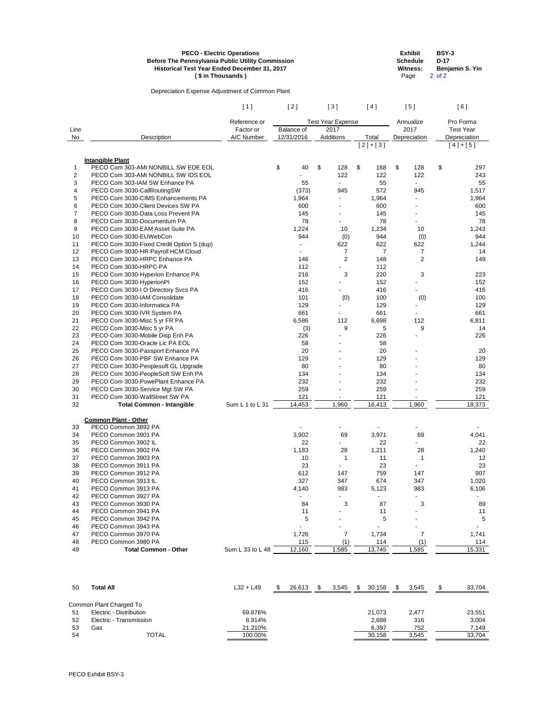|          | <b>Before The Pennsylvania Public Utility Commission</b><br>Historical Test Year Ended December 31, 2017 | <b>PECO - Electric Operations</b><br>(\$ in Thousands) |            |                          |                       | <b>Exhibit</b><br><b>Schedule</b><br><b>Witness:</b><br>Page |        | <b>BSY-3</b><br>$D-17$<br>$2$ of $2$ | Benjamin S. Yin  |  |
|----------|----------------------------------------------------------------------------------------------------------|--------------------------------------------------------|------------|--------------------------|-----------------------|--------------------------------------------------------------|--------|--------------------------------------|------------------|--|
|          | Depreciation Expense Adjustment of Common Plant                                                          |                                                        |            |                          |                       |                                                              |        |                                      |                  |  |
|          |                                                                                                          | [1]                                                    | [2]        | [3]                      | [4]                   | [5]                                                          |        |                                      | [6]              |  |
|          |                                                                                                          | Reference or                                           |            | <b>Test Year Expense</b> |                       | Annualize                                                    |        |                                      | Pro Forma        |  |
| Line     |                                                                                                          | Factor or                                              | Balance of | 2017                     |                       | 2017                                                         |        |                                      | <b>Test Year</b> |  |
| No       | Description                                                                                              | A/C Number                                             | 12/31/2016 | Additions                | Total                 | Depreciation                                                 |        |                                      | Depreciation     |  |
|          |                                                                                                          |                                                        |            |                          | $[2]+[3]$             |                                                              |        |                                      | $[4]+[5]$        |  |
|          | <b>Intangible Plant</b>                                                                                  |                                                        |            |                          |                       |                                                              |        |                                      |                  |  |
| 1        | PECO Com 303-AMI NONBILL SW EDE EOL                                                                      |                                                        | \$<br>40   | \$<br>128                | \$<br>168             | \$                                                           | 128    | \$                                   | 297              |  |
| 2        | PECO Com 303-AMI NONBILL SW IDS EOL                                                                      |                                                        |            | 122                      | 122                   |                                                              | 122    |                                      | 243              |  |
| 3        | PECO Com 303-IAM SW Enhance PA                                                                           |                                                        | 55         |                          | 55                    |                                                              |        |                                      | 55               |  |
| 4        | PECO Com 3030-CallRoutingSW                                                                              |                                                        | (373)      | 945                      | 572                   | 945                                                          |        |                                      | 1,517            |  |
| 5        | PECO Com 3030-CIMS Enhancements PA                                                                       |                                                        | 1,964      |                          | 1,964                 |                                                              |        |                                      | 1,964            |  |
| 6        | PECO Com 3030-Client Devices SW PA                                                                       |                                                        | 600        |                          | 600                   |                                                              |        |                                      | 600              |  |
| 7        | PECO Com 3030-Data Loss Prevent PA                                                                       |                                                        | 145        |                          | 145                   |                                                              |        |                                      | 145              |  |
| 8        | PECO Com 3030-Documentum PA                                                                              |                                                        | 78         |                          | 78                    |                                                              |        |                                      | 78               |  |
| 9        | PECO Com 3030-EAM Asset Suite PA                                                                         |                                                        | 1,224      | 10                       | 1,234                 |                                                              | 10     |                                      | 1,243            |  |
| 10       | PECO Com 3030-EUWebCon                                                                                   |                                                        | 944        | (0)                      | 944                   |                                                              | (0)    |                                      | 944              |  |
| 11       | PECO Com 3030-Fixed Credit Option S (dup)                                                                |                                                        |            | 622                      | 622                   | 622                                                          |        |                                      | 1,244            |  |
| 12       | PECO Com 3030-HR Payroll HCM Cloud<br>PECO Com 3030-HRPC Enhance PA                                      |                                                        | 146        | 7                        | $\overline{7}$<br>148 |                                                              | 7<br>2 |                                      | 14<br>149        |  |
| 13       | PECO Com 3030-HRPC-PA                                                                                    |                                                        | 112        | 2                        | 112                   |                                                              |        |                                      |                  |  |
| 14<br>15 | PECO Com 3030-Hyperion Enhance PA                                                                        |                                                        | 216        | 3                        | 220                   |                                                              | 3      |                                      | 223              |  |
| 16       | PECO Com 3030-HyperionPI                                                                                 |                                                        | 152        |                          | 152                   |                                                              |        |                                      | 152              |  |
| 17       | PECO Com 3030-I O Directory Svcs PA                                                                      |                                                        | 416        |                          | 416                   | Ξ.                                                           |        |                                      | 416              |  |
| 18       | PECO Com 3030-IAM Consolidate                                                                            |                                                        | 101        | (0)                      | 100                   |                                                              |        |                                      | 100              |  |
| 19       | PECO Com 3030-Informatica PA                                                                             |                                                        | 129        |                          | 129                   |                                                              | (0)    |                                      | 129              |  |
| 20       | PECO Com 3030-IVR System PA                                                                              |                                                        | 661        |                          | 661                   |                                                              |        |                                      | 661              |  |
| 21       | PECO Com 3030-Misc 5 yr FR PA                                                                            |                                                        | 6,586      | 112                      | 6,698                 | 112                                                          |        |                                      | 6,811            |  |
| 22       | PECO Com 3030-Misc 5 yr PA                                                                               |                                                        | (3)        | 9                        | 5                     |                                                              | 9      |                                      | 14               |  |
| 23       | PECO Com 3030-Mobile Disp Enh PA                                                                         |                                                        | 226        |                          | 226                   |                                                              |        |                                      | 226              |  |
| 24       | PECO Com 3030-Oracle Lic PA EOL                                                                          |                                                        | 58         |                          | 58                    |                                                              |        |                                      |                  |  |
| 25       | PECO Com 3030-Passport Enhance PA                                                                        |                                                        | 20         |                          | 20                    |                                                              |        |                                      | 20               |  |
| 26       | PECO Com 3030-PBF SW Enhance PA                                                                          |                                                        | 129        |                          | 129                   |                                                              |        |                                      | 129              |  |
| 27       | PECO Com 3030-Peoplesoft GL Upgrade                                                                      |                                                        | 80         |                          | 80                    |                                                              |        |                                      | 80               |  |
| 28       | PECO Com 3030-PeopleSoft SW Enh PA                                                                       |                                                        | 134        |                          | 134                   |                                                              |        |                                      | 134              |  |
| 29       | PECO Com 3030-PowePlant Enhance PA                                                                       |                                                        | 232        |                          | 232                   |                                                              |        |                                      | 232              |  |
| 30       | PECO Com 3030-Service Mgt SW PA                                                                          |                                                        | 259        |                          | 259                   |                                                              |        |                                      | 259              |  |
| 31       | PECO Com 3030-WallStreet SW PA                                                                           |                                                        | 121        |                          | 121                   |                                                              |        |                                      | 121              |  |
| 32       | <b>Total Common - Intangible</b>                                                                         | Sum L 1 to L 31                                        | 14,453     | 1,960                    | 16,413                | 1,960                                                        |        |                                      | 18,373           |  |
|          |                                                                                                          |                                                        |            |                          |                       |                                                              |        |                                      |                  |  |
| 33       | <b>Common Plant - Other</b><br>PECO Common 3892 PA                                                       |                                                        |            |                          |                       |                                                              |        |                                      |                  |  |
| 34       | PECO Common 3901 PA                                                                                      |                                                        | 3,902      | 69                       | 3,971                 |                                                              | 69     |                                      | 4,041            |  |
| 35       | PECO Common 3902 IL                                                                                      |                                                        | 22         |                          | 22                    |                                                              |        |                                      | 22               |  |
| 36       | PECO Common 3902 PA                                                                                      |                                                        | 1,183      | 28                       | 1,211                 |                                                              | 28     |                                      | 1,240            |  |
| 37       | PECO Common 3903 PA                                                                                      |                                                        | 10         | 1                        | 11                    |                                                              | 1      |                                      | 12               |  |
| 38       | PECO Common 3911 PA                                                                                      |                                                        | 23         |                          | 23                    |                                                              |        |                                      | 23               |  |
| 39       | PECO Common 3912 PA                                                                                      |                                                        | 612        | 147                      | 759                   | 147                                                          |        |                                      | 907              |  |
| 40       | PECO Common 3913 IL                                                                                      |                                                        | 327        | 347                      | 674                   | 347                                                          |        |                                      | 1,020            |  |
| 41       | PECO Common 3913 PA                                                                                      |                                                        | 4,140      | 983                      | 5,123                 | 983                                                          |        |                                      | 6,106            |  |
| 42       | PECO Common 3927 PA                                                                                      |                                                        |            |                          |                       |                                                              |        |                                      |                  |  |
| 43       | PECO Common 3930 PA                                                                                      |                                                        | 84         | 3                        | 87                    |                                                              | 3      |                                      | 89               |  |
| 44       | PECO Common 3941 PA                                                                                      |                                                        | 11         |                          | 11                    |                                                              |        |                                      | 11               |  |
| 45       | PECO Common 3942 PA                                                                                      |                                                        | 5          |                          | 5                     |                                                              |        |                                      | 5                |  |
| 46       | PECO Common 3943 PA                                                                                      |                                                        |            |                          |                       |                                                              |        |                                      |                  |  |

| ຯບ | F LUU UUIIIIIUII J94J F A   |                  |    |        |     |       |      |        |    |       |    |        |
|----|-----------------------------|------------------|----|--------|-----|-------|------|--------|----|-------|----|--------|
| 47 | PECO Common 3970 PA         |                  |    | 1,726  |     |       |      | 1,734  |    |       |    | 1,741  |
| 48 | PECO Common 3980 PA         |                  |    | 115    |     |       |      | 114    |    |       |    | 114    |
| 49 | <b>Total Common - Other</b> | Sum L 33 to L 48 |    | 12,160 |     | 1,585 |      | 13,745 |    | 1,585 |    | 15,331 |
|    |                             |                  |    |        |     |       |      |        |    |       |    |        |
| 50 | <b>Total All</b>            | $L32 + L49$      | Ж. | 26,613 | -SS | 3,545 | - \$ | 30,158 | S. | 3,545 | S. | 33,704 |
|    | Common Plant Charged To     |                  |    |        |     |       |      |        |    |       |    |        |
| 51 | Electric - Distribution     | 69.876%          |    |        |     |       |      | 21,073 |    | 2,477 |    | 23,551 |
| 52 | Electric - Transmission     | 8.914%           |    |        |     |       |      | 2,688  |    | 316   |    | 3,004  |
| 53 | Gas                         | 21.210%          |    |        |     |       |      | 6,397  |    | 752   |    | 7,149  |
| 54 | <b>TOTAL</b>                | 100.00%          |    |        |     |       |      | 30,158 |    | 3,545 |    | 33,704 |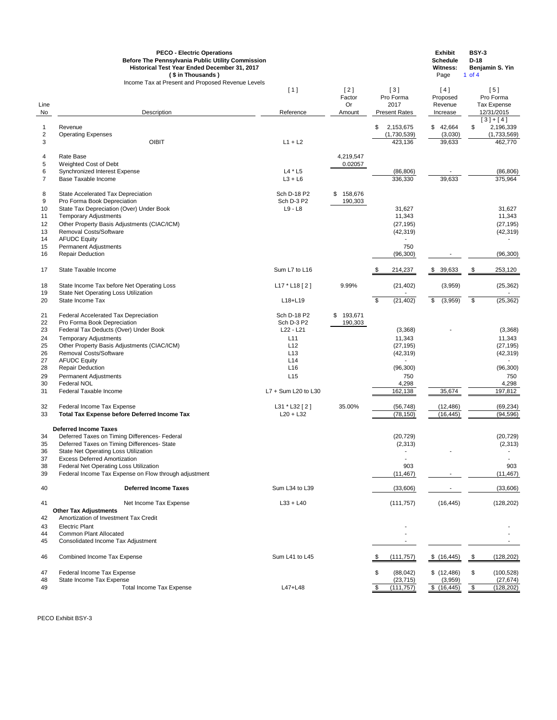|                            | <b>PECO - Electric Operations</b><br><b>Before The Pennsylvania Public Utility Commission</b><br>Historical Test Year Ended December 31, 2017<br>(\$ in Thousands) |                     |                       |                                        | <b>Exhibit</b><br><b>Schedule</b><br><b>Witness:</b><br>Page | <b>BSY-3</b><br>$D-18$<br>Benjamin S. Yin<br>1 of $4$ |
|----------------------------|--------------------------------------------------------------------------------------------------------------------------------------------------------------------|---------------------|-----------------------|----------------------------------------|--------------------------------------------------------------|-------------------------------------------------------|
| Line                       | Income Tax at Present and Proposed Revenue Levels                                                                                                                  | [1]                 | $[2]$<br>Factor<br>Or | $[3]$<br>Pro Forma<br>2017             | [4]<br>Proposed<br>Revenue                                   | [5]<br>Pro Forma<br>Tax Expense                       |
| No                         | Description                                                                                                                                                        | Reference           | Amount                | <b>Present Rates</b>                   | Increase                                                     | 12/31/2015                                            |
|                            |                                                                                                                                                                    |                     |                       |                                        |                                                              | $[3]+[4]$                                             |
| $\mathbf{1}$<br>$\sqrt{2}$ | Revenue<br><b>Operating Expenses</b>                                                                                                                               |                     |                       | \$<br>2,153,675<br>(1,730,539)         | 42,664<br>\$<br>(3,030)                                      | \$<br>2,196,339<br>(1,733,569)                        |
| $\mathbf{3}$               | <b>OIBIT</b>                                                                                                                                                       | $L1 + L2$           |                       | 423,136                                | 39,633                                                       | 462,770                                               |
| 4                          | Rate Base                                                                                                                                                          |                     | 4,219,547             |                                        |                                                              |                                                       |
| 5                          | Weighted Cost of Debt                                                                                                                                              |                     | 0.02057               |                                        |                                                              |                                                       |
| $\,6$                      | Synchronized Interest Expense                                                                                                                                      | $L4 * L5$           |                       | (86, 806)                              |                                                              | (86, 806)                                             |
| $\overline{7}$             | <b>Base Taxable Income</b>                                                                                                                                         | $L3 + L6$           |                       | 336,330                                | 39,633                                                       | 375,964                                               |
| 8                          | State Accelerated Tax Depreciation                                                                                                                                 | Sch D-18 P2         | 158,676<br>\$         |                                        |                                                              |                                                       |
| $\boldsymbol{9}$           | Pro Forma Book Depreciation                                                                                                                                        | Sch D-3 P2          | 190,303               |                                        |                                                              |                                                       |
| 10<br>11                   | State Tax Depreciation (Over) Under Book<br><b>Temporary Adjustments</b>                                                                                           | $L9 - L8$           |                       | 31,627<br>11,343                       |                                                              | 31,627<br>11,343                                      |
| 12                         | Other Property Basis Adjustments (CIAC/ICM)                                                                                                                        |                     |                       | (27, 195)                              |                                                              | (27, 195)                                             |
| 13                         | <b>Removal Costs/Software</b>                                                                                                                                      |                     |                       | (42, 319)                              |                                                              | (42, 319)                                             |
| 14                         | <b>AFUDC Equity</b>                                                                                                                                                |                     |                       |                                        |                                                              |                                                       |
| 15                         | <b>Permanent Adjustments</b>                                                                                                                                       |                     |                       | 750                                    |                                                              |                                                       |
| 16                         | <b>Repair Deduction</b>                                                                                                                                            |                     |                       | (96, 300)                              |                                                              | (96, 300)                                             |
| 17                         | State Taxable Income                                                                                                                                               | Sum L7 to L16       |                       | 214,237                                | 39,633<br>\$                                                 | 253,120<br>\$                                         |
| 18                         | State Income Tax before Net Operating Loss                                                                                                                         | $L17 * L18 [2]$     | 9.99%                 | (21, 402)                              | (3,959)                                                      | (25, 362)                                             |
| 19                         | State Net Operating Loss Utilization                                                                                                                               |                     |                       |                                        |                                                              |                                                       |
| 20                         | State Income Tax                                                                                                                                                   | L18+L19             |                       | $\boldsymbol{\mathsf{S}}$<br>(21, 402) | (3,959)<br>\$                                                | $\frac{1}{2}$<br>(25, 362)                            |
| 21                         | Federal Accelerated Tax Depreciation                                                                                                                               | Sch D-18 P2         | \$<br>193,671         |                                        |                                                              |                                                       |
| 22                         | Pro Forma Book Depreciation                                                                                                                                        | Sch D-3 P2          | 190,303               |                                        |                                                              |                                                       |
| 23                         | Federal Tax Deducts (Over) Under Book                                                                                                                              | $L22 - L21$         |                       | (3,368)                                |                                                              | (3,368)                                               |
| 24                         | <b>Temporary Adjustments</b>                                                                                                                                       | L11                 |                       | 11,343                                 |                                                              | 11,343                                                |
| 25<br>26                   | Other Property Basis Adjustments (CIAC/ICM)<br>Removal Costs/Software                                                                                              | L12<br>L13          |                       | (27, 195)<br>(42, 319)                 |                                                              | (27, 195)<br>(42, 319)                                |
| 27                         | <b>AFUDC Equity</b>                                                                                                                                                | L14                 |                       |                                        |                                                              |                                                       |
| 28                         | <b>Repair Deduction</b>                                                                                                                                            | L16                 |                       | (96, 300)                              |                                                              | (96, 300)                                             |
| 29                         | <b>Permanent Adjustments</b>                                                                                                                                       | L15                 |                       | 750                                    |                                                              | 750                                                   |
| 30                         | <b>Federal NOL</b>                                                                                                                                                 |                     |                       | 4,298                                  |                                                              | 4,298                                                 |
| 31                         | Federal Taxable Income                                                                                                                                             | L7 + Sum L20 to L30 |                       | 162,138                                | 35,674                                                       | 197,812                                               |
| 32                         | Federal Income Tax Expense                                                                                                                                         | L31 * L32 [2]       | 35.00%                | (56, 748)                              | (12, 486)                                                    | (69, 234)                                             |
| 33                         | <b>Total Tax Expense before Deferred Income Tax</b>                                                                                                                | $L20 + L32$         |                       | (78, 150)                              | (16, 445)                                                    | (94, 596)                                             |
|                            | <b>Deferred Income Taxes</b>                                                                                                                                       |                     |                       |                                        |                                                              |                                                       |
| 34                         | Deferred Taxes on Timing Differences- Federal                                                                                                                      |                     |                       | (20, 729)                              |                                                              | (20, 729)                                             |
| 35                         | Deferred Taxes on Timing Differences- State                                                                                                                        |                     |                       | (2,313)                                |                                                              | (2, 313)                                              |
| 36                         | State Net Operating Loss Utilization                                                                                                                               |                     |                       |                                        |                                                              |                                                       |
| 37<br>38                   | <b>Excess Deferred Amortization</b>                                                                                                                                |                     |                       | 903                                    |                                                              | 903                                                   |
| 39                         | Federal Net Operating Loss Utilization<br>Federal Income Tax Expense on Flow through adjustment                                                                    |                     |                       | (11, 467)                              |                                                              | (11, 467)                                             |
|                            |                                                                                                                                                                    |                     |                       |                                        |                                                              |                                                       |
| 40                         | <b>Deferred Income Taxes</b>                                                                                                                                       | Sum L34 to L39      |                       | (33,606)                               |                                                              | (33,606)                                              |
| 41                         | Net Income Tax Expense<br><b>Other Tax Adjustments</b>                                                                                                             | $L33 + L40$         |                       | (111, 757)                             | (16, 445)                                                    | (128, 202)                                            |
| 42                         | Amortization of Investment Tax Credit                                                                                                                              |                     |                       |                                        |                                                              |                                                       |

Electric Plant - -

|  | 44 Common Plant Allocated |  |  |  |
|--|---------------------------|--|--|--|
|--|---------------------------|--|--|--|

44 Common Plant Allocated **Adjustment** Common Plant Allocated Common Plant Allocated Common Plant Allocated Common Plant Allocated Common Plant Allocated Common Plant Allocated Common Plant Adjustment Common Plant Allocate

| 46       | <b>Combined Income Tax Expense</b>                     | Sum L41 to L45 | (111,757)              | \$(16, 445)            | (128, 202)              |
|----------|--------------------------------------------------------|----------------|------------------------|------------------------|-------------------------|
| 47<br>48 | Federal Income Tax Expense<br>State Income Tax Expense |                | (88, 042)<br>(23, 715) | \$(12, 486)<br>(3,959) | (100, 528)<br>(27, 674) |
|          |                                                        |                |                        |                        |                         |
| 49       | Total Income Tax Expense                               | L47+L48        | (111.757)              | $^{\circ}$ (16,445)    | (128,202)               |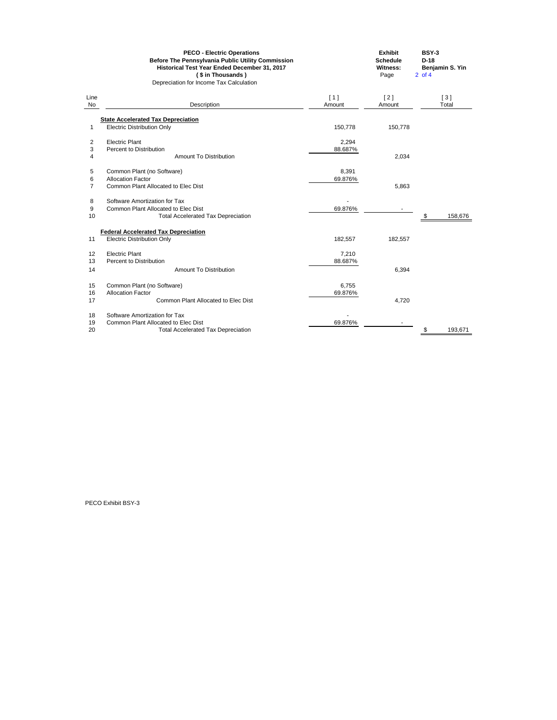|                         | <b>PECO - Electric Operations</b><br><b>Before The Pennsylvania Public Utility Commission</b><br>Historical Test Year Ended December 31, 2017<br>(\$ in Thousands)<br>Depreciation for Income Tax Calculation |         | <b>Exhibit</b><br><b>Schedule</b><br><b>Witness:</b><br>Page | <b>BSY-3</b><br>$D-18$<br>$2$ of 4 | Benjamin S. Yin |
|-------------------------|---------------------------------------------------------------------------------------------------------------------------------------------------------------------------------------------------------------|---------|--------------------------------------------------------------|------------------------------------|-----------------|
| Line                    |                                                                                                                                                                                                               | [1]     | $[2]$                                                        |                                    | $[3]$           |
| No                      | Description                                                                                                                                                                                                   | Amount  | Amount                                                       |                                    | Total           |
|                         | <b>State Accelerated Tax Depreciation</b>                                                                                                                                                                     |         |                                                              |                                    |                 |
| 1                       | <b>Electric Distribution Only</b>                                                                                                                                                                             | 150,778 | 150,778                                                      |                                    |                 |
| $\overline{\mathbf{c}}$ | <b>Electric Plant</b>                                                                                                                                                                                         | 2,294   |                                                              |                                    |                 |
| 3                       | Percent to Distribution                                                                                                                                                                                       | 88.687% |                                                              |                                    |                 |
| 4                       | <b>Amount To Distribution</b>                                                                                                                                                                                 |         | 2,034                                                        |                                    |                 |
| 5                       | Common Plant (no Software)                                                                                                                                                                                    | 8,391   |                                                              |                                    |                 |
| 6                       | <b>Allocation Factor</b>                                                                                                                                                                                      | 69.876% |                                                              |                                    |                 |
| $\overline{7}$          | <b>Common Plant Allocated to Elec Dist</b>                                                                                                                                                                    |         | 5,863                                                        |                                    |                 |
| 8                       | Software Amortization for Tax                                                                                                                                                                                 |         |                                                              |                                    |                 |
| 9                       | Common Plant Allocated to Elec Dist                                                                                                                                                                           | 69.876% |                                                              |                                    |                 |
| 10                      | <b>Total Accelerated Tax Depreciation</b>                                                                                                                                                                     |         |                                                              | \$                                 | 158,676         |
|                         | <b>Federal Accelerated Tax Depreciation</b>                                                                                                                                                                   |         |                                                              |                                    |                 |
| 11                      | <b>Electric Distribution Only</b>                                                                                                                                                                             | 182,557 | 182,557                                                      |                                    |                 |
| 12                      | <b>Electric Plant</b>                                                                                                                                                                                         | 7,210   |                                                              |                                    |                 |
| 13                      | Percent to Distribution                                                                                                                                                                                       | 88.687% |                                                              |                                    |                 |
| 14                      | <b>Amount To Distribution</b>                                                                                                                                                                                 |         | 6,394                                                        |                                    |                 |
| 15                      | Common Plant (no Software)                                                                                                                                                                                    | 6,755   |                                                              |                                    |                 |
| 16                      | <b>Allocation Factor</b>                                                                                                                                                                                      | 69.876% |                                                              |                                    |                 |
| 17                      | <b>Common Plant Allocated to Elec Dist</b>                                                                                                                                                                    |         | 4,720                                                        |                                    |                 |
| 18                      | Software Amortization for Tax                                                                                                                                                                                 |         |                                                              |                                    |                 |
| 19                      | Common Plant Allocated to Elec Dist                                                                                                                                                                           | 69.876% |                                                              |                                    |                 |
| 20                      | <b>Total Accelerated Tax Depreciation</b>                                                                                                                                                                     |         |                                                              | \$                                 | 193,671         |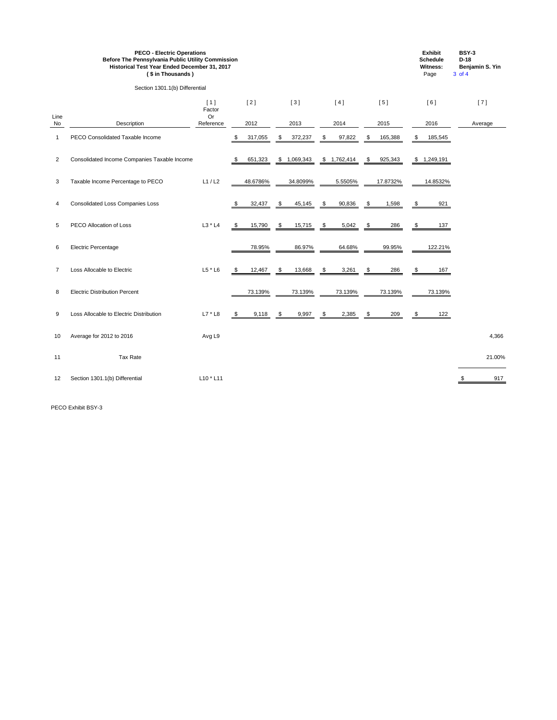|                | <b>PECO - Electric Operations</b><br><b>Before The Pennsylvania Public Utility Commission</b><br>Historical Test Year Ended December 31, 2017<br>(\$in Thousands)<br>Section 1301.1(b) Differential |                     |               |            |            |             |            |             |               | <b>Exhibit</b><br><b>Schedule</b><br><b>Witness:</b><br>Page |               | <b>BSY-3</b><br>$D-18$<br>Benjamin S. Yin<br>3 of 4 |  |         |
|----------------|-----------------------------------------------------------------------------------------------------------------------------------------------------------------------------------------------------|---------------------|---------------|------------|------------|-------------|------------|-------------|---------------|--------------------------------------------------------------|---------------|-----------------------------------------------------|--|---------|
|                |                                                                                                                                                                                                     |                     |               |            |            |             |            |             |               |                                                              |               |                                                     |  |         |
| Line           |                                                                                                                                                                                                     | [1]<br>Factor<br>Or |               | $[2]$      |            | $[3]$       |            | [4]         |               | [5]                                                          |               | [6]                                                 |  | $[7]$   |
| No             | Description                                                                                                                                                                                         | Reference           |               | 2012       |            | 2013        |            | 2014        |               | 2015                                                         |               | 2016                                                |  | Average |
| $\mathbf{1}$   | PECO Consolidated Taxable Income                                                                                                                                                                    |                     | \$            | 317,055    | \$         | 372,237     | \$         | 97,822      | \$            | 165,388                                                      | \$            | 185,545                                             |  |         |
| 2              | Consolidated Income Companies Taxable Income                                                                                                                                                        |                     | \$            | 651,323    |            | \$1,069,343 |            | \$1,762,414 | $\sqrt{3}$    | 925,343                                                      |               | \$1,249,191                                         |  |         |
| $\mathbf{3}$   | Taxable Income Percentage to PECO                                                                                                                                                                   | L1/L2               |               | 48.6786%   |            | 34.8099%    |            | 5.5505%     |               | 17.8732%                                                     |               | 14.8532%                                            |  |         |
| 4              | <b>Consolidated Loss Companies Loss</b>                                                                                                                                                             |                     | \$            | 32,437     | $\sqrt{3}$ | 45,145      | $\sqrt{3}$ | 90,836      | $\sqrt{3}$    | 1,598                                                        | \$            | 921                                                 |  |         |
| 5              | PECO Allocation of Loss                                                                                                                                                                             | $L3 * L4$           | \$            | 15,790     | \$         | 15,715      | \$         | 5,042       | - \$          | 286                                                          | S.            | 137                                                 |  |         |
| 6              | <b>Electric Percentage</b>                                                                                                                                                                          |                     |               | 78.95%     |            | 86.97%      |            | 64.68%      |               | 99.95%                                                       |               | 122.21%                                             |  |         |
| $\overline{7}$ | Loss Allocable to Electric                                                                                                                                                                          | $L5$ * $L6$         | \$            | 12,467     | \$         | 13,668      | \$         | 3,261       | \$            | 286                                                          | \$            | 167                                                 |  |         |
| 8              | <b>Electric Distribution Percent</b>                                                                                                                                                                |                     |               | 73.139%    |            | 73.139%     |            | 73.139%     |               | 73.139%                                                      |               | 73.139%                                             |  |         |
| 9              | Loss Allocable to Electric Distribution                                                                                                                                                             | $L7 * L8$           | $\frac{1}{2}$ | $9,118$ \$ |            | $9,997$ \$  |            | 2,385       | $\frac{\$}{}$ | 209                                                          | $\frac{\$}{}$ | 122                                                 |  |         |
| 10             | Average for 2012 to 2016                                                                                                                                                                            | Avg L9              |               |            |            |             |            |             |               |                                                              |               |                                                     |  | 4,366   |
| 11             | <b>Tax Rate</b>                                                                                                                                                                                     |                     |               |            |            |             |            |             |               |                                                              |               |                                                     |  | 21.00%  |
| 12             | Section 1301.1(b) Differential                                                                                                                                                                      | $L10 * L11$         |               |            |            |             |            |             |               |                                                              |               |                                                     |  | 917     |

PECO Exhibit BSY-3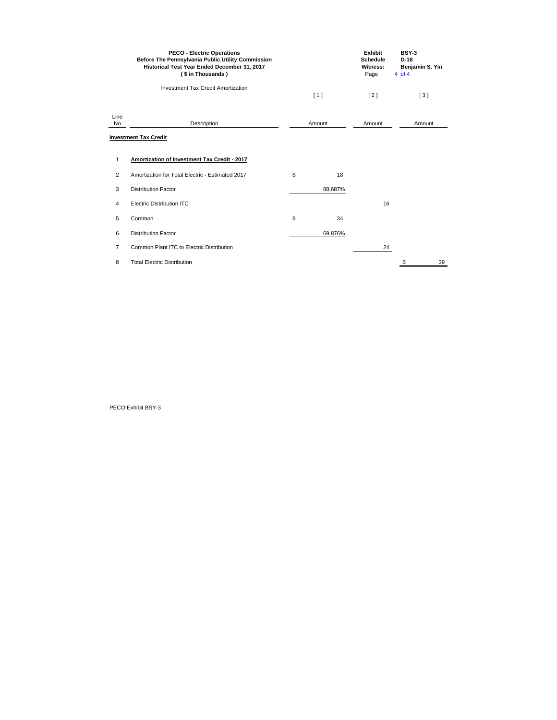|                   | <b>PECO - Electric Operations</b><br><b>Before The Pennsylvania Public Utility Commission</b><br>Historical Test Year Ended December 31, 2017<br>(\$ in Thousands) |          | <b>Exhibit</b><br><b>Schedule</b><br><b>Witness:</b><br>Page | <b>BSY-3</b><br>$D-18$<br>Benjamin S. Yin<br>4 of 4 |  |
|-------------------|--------------------------------------------------------------------------------------------------------------------------------------------------------------------|----------|--------------------------------------------------------------|-----------------------------------------------------|--|
|                   | <b>Investment Tax Credit Amortization</b>                                                                                                                          | [1]      | $[2]$                                                        | [3]                                                 |  |
| Line<br><b>No</b> | Description                                                                                                                                                        | Amount   | Amount                                                       | Amount                                              |  |
|                   | <b>Investment Tax Credit</b>                                                                                                                                       |          |                                                              |                                                     |  |
| 1                 | <b>Amortization of Investment Tax Credit - 2017</b>                                                                                                                |          |                                                              |                                                     |  |
| $\overline{2}$    | Amortization for Total Electric - Estimated 2017                                                                                                                   | \$<br>18 |                                                              |                                                     |  |
| 3                 | <b>Distribution Factor</b>                                                                                                                                         | 88.687%  |                                                              |                                                     |  |
| 4                 | <b>Electric Distribution ITC</b>                                                                                                                                   |          | 16                                                           |                                                     |  |
| 5                 | Common                                                                                                                                                             | \$<br>34 |                                                              |                                                     |  |
| 6                 | <b>Distribution Factor</b>                                                                                                                                         | 69.876%  |                                                              |                                                     |  |
| $\overline{7}$    | <b>Common Plant ITC to Electric Distribution</b>                                                                                                                   |          | 24                                                           |                                                     |  |
| 8                 | <b>Total Electric Distribution</b>                                                                                                                                 |          |                                                              | \$<br>39                                            |  |